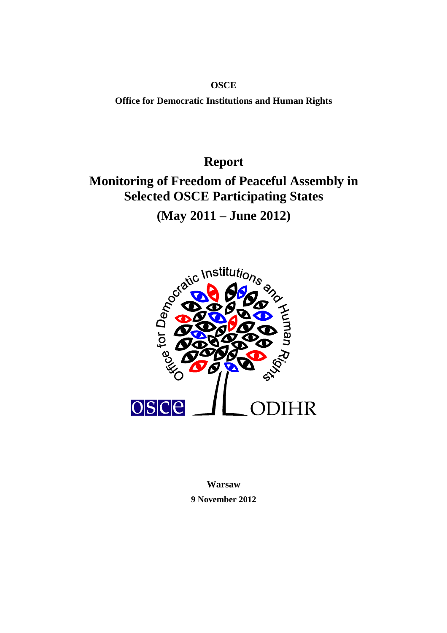**OSCE Office for Democratic Institutions and Human Rights**

**Report**

# **Monitoring of Freedom of Peaceful Assembly in Selected OSCE Participating States**

**(May 2011 – June 2012)** 



**Warsaw 9 November 2012**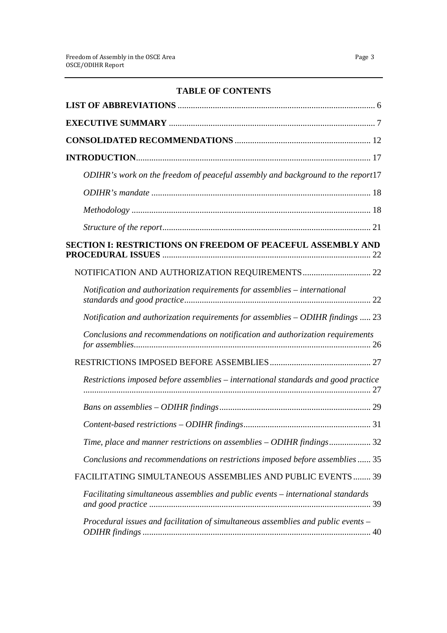# **TABLE OF CONTENTS**

| ODIHR's work on the freedom of peaceful assembly and background to the report17         |
|-----------------------------------------------------------------------------------------|
|                                                                                         |
|                                                                                         |
|                                                                                         |
| <b>SECTION I: RESTRICTIONS ON FREEDOM OF PEACEFUL ASSEMBLY AND</b><br>22                |
|                                                                                         |
| Notification and authorization requirements for assemblies – international              |
| Notification and authorization requirements for assemblies - ODIHR findings  23         |
| Conclusions and recommendations on notification and authorization requirements          |
|                                                                                         |
| Restrictions imposed before assemblies – international standards and good practice      |
|                                                                                         |
|                                                                                         |
| Time, place and manner restrictions on assemblies - ODIHR findings 32                   |
| Conclusions and recommendations on restrictions imposed before assemblies 35            |
| FACILITATING SIMULTANEOUS ASSEMBLIES AND PUBLIC EVENTS  39                              |
| Facilitating simultaneous assemblies and public events – international standards        |
| Procedural issues and facilitation of simultaneous assemblies and public events -<br>40 |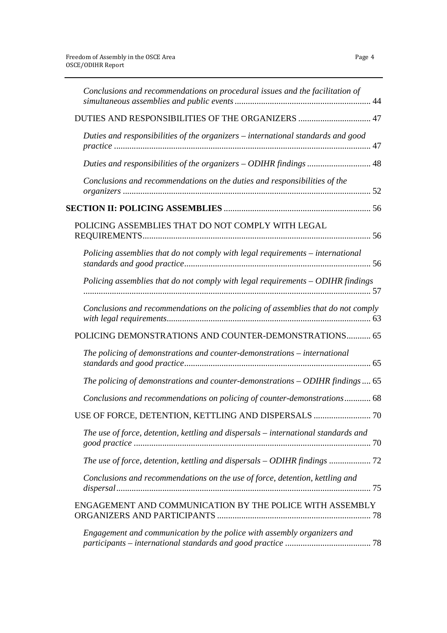| Conclusions and recommendations on procedural issues and the facilitation of       |
|------------------------------------------------------------------------------------|
| DUTIES AND RESPONSIBILITIES OF THE ORGANIZERS  47                                  |
| Duties and responsibilities of the organizers - international standards and good   |
|                                                                                    |
| Conclusions and recommendations on the duties and responsibilities of the          |
|                                                                                    |
| POLICING ASSEMBLIES THAT DO NOT COMPLY WITH LEGAL                                  |
| Policing assemblies that do not comply with legal requirements - international     |
| Policing assemblies that do not comply with legal requirements - ODIHR findings    |
| Conclusions and recommendations on the policing of assemblies that do not comply   |
| POLICING DEMONSTRATIONS AND COUNTER-DEMONSTRATIONS 65                              |
| The policing of demonstrations and counter-demonstrations – international          |
| The policing of demonstrations and counter-demonstrations $-$ ODIHR findings  65   |
| Conclusions and recommendations on policing of counter-demonstrations 68           |
|                                                                                    |
| The use of force, detention, kettling and dispersals – international standards and |
| The use of force, detention, kettling and dispersals – ODIHR findings              |
| Conclusions and recommendations on the use of force, detention, kettling and       |
| ENGAGEMENT AND COMMUNICATION BY THE POLICE WITH ASSEMBLY                           |
| Engagement and communication by the police with assembly organizers and            |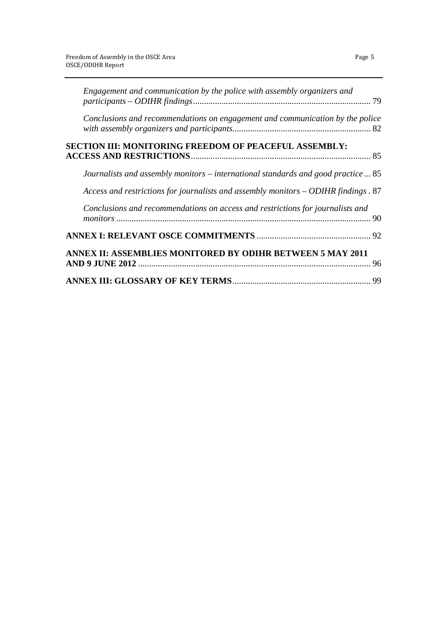| Engagement and communication by the police with assembly organizers and             |  |
|-------------------------------------------------------------------------------------|--|
| Conclusions and recommendations on engagement and communication by the police       |  |
| <b>SECTION III: MONITORING FREEDOM OF PEACEFUL ASSEMBLY:</b>                        |  |
| Journalists and assembly monitors – international standards and good practice  85   |  |
| Access and restrictions for journalists and assembly monitors - ODIHR findings . 87 |  |
| Conclusions and recommendations on access and restrictions for journalists and      |  |
|                                                                                     |  |
| ANNEX II: ASSEMBLIES MONITORED BY ODIHR BETWEEN 5 MAY 2011                          |  |
|                                                                                     |  |
|                                                                                     |  |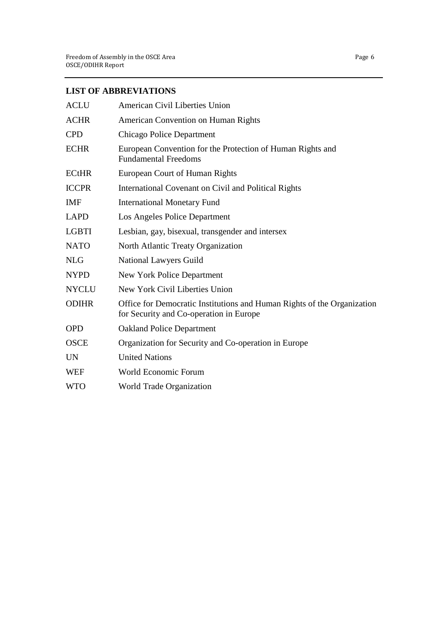# **LIST OF ABBREVIATIONS**

| <b>ACLU</b>  | American Civil Liberties Union                                                                                     |
|--------------|--------------------------------------------------------------------------------------------------------------------|
| <b>ACHR</b>  | American Convention on Human Rights                                                                                |
| <b>CPD</b>   | <b>Chicago Police Department</b>                                                                                   |
| <b>ECHR</b>  | European Convention for the Protection of Human Rights and<br><b>Fundamental Freedoms</b>                          |
| <b>ECtHR</b> | European Court of Human Rights                                                                                     |
| <b>ICCPR</b> | International Covenant on Civil and Political Rights                                                               |
| IMF          | <b>International Monetary Fund</b>                                                                                 |
| <b>LAPD</b>  | Los Angeles Police Department                                                                                      |
| <b>LGBTI</b> | Lesbian, gay, bisexual, transgender and intersex                                                                   |
| <b>NATO</b>  | North Atlantic Treaty Organization                                                                                 |
| <b>NLG</b>   | National Lawyers Guild                                                                                             |
| <b>NYPD</b>  | New York Police Department                                                                                         |
| <b>NYCLU</b> | New York Civil Liberties Union                                                                                     |
| <b>ODIHR</b> | Office for Democratic Institutions and Human Rights of the Organization<br>for Security and Co-operation in Europe |
| <b>OPD</b>   | <b>Oakland Police Department</b>                                                                                   |
| <b>OSCE</b>  | Organization for Security and Co-operation in Europe                                                               |
| <b>UN</b>    | <b>United Nations</b>                                                                                              |
| <b>WEF</b>   | World Economic Forum                                                                                               |
| <b>WTO</b>   | <b>World Trade Organization</b>                                                                                    |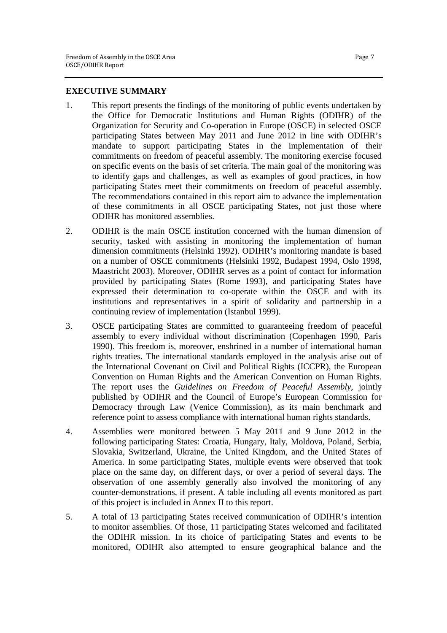# **EXECUTIVE SUMMARY**

- 1. This report presents the findings of the monitoring of public events undertaken by the Office for Democratic Institutions and Human Rights (ODIHR) of the Organization for Security and Co-operation in Europe (OSCE) in selected OSCE participating States between May 2011 and June 2012 in line with ODIHR's mandate to support participating States in the implementation of their commitments on freedom of peaceful assembly. The monitoring exercise focused on specific events on the basis of set criteria. The main goal of the monitoring was to identify gaps and challenges, as well as examples of good practices, in how participating States meet their commitments on freedom of peaceful assembly. The recommendations contained in this report aim to advance the implementation of these commitments in all OSCE participating States, not just those where ODIHR has monitored assemblies.
- 2. ODIHR is the main OSCE institution concerned with the human dimension of security, tasked with assisting in monitoring the implementation of human dimension commitments (Helsinki 1992). ODIHR's monitoring mandate is based on a number of OSCE commitments (Helsinki 1992, Budapest 1994, Oslo 1998, Maastricht 2003). Moreover, ODIHR serves as a point of contact for information provided by participating States (Rome 1993), and participating States have expressed their determination to co-operate within the OSCE and with its institutions and representatives in a spirit of solidarity and partnership in a continuing review of implementation (Istanbul 1999).
- 3. OSCE participating States are committed to guaranteeing freedom of peaceful assembly to every individual without discrimination (Copenhagen 1990, Paris 1990). This freedom is, moreover, enshrined in a number of international human rights treaties. The international standards employed in the analysis arise out of the International Covenant on Civil and Political Rights (ICCPR), the European Convention on Human Rights and the American Convention on Human Rights. The report uses the *Guidelines on Freedom of Peaceful Assembly*, jointly published by ODIHR and the Council of Europe's European Commission for Democracy through Law (Venice Commission), as its main benchmark and reference point to assess compliance with international human rights standards.
- 4. Assemblies were monitored between 5 May 2011 and 9 June 2012 in the following participating States: Croatia, Hungary, Italy, Moldova, Poland, Serbia, Slovakia, Switzerland, Ukraine, the United Kingdom, and the United States of America. In some participating States, multiple events were observed that took place on the same day, on different days, or over a period of several days. The observation of one assembly generally also involved the monitoring of any counter-demonstrations, if present. A table including all events monitored as part of this project is included in Annex II to this report.
- 5. A total of 13 participating States received communication of ODIHR's intention to monitor assemblies. Of those, 11 participating States welcomed and facilitated the ODIHR mission. In its choice of participating States and events to be monitored, ODIHR also attempted to ensure geographical balance and the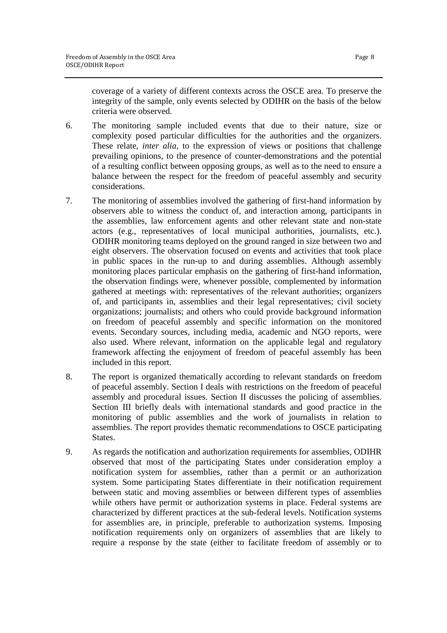coverage of a variety of different contexts across the OSCE area. To preserve the integrity of the sample, only events selected by ODIHR on the basis of the below criteria were observed.

- 6. The monitoring sample included events that due to their nature, size or complexity posed particular difficulties for the authorities and the organizers. These relate, *inter alia*, to the expression of views or positions that challenge prevailing opinions, to the presence of counter-demonstrations and the potential of a resulting conflict between opposing groups, as well as to the need to ensure a balance between the respect for the freedom of peaceful assembly and security considerations.
- 7. The monitoring of assemblies involved the gathering of first-hand information by observers able to witness the conduct of, and interaction among, participants in the assemblies, law enforcement agents and other relevant state and non-state actors (e.g., representatives of local municipal authorities, journalists, etc.). ODIHR monitoring teams deployed on the ground ranged in size between two and eight observers. The observation focused on events and activities that took place in public spaces in the run-up to and during assemblies. Although assembly monitoring places particular emphasis on the gathering of first-hand information, the observation findings were, whenever possible, complemented by information gathered at meetings with: representatives of the relevant authorities; organizers of, and participants in, assemblies and their legal representatives; civil society organizations; journalists; and others who could provide background information on freedom of peaceful assembly and specific information on the monitored events. Secondary sources, including media, academic and NGO reports, were also used. Where relevant, information on the applicable legal and regulatory framework affecting the enjoyment of freedom of peaceful assembly has been included in this report.
- 8. The report is organized thematically according to relevant standards on freedom of peaceful assembly. Section I deals with restrictions on the freedom of peaceful assembly and procedural issues. Section II discusses the policing of assemblies. Section III briefly deals with international standards and good practice in the monitoring of public assemblies and the work of journalists in relation to assemblies. The report provides thematic recommendations to OSCE participating States.
- 9. As regards the notification and authorization requirements for assemblies, ODIHR observed that most of the participating States under consideration employ a notification system for assemblies, rather than a permit or an authorization system. Some participating States differentiate in their notification requirement between static and moving assemblies or between different types of assemblies while others have permit or authorization systems in place. Federal systems are characterized by different practices at the sub-federal levels. Notification systems for assemblies are, in principle, preferable to authorization systems. Imposing notification requirements only on organizers of assemblies that are likely to require a response by the state (either to facilitate freedom of assembly or to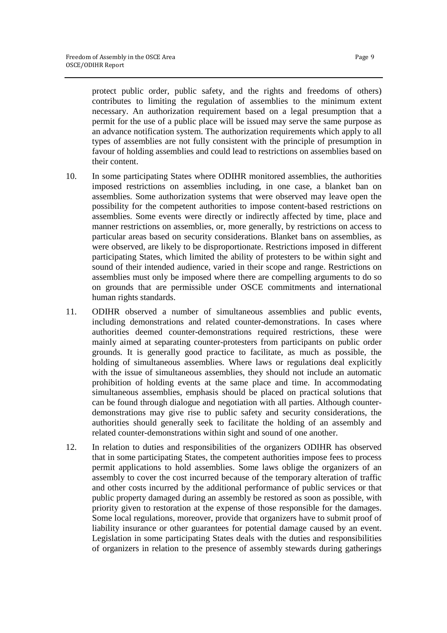protect public order, public safety, and the rights and freedoms of others) contributes to limiting the regulation of assemblies to the minimum extent necessary. An authorization requirement based on a legal presumption that a permit for the use of a public place will be issued may serve the same purpose as an advance notification system. The authorization requirements which apply to all types of assemblies are not fully consistent with the principle of presumption in favour of holding assemblies and could lead to restrictions on assemblies based on their content.

- 10. In some participating States where ODIHR monitored assemblies, the authorities imposed restrictions on assemblies including, in one case, a blanket ban on assemblies. Some authorization systems that were observed may leave open the possibility for the competent authorities to impose content-based restrictions on assemblies. Some events were directly or indirectly affected by time, place and manner restrictions on assemblies, or, more generally, by restrictions on access to particular areas based on security considerations. Blanket bans on assemblies, as were observed, are likely to be disproportionate. Restrictions imposed in different participating States, which limited the ability of protesters to be within sight and sound of their intended audience, varied in their scope and range. Restrictions on assemblies must only be imposed where there are compelling arguments to do so on grounds that are permissible under OSCE commitments and international human rights standards.
- 11. ODIHR observed a number of simultaneous assemblies and public events, including demonstrations and related counter-demonstrations. In cases where authorities deemed counter-demonstrations required restrictions, these were mainly aimed at separating counter-protesters from participants on public order grounds. It is generally good practice to facilitate, as much as possible, the holding of simultaneous assemblies. Where laws or regulations deal explicitly with the issue of simultaneous assemblies, they should not include an automatic prohibition of holding events at the same place and time. In accommodating simultaneous assemblies, emphasis should be placed on practical solutions that can be found through dialogue and negotiation with all parties. Although counterdemonstrations may give rise to public safety and security considerations, the authorities should generally seek to facilitate the holding of an assembly and related counter-demonstrations within sight and sound of one another.
- 12. In relation to duties and responsibilities of the organizers ODIHR has observed that in some participating States, the competent authorities impose fees to process permit applications to hold assemblies. Some laws oblige the organizers of an assembly to cover the cost incurred because of the temporary alteration of traffic and other costs incurred by the additional performance of public services or that public property damaged during an assembly be restored as soon as possible, with priority given to restoration at the expense of those responsible for the damages. Some local regulations, moreover, provide that organizers have to submit proof of liability insurance or other guarantees for potential damage caused by an event. Legislation in some participating States deals with the duties and responsibilities of organizers in relation to the presence of assembly stewards during gatherings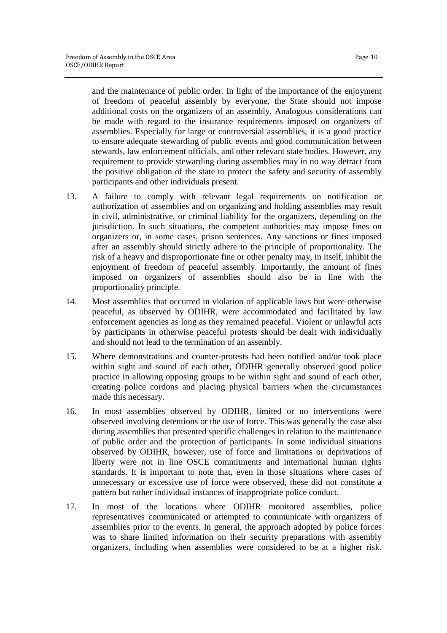and the maintenance of public order. In light of the importance of the enjoyment of freedom of peaceful assembly by everyone, the State should not impose additional costs on the organizers of an assembly. Analogous considerations can be made with regard to the insurance requirements imposed on organizers of assemblies. Especially for large or controversial assemblies, it is a good practice to ensure adequate stewarding of public events and good communication between stewards, law enforcement officials, and other relevant state bodies. However, any requirement to provide stewarding during assemblies may in no way detract from the positive obligation of the state to protect the safety and security of assembly participants and other individuals present.

- 13. A failure to comply with relevant legal requirements on notification or authorization of assemblies and on organizing and holding assemblies may result in civil, administrative, or criminal liability for the organizers, depending on the jurisdiction. In such situations, the competent authorities may impose fines on organizers or, in some cases, prison sentences. Any sanctions or fines imposed after an assembly should strictly adhere to the principle of proportionality. The risk of a heavy and disproportionate fine or other penalty may, in itself, inhibit the enjoyment of freedom of peaceful assembly. Importantly, the amount of fines imposed on organizers of assemblies should also be in line with the proportionality principle.
- 14. Most assemblies that occurred in violation of applicable laws but were otherwise peaceful, as observed by ODIHR, were accommodated and facilitated by law enforcement agencies as long as they remained peaceful. Violent or unlawful acts by participants in otherwise peaceful protests should be dealt with individually and should not lead to the termination of an assembly.
- 15. Where demonstrations and counter-protests had been notified and/or took place within sight and sound of each other. ODIHR generally observed good police practice in allowing opposing groups to be within sight and sound of each other, creating police cordons and placing physical barriers when the circumstances made this necessary.
- 16. In most assemblies observed by ODIHR, limited or no interventions were observed involving detentions or the use of force. This was generally the case also during assemblies that presented specific challenges in relation to the maintenance of public order and the protection of participants. In some individual situations observed by ODIHR, however, use of force and limitations or deprivations of liberty were not in line OSCE commitments and international human rights standards. It is important to note that, even in those situations where cases of unnecessary or excessive use of force were observed, these did not constitute a pattern but rather individual instances of inappropriate police conduct.
- 17. In most of the locations where ODIHR monitored assemblies, police representatives communicated or attempted to communicate with organizers of assemblies prior to the events. In general, the approach adopted by police forces was to share limited information on their security preparations with assembly organizers, including when assemblies were considered to be at a higher risk.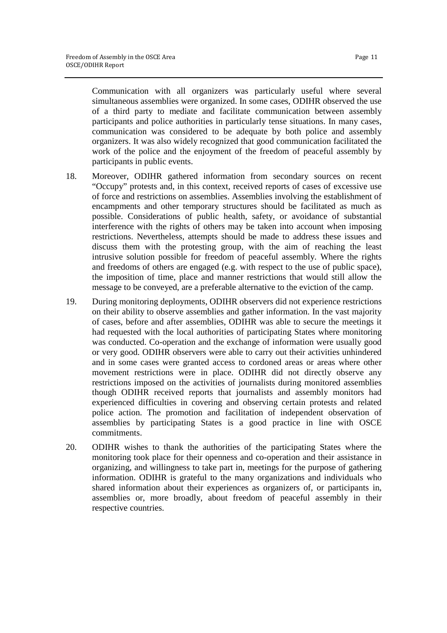Communication with all organizers was particularly useful where several simultaneous assemblies were organized. In some cases, ODIHR observed the use of a third party to mediate and facilitate communication between assembly participants and police authorities in particularly tense situations. In many cases, communication was considered to be adequate by both police and assembly organizers. It was also widely recognized that good communication facilitated the work of the police and the enjoyment of the freedom of peaceful assembly by participants in public events.

- 18. Moreover, ODIHR gathered information from secondary sources on recent "Occupy" protests and, in this context, received reports of cases of excessive use of force and restrictions on assemblies. Assemblies involving the establishment of encampments and other temporary structures should be facilitated as much as possible. Considerations of public health, safety, or avoidance of substantial interference with the rights of others may be taken into account when imposing restrictions. Nevertheless, attempts should be made to address these issues and discuss them with the protesting group, with the aim of reaching the least intrusive solution possible for freedom of peaceful assembly. Where the rights and freedoms of others are engaged (e.g. with respect to the use of public space), the imposition of time, place and manner restrictions that would still allow the message to be conveyed, are a preferable alternative to the eviction of the camp.
- 19. During monitoring deployments, ODIHR observers did not experience restrictions on their ability to observe assemblies and gather information. In the vast majority of cases, before and after assemblies, ODIHR was able to secure the meetings it had requested with the local authorities of participating States where monitoring was conducted. Co-operation and the exchange of information were usually good or very good. ODIHR observers were able to carry out their activities unhindered and in some cases were granted access to cordoned areas or areas where other movement restrictions were in place. ODIHR did not directly observe any restrictions imposed on the activities of journalists during monitored assemblies though ODIHR received reports that journalists and assembly monitors had experienced difficulties in covering and observing certain protests and related police action. The promotion and facilitation of independent observation of assemblies by participating States is a good practice in line with OSCE commitments.
- 20. ODIHR wishes to thank the authorities of the participating States where the monitoring took place for their openness and co-operation and their assistance in organizing, and willingness to take part in, meetings for the purpose of gathering information. ODIHR is grateful to the many organizations and individuals who shared information about their experiences as organizers of, or participants in, assemblies or, more broadly, about freedom of peaceful assembly in their respective countries.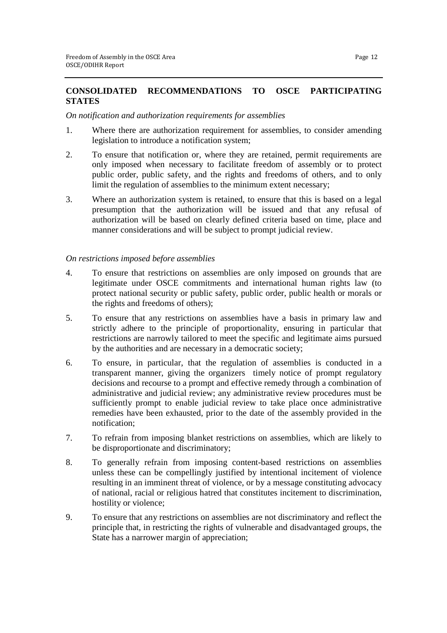# **CONSOLIDATED RECOMMENDATIONS TO OSCE PARTICIPATING STATES**

#### *On notification and authorization requirements for assemblies*

- 1. Where there are authorization requirement for assemblies, to consider amending legislation to introduce a notification system;
- 2. To ensure that notification or, where they are retained, permit requirements are only imposed when necessary to facilitate freedom of assembly or to protect public order, public safety, and the rights and freedoms of others, and to only limit the regulation of assemblies to the minimum extent necessary;
- 3. Where an authorization system is retained, to ensure that this is based on a legal presumption that the authorization will be issued and that any refusal of authorization will be based on clearly defined criteria based on time, place and manner considerations and will be subject to prompt judicial review.

# *On restrictions imposed before assemblies*

- 4. To ensure that restrictions on assemblies are only imposed on grounds that are legitimate under OSCE commitments and international human rights law (to protect national security or public safety, public order, public health or morals or the rights and freedoms of others);
- 5. To ensure that any restrictions on assemblies have a basis in primary law and strictly adhere to the principle of proportionality, ensuring in particular that restrictions are narrowly tailored to meet the specific and legitimate aims pursued by the authorities and are necessary in a democratic society;
- 6. To ensure, in particular, that the regulation of assemblies is conducted in a transparent manner, giving the organizers timely notice of prompt regulatory decisions and recourse to a prompt and effective remedy through a combination of administrative and judicial review; any administrative review procedures must be sufficiently prompt to enable judicial review to take place once administrative remedies have been exhausted, prior to the date of the assembly provided in the notification;
- 7. To refrain from imposing blanket restrictions on assemblies, which are likely to be disproportionate and discriminatory;
- 8. To generally refrain from imposing content-based restrictions on assemblies unless these can be compellingly justified by intentional incitement of violence resulting in an imminent threat of violence, or by a message constituting advocacy of national, racial or religious hatred that constitutes incitement to discrimination, hostility or violence;
- 9. To ensure that any restrictions on assemblies are not discriminatory and reflect the principle that, in restricting the rights of vulnerable and disadvantaged groups, the State has a narrower margin of appreciation;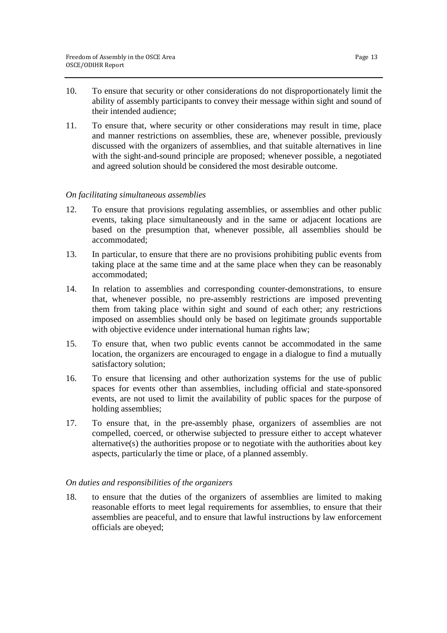- 10. To ensure that security or other considerations do not disproportionately limit the ability of assembly participants to convey their message within sight and sound of their intended audience;
- 11. To ensure that, where security or other considerations may result in time, place and manner restrictions on assemblies, these are, whenever possible, previously discussed with the organizers of assemblies, and that suitable alternatives in line with the sight-and-sound principle are proposed; whenever possible, a negotiated and agreed solution should be considered the most desirable outcome.

#### *On facilitating simultaneous assemblies*

- 12. To ensure that provisions regulating assemblies, or assemblies and other public events, taking place simultaneously and in the same or adjacent locations are based on the presumption that, whenever possible, all assemblies should be accommodated;
- 13. In particular, to ensure that there are no provisions prohibiting public events from taking place at the same time and at the same place when they can be reasonably accommodated;
- 14. In relation to assemblies and corresponding counter-demonstrations, to ensure that, whenever possible, no pre-assembly restrictions are imposed preventing them from taking place within sight and sound of each other; any restrictions imposed on assemblies should only be based on legitimate grounds supportable with objective evidence under international human rights law;
- 15. To ensure that, when two public events cannot be accommodated in the same location, the organizers are encouraged to engage in a dialogue to find a mutually satisfactory solution;
- 16. To ensure that licensing and other authorization systems for the use of public spaces for events other than assemblies, including official and state-sponsored events, are not used to limit the availability of public spaces for the purpose of holding assemblies;
- 17. To ensure that, in the pre-assembly phase, organizers of assemblies are not compelled, coerced, or otherwise subjected to pressure either to accept whatever alternative(s) the authorities propose or to negotiate with the authorities about key aspects, particularly the time or place, of a planned assembly.

#### *On duties and responsibilities of the organizers*

18. to ensure that the duties of the organizers of assemblies are limited to making reasonable efforts to meet legal requirements for assemblies, to ensure that their assemblies are peaceful, and to ensure that lawful instructions by law enforcement officials are obeyed;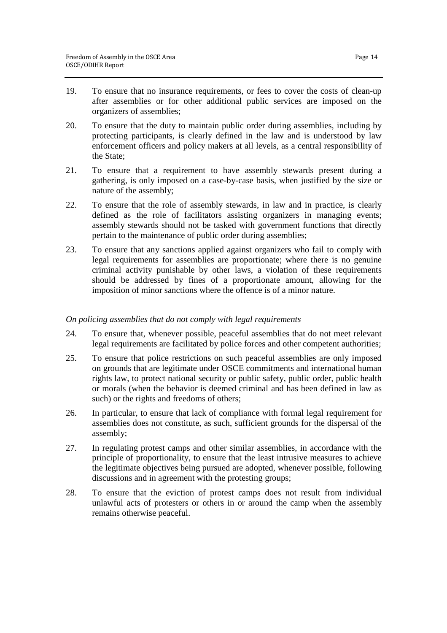- 19. To ensure that no insurance requirements, or fees to cover the costs of clean-up after assemblies or for other additional public services are imposed on the organizers of assemblies;
- 20. To ensure that the duty to maintain public order during assemblies, including by protecting participants, is clearly defined in the law and is understood by law enforcement officers and policy makers at all levels, as a central responsibility of the State;
- 21. To ensure that a requirement to have assembly stewards present during a gathering, is only imposed on a case-by-case basis, when justified by the size or nature of the assembly;
- 22. To ensure that the role of assembly stewards, in law and in practice, is clearly defined as the role of facilitators assisting organizers in managing events; assembly stewards should not be tasked with government functions that directly pertain to the maintenance of public order during assemblies;
- 23. To ensure that any sanctions applied against organizers who fail to comply with legal requirements for assemblies are proportionate; where there is no genuine criminal activity punishable by other laws, a violation of these requirements should be addressed by fines of a proportionate amount, allowing for the imposition of minor sanctions where the offence is of a minor nature.

#### *On policing assemblies that do not comply with legal requirements*

- 24. To ensure that, whenever possible, peaceful assemblies that do not meet relevant legal requirements are facilitated by police forces and other competent authorities;
- 25. To ensure that police restrictions on such peaceful assemblies are only imposed on grounds that are legitimate under OSCE commitments and international human rights law, to protect national security or public safety, public order, public health or morals (when the behavior is deemed criminal and has been defined in law as such) or the rights and freedoms of others;
- 26. In particular, to ensure that lack of compliance with formal legal requirement for assemblies does not constitute, as such, sufficient grounds for the dispersal of the assembly;
- 27. In regulating protest camps and other similar assemblies, in accordance with the principle of proportionality, to ensure that the least intrusive measures to achieve the legitimate objectives being pursued are adopted, whenever possible, following discussions and in agreement with the protesting groups;
- 28. To ensure that the eviction of protest camps does not result from individual unlawful acts of protesters or others in or around the camp when the assembly remains otherwise peaceful.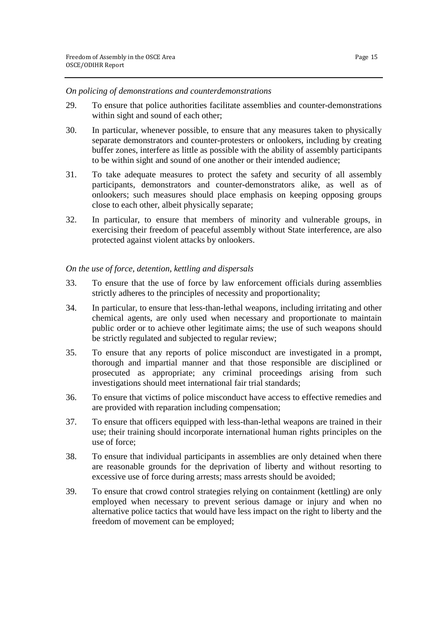#### *On policing of demonstrations and counterdemonstrations*

- 29. To ensure that police authorities facilitate assemblies and counter-demonstrations within sight and sound of each other;
- 30. In particular, whenever possible, to ensure that any measures taken to physically separate demonstrators and counter-protesters or onlookers, including by creating buffer zones, interfere as little as possible with the ability of assembly participants to be within sight and sound of one another or their intended audience;
- 31. To take adequate measures to protect the safety and security of all assembly participants, demonstrators and counter-demonstrators alike, as well as of onlookers; such measures should place emphasis on keeping opposing groups close to each other, albeit physically separate;
- 32. In particular, to ensure that members of minority and vulnerable groups, in exercising their freedom of peaceful assembly without State interference, are also protected against violent attacks by onlookers.

#### *On the use of force, detention, kettling and dispersals*

- 33. To ensure that the use of force by law enforcement officials during assemblies strictly adheres to the principles of necessity and proportionality;
- 34. In particular, to ensure that less-than-lethal weapons, including irritating and other chemical agents, are only used when necessary and proportionate to maintain public order or to achieve other legitimate aims; the use of such weapons should be strictly regulated and subjected to regular review;
- 35. To ensure that any reports of police misconduct are investigated in a prompt, thorough and impartial manner and that those responsible are disciplined or prosecuted as appropriate; any criminal proceedings arising from such investigations should meet international fair trial standards;
- 36. To ensure that victims of police misconduct have access to effective remedies and are provided with reparation including compensation;
- 37. To ensure that officers equipped with less-than-lethal weapons are trained in their use; their training should incorporate international human rights principles on the use of force;
- 38. To ensure that individual participants in assemblies are only detained when there are reasonable grounds for the deprivation of liberty and without resorting to excessive use of force during arrests; mass arrests should be avoided;
- 39. To ensure that crowd control strategies relying on containment (kettling) are only employed when necessary to prevent serious damage or injury and when no alternative police tactics that would have less impact on the right to liberty and the freedom of movement can be employed;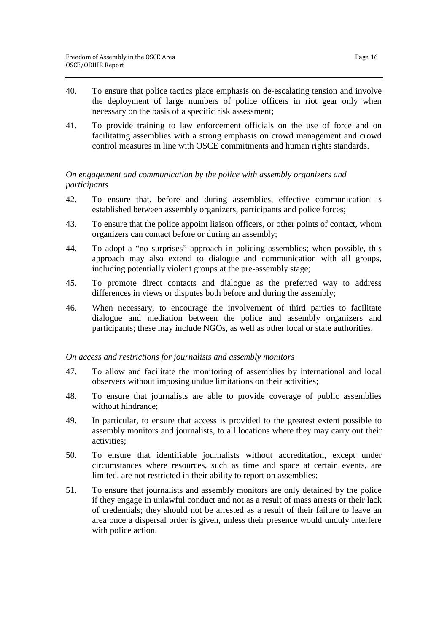- 40. To ensure that police tactics place emphasis on de-escalating tension and involve the deployment of large numbers of police officers in riot gear only when necessary on the basis of a specific risk assessment;
- 41. To provide training to law enforcement officials on the use of force and on facilitating assemblies with a strong emphasis on crowd management and crowd control measures in line with OSCE commitments and human rights standards.

# *On engagement and communication by the police with assembly organizers and participants*

- 42. To ensure that, before and during assemblies, effective communication is established between assembly organizers, participants and police forces;
- 43. To ensure that the police appoint liaison officers, or other points of contact, whom organizers can contact before or during an assembly;
- 44. To adopt a "no surprises" approach in policing assemblies; when possible, this approach may also extend to dialogue and communication with all groups, including potentially violent groups at the pre-assembly stage;
- 45. To promote direct contacts and dialogue as the preferred way to address differences in views or disputes both before and during the assembly;
- 46. When necessary, to encourage the involvement of third parties to facilitate dialogue and mediation between the police and assembly organizers and participants; these may include NGOs, as well as other local or state authorities.

# *On access and restrictions for journalists and assembly monitors*

- 47. To allow and facilitate the monitoring of assemblies by international and local observers without imposing undue limitations on their activities;
- 48. To ensure that journalists are able to provide coverage of public assemblies without hindrance;
- 49. In particular, to ensure that access is provided to the greatest extent possible to assembly monitors and journalists, to all locations where they may carry out their activities;
- 50. To ensure that identifiable journalists without accreditation, except under circumstances where resources, such as time and space at certain events, are limited, are not restricted in their ability to report on assemblies;
- 51. To ensure that journalists and assembly monitors are only detained by the police if they engage in unlawful conduct and not as a result of mass arrests or their lack of credentials; they should not be arrested as a result of their failure to leave an area once a dispersal order is given, unless their presence would unduly interfere with police action.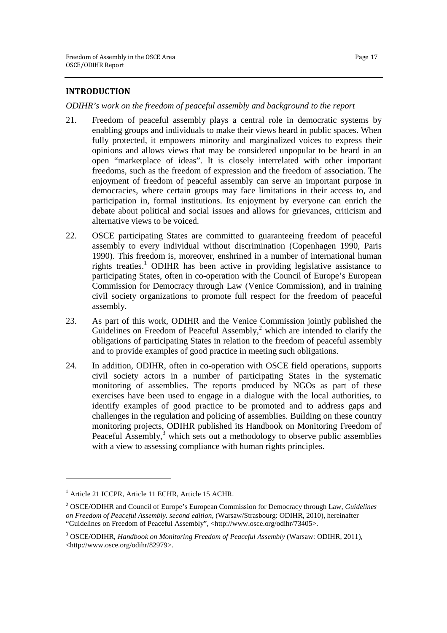#### **INTRODUCTION**

*ODIHR's work on the freedom of peaceful assembly and background to the report*

- 21. Freedom of peaceful assembly plays a central role in democratic systems by enabling groups and individuals to make their views heard in public spaces. When fully protected, it empowers minority and marginalized voices to express their opinions and allows views that may be considered unpopular to be heard in an open "marketplace of ideas". It is closely interrelated with other important freedoms, such as the freedom of expression and the freedom of association. The enjoyment of freedom of peaceful assembly can serve an important purpose in democracies, where certain groups may face limitations in their access to, and participation in, formal institutions. Its enjoyment by everyone can enrich the debate about political and social issues and allows for grievances, criticism and alternative views to be voiced.
- 22. OSCE participating States are committed to guaranteeing freedom of peaceful assembly to every individual without discrimination (Copenhagen 1990, Paris 1990). This freedom is, moreover, enshrined in a number of international human rights treaties.<sup>1</sup> ODIHR has been active in providing legislative assistance to participating States, often in co-operation with the Council of Europe's European Commission for Democracy through Law (Venice Commission), and in training civil society organizations to promote full respect for the freedom of peaceful assembly.
- 23. As part of this work, ODIHR and the Venice Commission jointly published the Guidelines on Freedom of Peaceful Assembly, $2$  which are intended to clarify the obligations of participating States in relation to the freedom of peaceful assembly and to provide examples of good practice in meeting such obligations.
- 24. In addition, ODIHR, often in co-operation with OSCE field operations, supports civil society actors in a number of participating States in the systematic monitoring of assemblies. The reports produced by NGOs as part of these exercises have been used to engage in a dialogue with the local authorities, to identify examples of good practice to be promoted and to address gaps and challenges in the regulation and policing of assemblies. Building on these country monitoring projects, ODIHR published its Handbook on Monitoring Freedom of Peaceful Assembly, $3$  which sets out a methodology to observe public assemblies with a view to assessing compliance with human rights principles.

<sup>1</sup> Article 21 ICCPR, Article 11 ECHR, Article 15 ACHR.

<sup>2</sup> OSCE/ODIHR and Council of Europe's European Commission for Democracy through Law, *Guidelines on Freedom of Peaceful Assembly. second edition*, (Warsaw/Strasbourg: ODIHR, 2010), hereinafter "Guidelines on Freedom of Peaceful Assembly", <http://www.osce.org/odihr/73405>.

<sup>3</sup> OSCE/ODIHR, *Handbook on Monitoring Freedom of Peaceful Assembly* (Warsaw: ODIHR, 2011), <http://www.osce.org/odihr/82979>.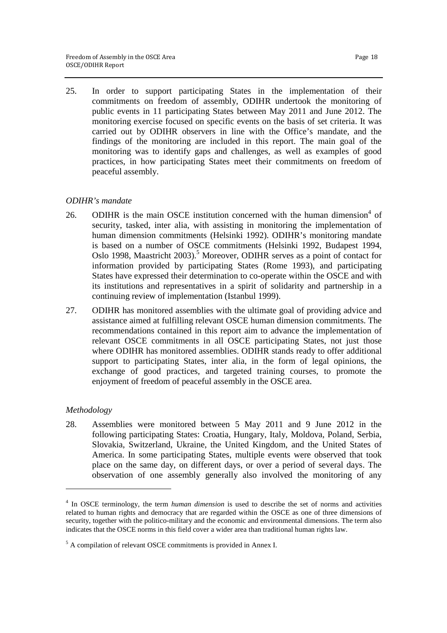25. In order to support participating States in the implementation of their commitments on freedom of assembly, ODIHR undertook the monitoring of public events in 11 participating States between May 2011 and June 2012. The monitoring exercise focused on specific events on the basis of set criteria. It was carried out by ODIHR observers in line with the Office's mandate, and the findings of the monitoring are included in this report. The main goal of the monitoring was to identify gaps and challenges, as well as examples of good practices, in how participating States meet their commitments on freedom of peaceful assembly.

# *ODIHR's mandate*

- 26. ODIHR is the main OSCE institution concerned with the human dimension<sup>4</sup> of security, tasked, inter alia, with assisting in monitoring the implementation of human dimension commitments (Helsinki 1992). ODIHR's monitoring mandate is based on a number of OSCE commitments (Helsinki 1992, Budapest 1994, Oslo 1998, Maastricht 2003).<sup>5</sup> Moreover, ODIHR serves as a point of contact for information provided by participating States (Rome 1993), and participating States have expressed their determination to co-operate within the OSCE and with its institutions and representatives in a spirit of solidarity and partnership in a continuing review of implementation (Istanbul 1999).
- 27. ODIHR has monitored assemblies with the ultimate goal of providing advice and assistance aimed at fulfilling relevant OSCE human dimension commitments. The recommendations contained in this report aim to advance the implementation of relevant OSCE commitments in all OSCE participating States, not just those where ODIHR has monitored assemblies. ODIHR stands ready to offer additional support to participating States, inter alia, in the form of legal opinions, the exchange of good practices, and targeted training courses, to promote the enjoyment of freedom of peaceful assembly in the OSCE area.

#### *Methodology*

<u>.</u>

28. Assemblies were monitored between 5 May 2011 and 9 June 2012 in the following participating States: Croatia, Hungary, Italy, Moldova, Poland, Serbia, Slovakia, Switzerland, Ukraine, the United Kingdom, and the United States of America. In some participating States, multiple events were observed that took place on the same day, on different days, or over a period of several days. The observation of one assembly generally also involved the monitoring of any

<sup>&</sup>lt;sup>4</sup> In OSCE terminology, the term *human dimension* is used to describe the set of norms and activities related to human rights and democracy that are regarded within the OSCE as one of three dimensions of security, together with the politico-military and the economic and environmental dimensions. The term also indicates that the OSCE norms in this field cover a wider area than traditional human rights law.

<sup>&</sup>lt;sup>5</sup> A compilation of relevant OSCE commitments is provided in Annex I.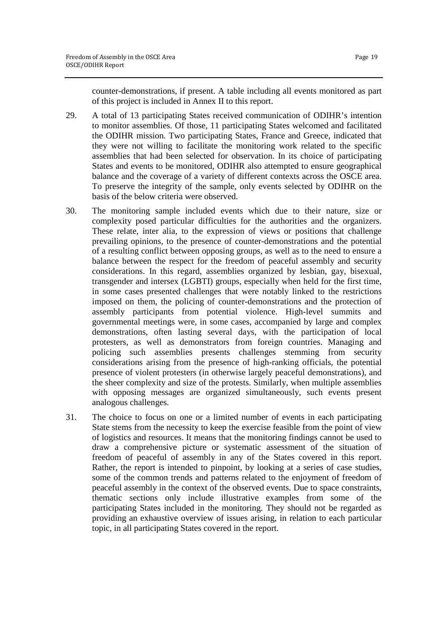counter-demonstrations, if present. A table including all events monitored as part of this project is included in Annex II to this report.

- 29. A total of 13 participating States received communication of ODIHR's intention to monitor assemblies. Of those, 11 participating States welcomed and facilitated the ODIHR mission. Two participating States, France and Greece, indicated that they were not willing to facilitate the monitoring work related to the specific assemblies that had been selected for observation. In its choice of participating States and events to be monitored, ODIHR also attempted to ensure geographical balance and the coverage of a variety of different contexts across the OSCE area. To preserve the integrity of the sample, only events selected by ODIHR on the basis of the below criteria were observed.
- 30. The monitoring sample included events which due to their nature, size or complexity posed particular difficulties for the authorities and the organizers. These relate, inter alia, to the expression of views or positions that challenge prevailing opinions, to the presence of counter-demonstrations and the potential of a resulting conflict between opposing groups, as well as to the need to ensure a balance between the respect for the freedom of peaceful assembly and security considerations. In this regard, assemblies organized by lesbian, gay, bisexual, transgender and intersex (LGBTI) groups, especially when held for the first time, in some cases presented challenges that were notably linked to the restrictions imposed on them, the policing of counter-demonstrations and the protection of assembly participants from potential violence. High-level summits and governmental meetings were, in some cases, accompanied by large and complex demonstrations, often lasting several days, with the participation of local protesters, as well as demonstrators from foreign countries. Managing and policing such assemblies presents challenges stemming from security considerations arising from the presence of high-ranking officials, the potential presence of violent protesters (in otherwise largely peaceful demonstrations), and the sheer complexity and size of the protests. Similarly, when multiple assemblies with opposing messages are organized simultaneously, such events present analogous challenges.
- 31. The choice to focus on one or a limited number of events in each participating State stems from the necessity to keep the exercise feasible from the point of view of logistics and resources. It means that the monitoring findings cannot be used to draw a comprehensive picture or systematic assessment of the situation of freedom of peaceful of assembly in any of the States covered in this report. Rather, the report is intended to pinpoint, by looking at a series of case studies, some of the common trends and patterns related to the enjoyment of freedom of peaceful assembly in the context of the observed events. Due to space constraints, thematic sections only include illustrative examples from some of the participating States included in the monitoring. They should not be regarded as providing an exhaustive overview of issues arising, in relation to each particular topic, in all participating States covered in the report.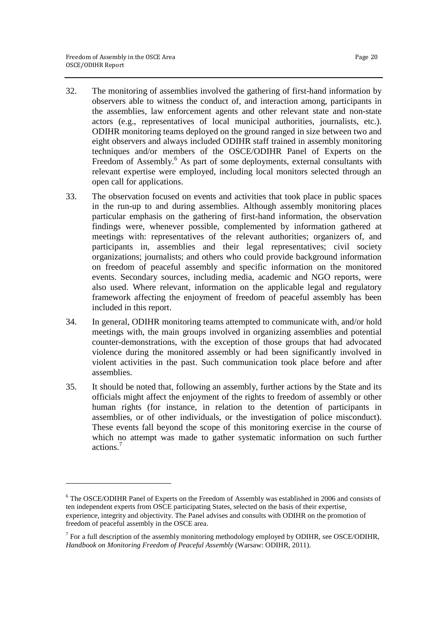- 32. The monitoring of assemblies involved the gathering of first-hand information by observers able to witness the conduct of, and interaction among, participants in the assemblies, law enforcement agents and other relevant state and non-state actors (e.g., representatives of local municipal authorities, journalists, etc.). ODIHR monitoring teams deployed on the ground ranged in size between two and eight observers and always included ODIHR staff trained in assembly monitoring techniques and/or members of the OSCE/ODIHR Panel of Experts on the Freedom of Assembly.<sup>6</sup> As part of some deployments, external consultants with relevant expertise were employed, including local monitors selected through an open call for applications.
- 33. The observation focused on events and activities that took place in public spaces in the run-up to and during assemblies. Although assembly monitoring places particular emphasis on the gathering of first-hand information, the observation findings were, whenever possible, complemented by information gathered at meetings with: representatives of the relevant authorities; organizers of, and participants in, assemblies and their legal representatives; civil society organizations; journalists; and others who could provide background information on freedom of peaceful assembly and specific information on the monitored events. Secondary sources, including media, academic and NGO reports, were also used. Where relevant, information on the applicable legal and regulatory framework affecting the enjoyment of freedom of peaceful assembly has been included in this report.
- 34. In general, ODIHR monitoring teams attempted to communicate with, and/or hold meetings with, the main groups involved in organizing assemblies and potential counter-demonstrations, with the exception of those groups that had advocated violence during the monitored assembly or had been significantly involved in violent activities in the past. Such communication took place before and after assemblies.
- 35. It should be noted that, following an assembly, further actions by the State and its officials might affect the enjoyment of the rights to freedom of assembly or other human rights (for instance, in relation to the detention of participants in assemblies, or of other individuals, or the investigation of police misconduct). These events fall beyond the scope of this monitoring exercise in the course of which no attempt was made to gather systematic information on such further actions.<sup>7</sup>

<sup>&</sup>lt;sup>6</sup> The OSCE/ODIHR Panel of Experts on the Freedom of Assembly was established in 2006 and consists of ten independent experts from OSCE participating States, selected on the basis of their expertise, experience, integrity and objectivity. The Panel advises and consults with ODIHR on the promotion of freedom of peaceful assembly in the OSCE area.

 $<sup>7</sup>$  For a full description of the assembly monitoring methodology employed by ODIHR, see OSCE/ODIHR,</sup> *Handbook on Monitoring Freedom of Peaceful Assembly* (Warsaw: ODIHR, 2011).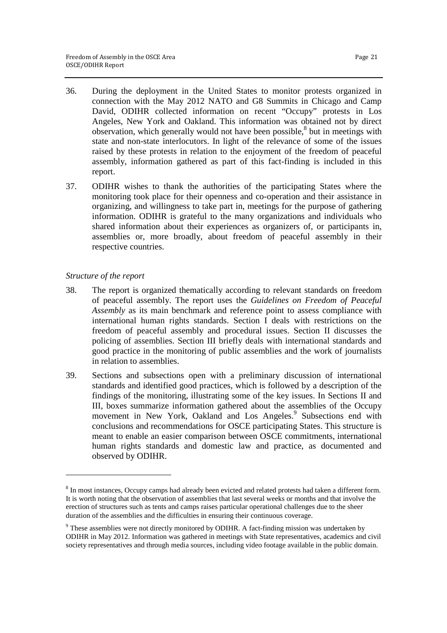- 36. During the deployment in the United States to monitor protests organized in connection with the May 2012 NATO and G8 Summits in Chicago and Camp David, ODIHR collected information on recent "Occupy" protests in Los Angeles, New York and Oakland. This information was obtained not by direct observation, which generally would not have been possible,<sup>8</sup> but in meetings with state and non-state interlocutors. In light of the relevance of some of the issues raised by these protests in relation to the enjoyment of the freedom of peaceful assembly, information gathered as part of this fact-finding is included in this report.
- 37. ODIHR wishes to thank the authorities of the participating States where the monitoring took place for their openness and co-operation and their assistance in organizing, and willingness to take part in, meetings for the purpose of gathering information. ODIHR is grateful to the many organizations and individuals who shared information about their experiences as organizers of, or participants in, assemblies or, more broadly, about freedom of peaceful assembly in their respective countries.

# *Structure of the report*

 $\overline{a}$ 

- 38. The report is organized thematically according to relevant standards on freedom of peaceful assembly. The report uses the *Guidelines on Freedom of Peaceful Assembly* as its main benchmark and reference point to assess compliance with international human rights standards. Section I deals with restrictions on the freedom of peaceful assembly and procedural issues. Section II discusses the policing of assemblies. Section III briefly deals with international standards and good practice in the monitoring of public assemblies and the work of journalists in relation to assemblies.
- 39. Sections and subsections open with a preliminary discussion of international standards and identified good practices, which is followed by a description of the findings of the monitoring, illustrating some of the key issues. In Sections II and III, boxes summarize information gathered about the assemblies of the Occupy movement in New York, Oakland and Los Angeles.<sup>9</sup> Subsections end with conclusions and recommendations for OSCE participating States. This structure is meant to enable an easier comparison between OSCE commitments, international human rights standards and domestic law and practice, as documented and observed by ODIHR.

 $8$  In most instances, Occupy camps had already been evicted and related protests had taken a different form. It is worth noting that the observation of assemblies that last several weeks or months and that involve the erection of structures such as tents and camps raises particular operational challenges due to the sheer duration of the assemblies and the difficulties in ensuring their continuous coverage.

<sup>&</sup>lt;sup>9</sup> These assemblies were not directly monitored by ODIHR. A fact-finding mission was undertaken by ODIHR in May 2012. Information was gathered in meetings with State representatives, academics and civil society representatives and through media sources, including video footage available in the public domain.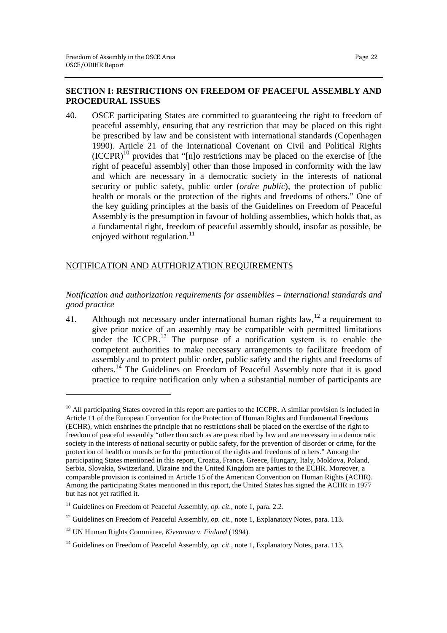# **SECTION I: RESTRICTIONS ON FREEDOM OF PEACEFUL ASSEMBLY AND PROCEDURAL ISSUES**

40. OSCE participating States are committed to guaranteeing the right to freedom of peaceful assembly, ensuring that any restriction that may be placed on this right be prescribed by law and be consistent with international standards (Copenhagen 1990). Article 21 of the International Covenant on Civil and Political Rights  $(ICCPR)^{10}$  provides that "[n]o restrictions may be placed on the exercise of [the right of peaceful assembly] other than those imposed in conformity with the law and which are necessary in a democratic society in the interests of national security or public safety, public order (*ordre public*), the protection of public health or morals or the protection of the rights and freedoms of others." One of the key guiding principles at the basis of the Guidelines on Freedom of Peaceful Assembly is the presumption in favour of holding assemblies, which holds that, as a fundamental right, freedom of peaceful assembly should, insofar as possible, be enjoyed without regulation.<sup>11</sup>

# NOTIFICATION AND AUTHORIZATION REQUIREMENTS

*Notification and authorization requirements for assemblies – international standards and good practice* 

41. Although not necessary under international human rights law,  $12$  a requirement to give prior notice of an assembly may be compatible with permitted limitations under the ICCPR.<sup>13</sup> The purpose of a notification system is to enable the competent authorities to make necessary arrangements to facilitate freedom of assembly and to protect public order, public safety and the rights and freedoms of others.<sup>14</sup> The Guidelines on Freedom of Peaceful Assembly note that it is good practice to require notification only when a substantial number of participants are

 $10$  All participating States covered in this report are parties to the ICCPR. A similar provision is included in Article 11 of the European Convention for the Protection of Human Rights and Fundamental Freedoms (ECHR), which enshrines the principle that no restrictions shall be placed on the exercise of the right to freedom of peaceful assembly "other than such as are prescribed by law and are necessary in a democratic society in the interests of national security or public safety, for the prevention of disorder or crime, for the protection of health or morals or for the protection of the rights and freedoms of others." Among the participating States mentioned in this report, Croatia, France, Greece, Hungary, Italy, Moldova, Poland, Serbia, Slovakia, Switzerland, Ukraine and the United Kingdom are parties to the ECHR. Moreover, a comparable provision is contained in Article 15 of the American Convention on Human Rights (ACHR). Among the participating States mentioned in this report, the United States has signed the ACHR in 1977 but has not yet ratified it.

<sup>&</sup>lt;sup>11</sup> Guidelines on Freedom of Peaceful Assembly, *op. cit.*, note 1, para. 2.2.

<sup>&</sup>lt;sup>12</sup> Guidelines on Freedom of Peaceful Assembly, *op. cit.*, note 1, Explanatory Notes, para. 113.

<sup>13</sup> UN Human Rights Committee, *Kivenmaa v. Finland* (1994).

<sup>&</sup>lt;sup>14</sup> Guidelines on Freedom of Peaceful Assembly, *op. cit.*, note 1, Explanatory Notes, para. 113.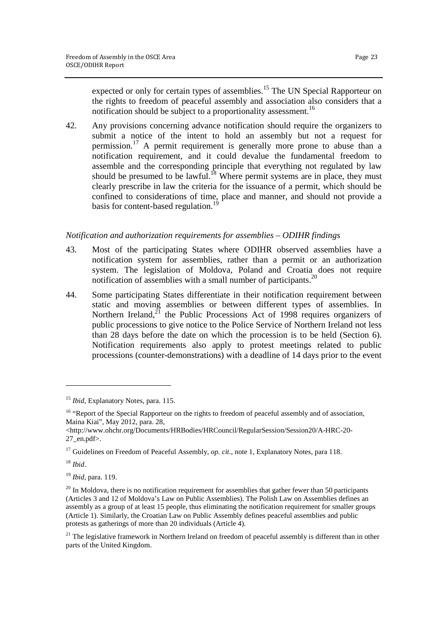expected or only for certain types of assemblies.<sup>15</sup> The UN Special Rapporteur on the rights to freedom of peaceful assembly and association also considers that a notification should be subject to a proportionality assessment.<sup>16</sup>

42. Any provisions concerning advance notification should require the organizers to submit a notice of the intent to hold an assembly but not a request for permission.<sup>17</sup> A permit requirement is generally more prone to abuse than a notification requirement, and it could devalue the fundamental freedom to assemble and the corresponding principle that everything not regulated by law should be presumed to be lawful.<sup>18</sup> Where permit systems are in place, they must clearly prescribe in law the criteria for the issuance of a permit, which should be confined to considerations of time, place and manner, and should not provide a basis for content-based regulation.<sup>19</sup>

# *Notification and authorization requirements for assemblies – ODIHR findings*

- 43. Most of the participating States where ODIHR observed assemblies have a notification system for assemblies, rather than a permit or an authorization system. The legislation of Moldova, Poland and Croatia does not require notification of assemblies with a small number of participants.<sup>20</sup>
- 44. Some participating States differentiate in their notification requirement between static and moving assemblies or between different types of assemblies. In Northern Ireland, $^{21}$  the Public Processions Act of 1998 requires organizers of public processions to give notice to the Police Service of Northern Ireland not less than 28 days before the date on which the procession is to be held (Section 6). Notification requirements also apply to protest meetings related to public processions (counter-demonstrations) with a deadline of 14 days prior to the event

<sup>15</sup> *Ibid*, Explanatory Notes, para. 115.

<sup>&</sup>lt;sup>16</sup> "Report of the Special Rapporteur on the rights to freedom of peaceful assembly and of association, Maina Kiai", May 2012, para. 28,

<sup>&</sup>lt;http://www.ohchr.org/Documents/HRBodies/HRCouncil/RegularSession/Session20/A-HRC-20- 27\_en.pdf>.

<sup>&</sup>lt;sup>17</sup> Guidelines on Freedom of Peaceful Assembly, *op. cit.*, note 1, Explanatory Notes, para 118.

<sup>18</sup> *Ibid*.

<sup>19</sup> *Ibid*, para. 119.

 $20$  In Moldova, there is no notification requirement for assemblies that gather fewer than 50 participants (Articles 3 and 12 of Moldova's Law on Public Assemblies). The Polish Law on Assemblies defines an assembly as a group of at least 15 people, thus eliminating the notification requirement for smaller groups (Article 1). Similarly, the Croatian Law on Public Assembly defines peaceful assemblies and public protests as gatherings of more than 20 individuals (Article 4).

 $21$  The legislative framework in Northern Ireland on freedom of peaceful assembly is different than in other parts of the United Kingdom.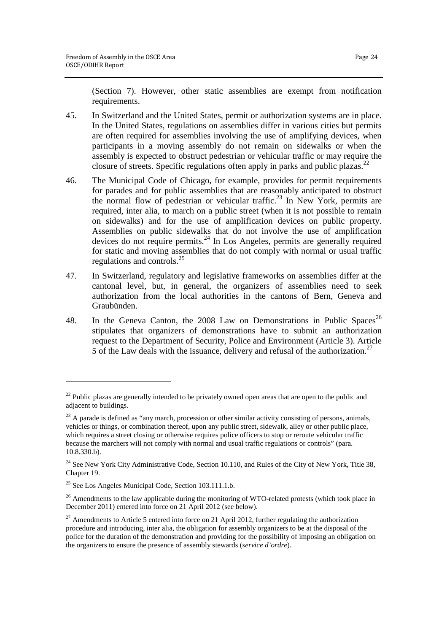(Section 7). However, other static assemblies are exempt from notification requirements.

- 45. In Switzerland and the United States, permit or authorization systems are in place. In the United States, regulations on assemblies differ in various cities but permits are often required for assemblies involving the use of amplifying devices, when participants in a moving assembly do not remain on sidewalks or when the assembly is expected to obstruct pedestrian or vehicular traffic or may require the closure of streets. Specific regulations often apply in parks and public plazas.<sup>2</sup>
- 46. The Municipal Code of Chicago, for example, provides for permit requirements for parades and for public assemblies that are reasonably anticipated to obstruct the normal flow of pedestrian or vehicular traffic.<sup>23</sup> In New York, permits are required, inter alia, to march on a public street (when it is not possible to remain on sidewalks) and for the use of amplification devices on public property. Assemblies on public sidewalks that do not involve the use of amplification devices do not require permits.<sup>24</sup> In Los Angeles, permits are generally required for static and moving assemblies that do not comply with normal or usual traffic regulations and controls.<sup>25</sup>
- 47. In Switzerland, regulatory and legislative frameworks on assemblies differ at the cantonal level, but, in general, the organizers of assemblies need to seek authorization from the local authorities in the cantons of Bern, Geneva and Graubünden.
- 48. In the Geneva Canton, the 2008 Law on Demonstrations in Public Spaces<sup>26</sup> stipulates that organizers of demonstrations have to submit an authorization request to the Department of Security, Police and Environment (Article 3). Article 5 of the Law deals with the issuance, delivery and refusal of the authorization.<sup>27</sup>

 $\overline{a}$ 

 $^{22}$  Public plazas are generally intended to be privately owned open areas that are open to the public and adjacent to buildings.

<sup>&</sup>lt;sup>23</sup> A parade is defined as "any march, procession or other similar activity consisting of persons, animals, vehicles or things, or combination thereof, upon any public street, sidewalk, alley or other public place, which requires a street closing or otherwise requires police officers to stop or reroute vehicular traffic because the marchers will not comply with normal and usual traffic regulations or controls" (para. 10.8.330.b).

<sup>&</sup>lt;sup>24</sup> See New York City Administrative Code, Section 10.110, and Rules of the City of New York, Title 38, Chapter 19.

<sup>25</sup> See Los Angeles Municipal Code, Section 103.111.1.b.

<sup>&</sup>lt;sup>26</sup> Amendments to the law applicable during the monitoring of WTO-related protests (which took place in December 2011) entered into force on 21 April 2012 (see below).

 $^{27}$  Amendments to Article 5 entered into force on 21 April 2012, further regulating the authorization procedure and introducing, inter alia, the obligation for assembly organizers to be at the disposal of the police for the duration of the demonstration and providing for the possibility of imposing an obligation on the organizers to ensure the presence of assembly stewards (*service d'ordre*).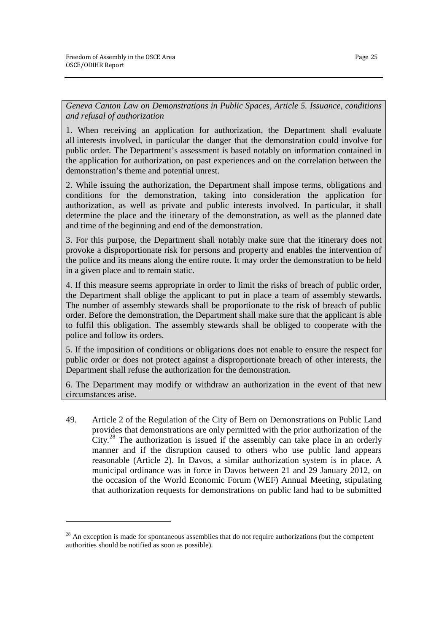1

*Geneva Canton Law on Demonstrations in Public Spaces, Article 5. Issuance, conditions and refusal of authorization* 

1. When receiving an application for authorization, the Department shall evaluate all interests involved, in particular the danger that the demonstration could involve for public order. The Department's assessment is based notably on information contained in the application for authorization, on past experiences and on the correlation between the demonstration's theme and potential unrest.

2. While issuing the authorization, the Department shall impose terms, obligations and conditions for the demonstration, taking into consideration the application for authorization, as well as private and public interests involved. In particular, it shall determine the place and the itinerary of the demonstration, as well as the planned date and time of the beginning and end of the demonstration.

3. For this purpose, the Department shall notably make sure that the itinerary does not provoke a disproportionate risk for persons and property and enables the intervention of the police and its means along the entire route. It may order the demonstration to be held in a given place and to remain static.

4. If this measure seems appropriate in order to limit the risks of breach of public order, the Department shall oblige the applicant to put in place a team of assembly stewards**.** The number of assembly stewards shall be proportionate to the risk of breach of public order. Before the demonstration, the Department shall make sure that the applicant is able to fulfil this obligation. The assembly stewards shall be obliged to cooperate with the police and follow its orders.

5. If the imposition of conditions or obligations does not enable to ensure the respect for public order or does not protect against a disproportionate breach of other interests, the Department shall refuse the authorization for the demonstration.

6. The Department may modify or withdraw an authorization in the event of that new circumstances arise.

49. Article 2 of the Regulation of the City of Bern on Demonstrations on Public Land provides that demonstrations are only permitted with the prior authorization of the City.<sup>28</sup> The authorization is issued if the assembly can take place in an orderly manner and if the disruption caused to others who use public land appears reasonable (Article 2). In Davos, a similar authorization system is in place. A municipal ordinance was in force in Davos between 21 and 29 January 2012, on the occasion of the World Economic Forum (WEF) Annual Meeting, stipulating that authorization requests for demonstrations on public land had to be submitted

 $28$  An exception is made for spontaneous assemblies that do not require authorizations (but the competent authorities should be notified as soon as possible).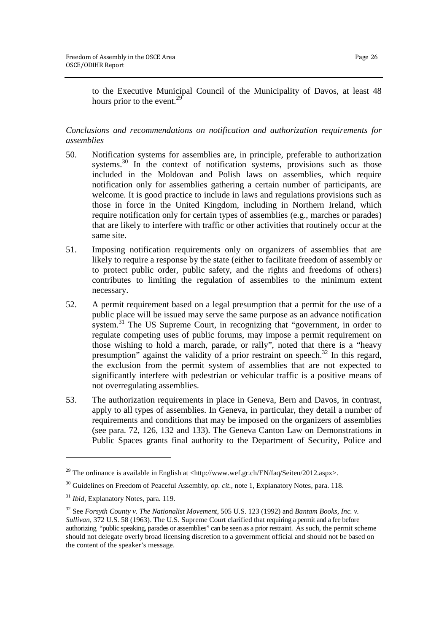to the Executive Municipal Council of the Municipality of Davos, at least 48 hours prior to the event. $<sup>2</sup>$ </sup>

# *Conclusions and recommendations on notification and authorization requirements for assemblies*

- 50. Notification systems for assemblies are, in principle, preferable to authorization systems.<sup>30</sup> In the context of notification systems, provisions such as those included in the Moldovan and Polish laws on assemblies, which require notification only for assemblies gathering a certain number of participants, are welcome. It is good practice to include in laws and regulations provisions such as those in force in the United Kingdom, including in Northern Ireland, which require notification only for certain types of assemblies (e.g., marches or parades) that are likely to interfere with traffic or other activities that routinely occur at the same site.
- 51. Imposing notification requirements only on organizers of assemblies that are likely to require a response by the state (either to facilitate freedom of assembly or to protect public order, public safety, and the rights and freedoms of others) contributes to limiting the regulation of assemblies to the minimum extent necessary.
- 52. A permit requirement based on a legal presumption that a permit for the use of a public place will be issued may serve the same purpose as an advance notification system.<sup>31</sup> The US Supreme Court, in recognizing that "government, in order to regulate competing uses of public forums, may impose a permit requirement on those wishing to hold a march, parade, or rally", noted that there is a "heavy presumption" against the validity of a prior restraint on speech.<sup>32</sup> In this regard, the exclusion from the permit system of assemblies that are not expected to significantly interfere with pedestrian or vehicular traffic is a positive means of not overregulating assemblies.
- 53. The authorization requirements in place in Geneva, Bern and Davos, in contrast, apply to all types of assemblies. In Geneva, in particular, they detail a number of requirements and conditions that may be imposed on the organizers of assemblies (see para. 72, 126, 132 and 133). The Geneva Canton Law on Demonstrations in Public Spaces grants final authority to the Department of Security, Police and

<sup>&</sup>lt;sup>29</sup> The ordinance is available in English at <http://www.wef.gr.ch/EN/faq/Seiten/2012.aspx>.

<sup>&</sup>lt;sup>30</sup> Guidelines on Freedom of Peaceful Assembly, *op. cit.*, note 1, Explanatory Notes, para. 118.

<sup>31</sup> *Ibid*, Explanatory Notes, para. 119.

<sup>32</sup> See *Forsyth County v. The Nationalist Movement*, 505 U.S. 123 (1992) and *Bantam Books, Inc. v. Sullivan*, 372 U.S. 58 (1963). The U.S. Supreme Court clarified that requiring a permit and a fee before authorizing "public speaking, parades or assemblies" can be seen as a prior restraint. As such, the permit scheme should not delegate overly broad licensing discretion to a government official and should not be based on the content of the speaker's message.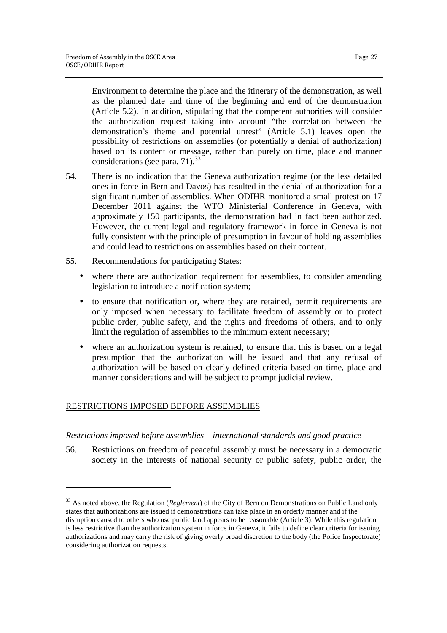Environment to determine the place and the itinerary of the demonstration, as well as the planned date and time of the beginning and end of the demonstration (Article 5.2). In addition, stipulating that the competent authorities will consider the authorization request taking into account "the correlation between the demonstration's theme and potential unrest" (Article 5.1) leaves open the possibility of restrictions on assemblies (or potentially a denial of authorization) based on its content or message, rather than purely on time, place and manner considerations (see para. 71). $33$ 

- 54. There is no indication that the Geneva authorization regime (or the less detailed ones in force in Bern and Davos) has resulted in the denial of authorization for a significant number of assemblies. When ODIHR monitored a small protest on 17 December 2011 against the WTO Ministerial Conference in Geneva, with approximately 150 participants, the demonstration had in fact been authorized. However, the current legal and regulatory framework in force in Geneva is not fully consistent with the principle of presumption in favour of holding assemblies and could lead to restrictions on assemblies based on their content.
- 55. Recommendations for participating States:
	- where there are authorization requirement for assemblies, to consider amending legislation to introduce a notification system;
	- to ensure that notification or, where they are retained, permit requirements are only imposed when necessary to facilitate freedom of assembly or to protect public order, public safety, and the rights and freedoms of others, and to only limit the regulation of assemblies to the minimum extent necessary;
	- where an authorization system is retained, to ensure that this is based on a legal presumption that the authorization will be issued and that any refusal of authorization will be based on clearly defined criteria based on time, place and manner considerations and will be subject to prompt judicial review.

# RESTRICTIONS IMPOSED BEFORE ASSEMBLIES

<u>.</u>

#### *Restrictions imposed before assemblies – international standards and good practice*

56. Restrictions on freedom of peaceful assembly must be necessary in a democratic society in the interests of national security or public safety, public order, the

<sup>&</sup>lt;sup>33</sup> As noted above, the Regulation (*Reglement*) of the City of Bern on Demonstrations on Public Land only states that authorizations are issued if demonstrations can take place in an orderly manner and if the disruption caused to others who use public land appears to be reasonable (Article 3). While this regulation is less restrictive than the authorization system in force in Geneva, it fails to define clear criteria for issuing authorizations and may carry the risk of giving overly broad discretion to the body (the Police Inspectorate) considering authorization requests.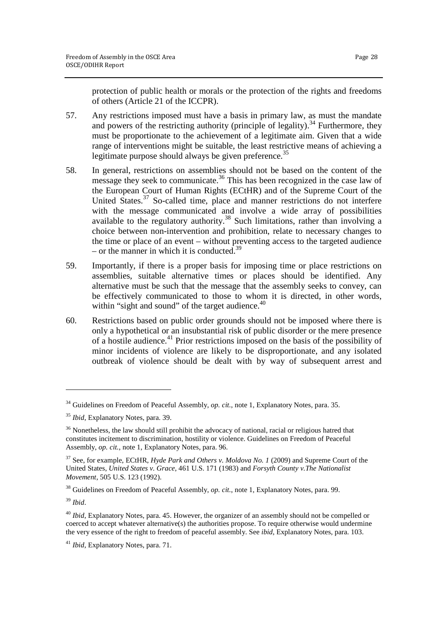protection of public health or morals or the protection of the rights and freedoms of others (Article 21 of the ICCPR).

- 57. Any restrictions imposed must have a basis in primary law, as must the mandate and powers of the restricting authority (principle of legality).<sup>34</sup> Furthermore, they must be proportionate to the achievement of a legitimate aim. Given that a wide range of interventions might be suitable, the least restrictive means of achieving a legitimate purpose should always be given preference.<sup>35</sup>
- 58. In general, restrictions on assemblies should not be based on the content of the message they seek to communicate.<sup>36</sup> This has been recognized in the case law of the European Court of Human Rights (ECtHR) and of the Supreme Court of the United States.<sup>37</sup> So-called time, place and manner restrictions do not interfere with the message communicated and involve a wide array of possibilities available to the regulatory authority.<sup>38</sup> Such limitations, rather than involving a choice between non-intervention and prohibition, relate to necessary changes to the time or place of an event – without preventing access to the targeted audience – or the manner in which it is conducted.<sup>39</sup>
- 59. Importantly, if there is a proper basis for imposing time or place restrictions on assemblies, suitable alternative times or places should be identified. Any alternative must be such that the message that the assembly seeks to convey, can be effectively communicated to those to whom it is directed, in other words, within "sight and sound" of the target audience. $40$
- 60. Restrictions based on public order grounds should not be imposed where there is only a hypothetical or an insubstantial risk of public disorder or the mere presence of a hostile audience.<sup>41</sup> Prior restrictions imposed on the basis of the possibility of minor incidents of violence are likely to be disproportionate, and any isolated outbreak of violence should be dealt with by way of subsequent arrest and

<sup>&</sup>lt;sup>34</sup> Guidelines on Freedom of Peaceful Assembly, *op. cit.*, note 1, Explanatory Notes, para. 35.

<sup>35</sup> *Ibid*, Explanatory Notes, para. 39.

<sup>&</sup>lt;sup>36</sup> Nonetheless, the law should still prohibit the advocacy of national, racial or religious hatred that constitutes incitement to discrimination, hostility or violence. Guidelines on Freedom of Peaceful Assembly, *op. cit.*, note 1, Explanatory Notes, para. 96.

<sup>37</sup> See, for example, ECtHR, *Hyde Park and Others v. Moldova No. 1* (2009) and Supreme Court of the United States, *United States v. Grace*, 461 U.S. 171 (1983) and *Forsyth County v.The Nationalist Movement*, 505 U.S. 123 (1992).

<sup>38</sup> Guidelines on Freedom of Peaceful Assembly, *op. cit.*, note 1, Explanatory Notes, para. 99.

<sup>39</sup> *Ibid*.

<sup>40</sup> *Ibid*, Explanatory Notes, para. 45. However, the organizer of an assembly should not be compelled or coerced to accept whatever alternative(s) the authorities propose. To require otherwise would undermine the very essence of the right to freedom of peaceful assembly. See *ibid*, Explanatory Notes, para. 103.

<sup>41</sup> *Ibid*, Explanatory Notes, para. 71.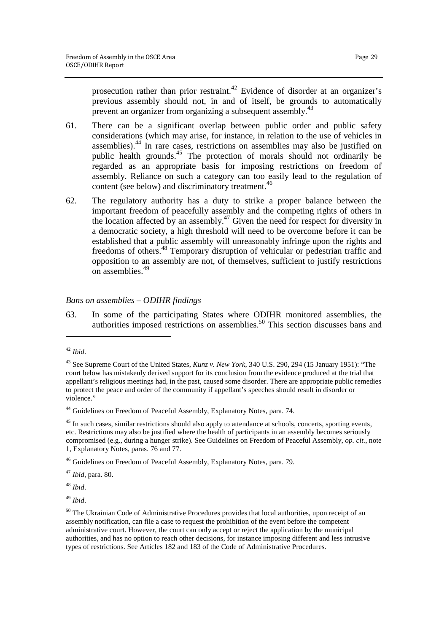prosecution rather than prior restraint.<sup>42</sup> Evidence of disorder at an organizer's previous assembly should not, in and of itself, be grounds to automatically prevent an organizer from organizing a subsequent assembly.<sup>43</sup>

- 61. There can be a significant overlap between public order and public safety considerations (which may arise, for instance, in relation to the use of vehicles in assemblies).<sup>44</sup> In rare cases, restrictions on assemblies may also be justified on public health grounds.<sup>45</sup> The protection of morals should not ordinarily be regarded as an appropriate basis for imposing restrictions on freedom of assembly. Reliance on such a category can too easily lead to the regulation of content (see below) and discriminatory treatment.<sup>46</sup>
- 62. The regulatory authority has a duty to strike a proper balance between the important freedom of peacefully assembly and the competing rights of others in the location affected by an assembly.<sup>47</sup> Given the need for respect for diversity in a democratic society, a high threshold will need to be overcome before it can be established that a public assembly will unreasonably infringe upon the rights and freedoms of others.<sup>48</sup> Temporary disruption of vehicular or pedestrian traffic and opposition to an assembly are not, of themselves, sufficient to justify restrictions on assemblies.<sup>49</sup>

# *Bans on assemblies – ODIHR findings*

63. In some of the participating States where ODIHR monitored assemblies, the authorities imposed restrictions on assemblies.<sup>50</sup> This section discusses bans and

<u>.</u>

<sup>48</sup> *Ibid*.

<sup>49</sup> *Ibid*.

<sup>42</sup> *Ibid*.

<sup>43</sup> See Supreme Court of the United States, *Kunz v. New York*, 340 U.S. 290, 294 (15 January 1951): "The court below has mistakenly derived support for its conclusion from the evidence produced at the trial that appellant's religious meetings had, in the past, caused some disorder. There are appropriate public remedies to protect the peace and order of the community if appellant's speeches should result in disorder or violence."

<sup>&</sup>lt;sup>44</sup> Guidelines on Freedom of Peaceful Assembly, Explanatory Notes, para. 74.

<sup>&</sup>lt;sup>45</sup> In such cases, similar restrictions should also apply to attendance at schools, concerts, sporting events, etc. Restrictions may also be justified where the health of participants in an assembly becomes seriously compromised (e.g., during a hunger strike). See Guidelines on Freedom of Peaceful Assembly, *op. cit.*, note 1, Explanatory Notes, paras. 76 and 77.

<sup>46</sup> Guidelines on Freedom of Peaceful Assembly, Explanatory Notes, para. 79.

<sup>47</sup> *Ibid*, para. 80.

<sup>&</sup>lt;sup>50</sup> The Ukrainian Code of Administrative Procedures provides that local authorities, upon receipt of an assembly notification, can file a case to request the prohibition of the event before the competent administrative court. However, the court can only accept or reject the application by the municipal authorities, and has no option to reach other decisions, for instance imposing different and less intrusive types of restrictions. See Articles 182 and 183 of the Code of Administrative Procedures.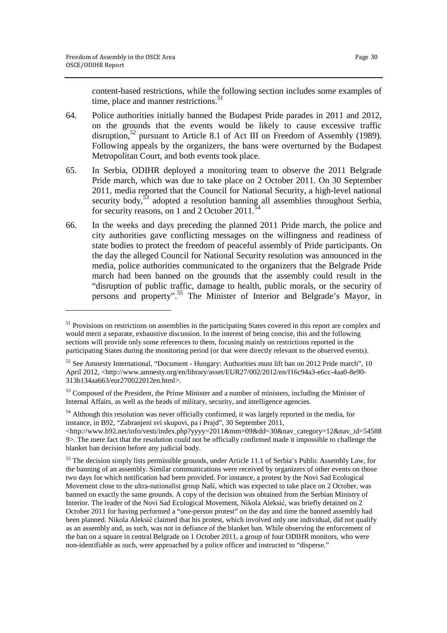1

content-based restrictions, while the following section includes some examples of time, place and manner restrictions.<sup>51</sup>

- 64. Police authorities initially banned the Budapest Pride parades in 2011 and 2012, on the grounds that the events would be likely to cause excessive traffic disruption,<sup>52</sup> pursuant to Article 8.1 of Act III on Freedom of Assembly (1989). Following appeals by the organizers, the bans were overturned by the Budapest Metropolitan Court, and both events took place.
- 65. In Serbia, ODIHR deployed a monitoring team to observe the 2011 Belgrade Pride march, which was due to take place on 2 October 2011. On 30 September 2011, media reported that the Council for National Security, a high-level national security body, $53$  adopted a resolution banning all assemblies throughout Serbia, for security reasons, on 1 and 2 October 2011. $\frac{3}{5}$
- 66. In the weeks and days preceding the planned 2011 Pride march, the police and city authorities gave conflicting messages on the willingness and readiness of state bodies to protect the freedom of peaceful assembly of Pride participants. On the day the alleged Council for National Security resolution was announced in the media, police authorities communicated to the organizers that the Belgrade Pride march had been banned on the grounds that the assembly could result in the "disruption of public traffic, damage to health, public morals, or the security of persons and property".<sup>55</sup> The Minister of Interior and Belgrade's Mayor, in

<sup>&</sup>lt;sup>51</sup> Provisions on restrictions on assemblies in the participating States covered in this report are complex and would merit a separate, exhaustive discussion. In the interest of being concise, this and the following sections will provide only some references to them, focusing mainly on restrictions reported in the participating States during the monitoring period (or that were directly relevant to the observed events).

 $52$  See Amnesty International, "Document - Hungary: Authorities must lift ban on 2012 Pride march", 10 April 2012, <http://www.amnesty.org/en/library/asset/EUR27/002/2012/en/f16c94a3-e6cc-4aa0-8e90- 313b134aa663/eur270022012en.html>.

<sup>53</sup> Composed of the President, the Prime Minister and a number of ministers, including the Minister of Internal Affairs, as well as the heads of military, security, and intelligence agencies.

<sup>&</sup>lt;sup>54</sup> Although this resolution was never officially confirmed, it was largely reported in the media, for instance, in B92, "Zabranjeni svi skupovi, pa i Prajd", 30 September 2011,

<sup>&</sup>lt;http://www.b92.net/info/vesti/index.php?yyyy=2011&mm=09&dd=30&nav\_category=12&nav\_id=54588 9>. The mere fact that the resolution could not be officially confirmed made it impossible to challenge the blanket ban decision before any judicial body.

<sup>&</sup>lt;sup>55</sup> The decision simply lists permissible grounds, under Article 11.1 of Serbia's Public Assembly Law, for the banning of an assembly. Similar communications were received by organizers of other events on those two days for which notification had been provided. For instance, a protest by the Novi Sad Ecological Movement close to the ultra-nationalist group Naši, which was expected to take place on 2 October, was banned on exactly the same grounds. A copy of the decision was obtained from the Serbian Ministry of Interior. The leader of the Novi Sad Ecological Movement, Nikola Aleksić, was briefly detained on 2 October 2011 for having performed a "one-person protest" on the day and time the banned assembly had been planned. Nikola Aleksić claimed that his protest, which involved only one individual, did not qualify as an assembly and, as such, was not in defiance of the blanket ban. While observing the enforcement of the ban on a square in central Belgrade on 1 October 2011, a group of four ODIHR monitors, who were non-identifiable as such, were approached by a police officer and instructed to "disperse."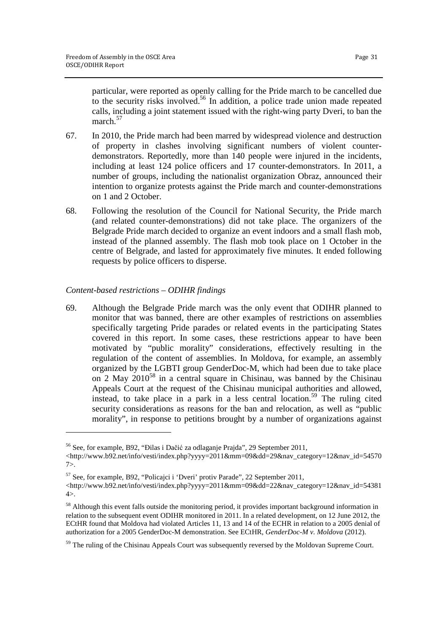particular, were reported as openly calling for the Pride march to be cancelled due to the security risks involved.<sup>56</sup> In addition, a police trade union made repeated calls, including a joint statement issued with the right-wing party Dveri, to ban the march.<sup>57</sup>

- 67. In 2010, the Pride march had been marred by widespread violence and destruction of property in clashes involving significant numbers of violent counterdemonstrators. Reportedly, more than 140 people were injured in the incidents, including at least 124 police officers and 17 counter-demonstrators. In 2011, a number of groups, including the nationalist organization Obraz, announced their intention to organize protests against the Pride march and counter-demonstrations on 1 and 2 October.
- 68. Following the resolution of the Council for National Security, the Pride march (and related counter-demonstrations) did not take place. The organizers of the Belgrade Pride march decided to organize an event indoors and a small flash mob, instead of the planned assembly. The flash mob took place on 1 October in the centre of Belgrade, and lasted for approximately five minutes. It ended following requests by police officers to disperse.

# *Content-based restrictions – ODIHR findings*

<u>.</u>

69. Although the Belgrade Pride march was the only event that ODIHR planned to monitor that was banned, there are other examples of restrictions on assemblies specifically targeting Pride parades or related events in the participating States covered in this report. In some cases, these restrictions appear to have been motivated by "public morality" considerations, effectively resulting in the regulation of the content of assemblies. In Moldova, for example, an assembly organized by the LGBTI group GenderDoc-M, which had been due to take place on 2 May  $2010^{58}$  in a central square in Chisinau, was banned by the Chisinau Appeals Court at the request of the Chisinau municipal authorities and allowed, instead, to take place in a park in a less central location.<sup>59</sup> The ruling cited security considerations as reasons for the ban and relocation, as well as "public morality", in response to petitions brought by a number of organizations against

<sup>56</sup> See, for example, B92, "Đilas i Dačić za odlaganje Prajda", 29 September 2011,

<sup>&</sup>lt;http://www.b92.net/info/vesti/index.php?yyyy=2011&mm=09&dd=29&nav\_category=12&nav\_id=54570 7>.

<sup>57</sup> See, for example, B92, "Policajci i 'Dveri' protiv Parade", 22 September 2011,

<sup>&</sup>lt;http://www.b92.net/info/vesti/index.php?yyyy=2011&mm=09&dd=22&nav\_category=12&nav\_id=54381  $4$ .

<sup>&</sup>lt;sup>58</sup> Although this event falls outside the monitoring period, it provides important background information in relation to the subsequent event ODIHR monitored in 2011. In a related development, on 12 June 2012, the ECtHR found that Moldova had violated Articles 11, 13 and 14 of the ECHR in relation to a 2005 denial of authorization for a 2005 GenderDoc-M demonstration. See ECtHR, *GenderDoc-M v. Moldova* (2012).

<sup>&</sup>lt;sup>59</sup> The ruling of the Chisinau Appeals Court was subsequently reversed by the Moldovan Supreme Court.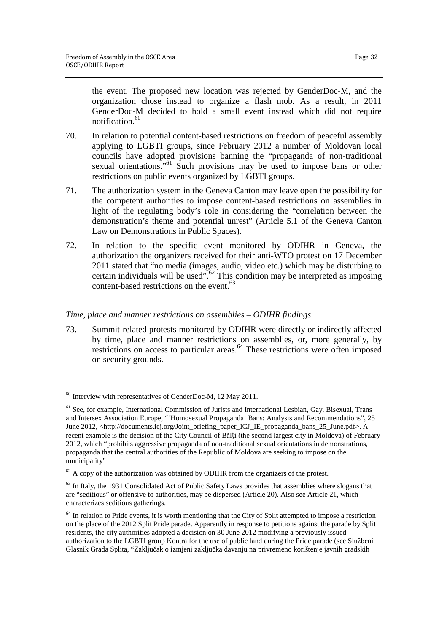the event. The proposed new location was rejected by GenderDoc-M, and the organization chose instead to organize a flash mob. As a result, in 2011 GenderDoc-M decided to hold a small event instead which did not require notification.<sup>60</sup>

- 70. In relation to potential content-based restrictions on freedom of peaceful assembly applying to LGBTI groups, since February 2012 a number of Moldovan local councils have adopted provisions banning the "propaganda of non-traditional sexual orientations."<sup>61</sup> Such provisions may be used to impose bans or other restrictions on public events organized by LGBTI groups.
- 71. The authorization system in the Geneva Canton may leave open the possibility for the competent authorities to impose content-based restrictions on assemblies in light of the regulating body's role in considering the "correlation between the demonstration's theme and potential unrest" (Article 5.1 of the Geneva Canton Law on Demonstrations in Public Spaces).
- 72. In relation to the specific event monitored by ODIHR in Geneva, the authorization the organizers received for their anti-WTO protest on 17 December 2011 stated that "no media (images, audio, video etc.) which may be disturbing to certain individuals will be used".<sup>62</sup> This condition may be interpreted as imposing content-based restrictions on the event.<sup>63</sup>

#### *Time, place and manner restrictions on assemblies – ODIHR findings*

73. Summit-related protests monitored by ODIHR were directly or indirectly affected by time, place and manner restrictions on assemblies, or, more generally, by restrictions on access to particular areas.<sup>64</sup> These restrictions were often imposed on security grounds.

 $60$  Interview with representatives of GenderDoc-M, 12 May 2011.

<sup>61</sup> See, for example, International Commission of Jurists and International Lesbian, Gay, Bisexual, Trans and Intersex Association Europe, "'Homosexual Propaganda' Bans: Analysis and Recommendations", 25 June 2012, <http://documents.icj.org/Joint\_briefing\_paper\_ICJ\_IE\_propaganda\_bans\_25\_June.pdf>. A recent example is the decision of the City Council of Bălți (the second largest city in Moldova) of February 2012, which "prohibits aggressive propaganda of non-traditional sexual orientations in demonstrations, propaganda that the central authorities of the Republic of Moldova are seeking to impose on the municipality"

 $62$  A copy of the authorization was obtained by ODIHR from the organizers of the protest.

 $63$  In Italy, the 1931 Consolidated Act of Public Safety Laws provides that assemblies where slogans that are "seditious" or offensive to authorities, may be dispersed (Article 20). Also see Article 21, which characterizes seditious gatherings.

 $64$  In relation to Pride events, it is worth mentioning that the City of Split attempted to impose a restriction on the place of the 2012 Split Pride parade. Apparently in response to petitions against the parade by Split residents, the city authorities adopted a decision on 30 June 2012 modifying a previously issued authorization to the LGBTI group Kontra for the use of public land during the Pride parade (see Službeni Glasnik Grada Splita, "Zaključak o izmjeni zaključka davanju na privremeno korištenje javnih gradskih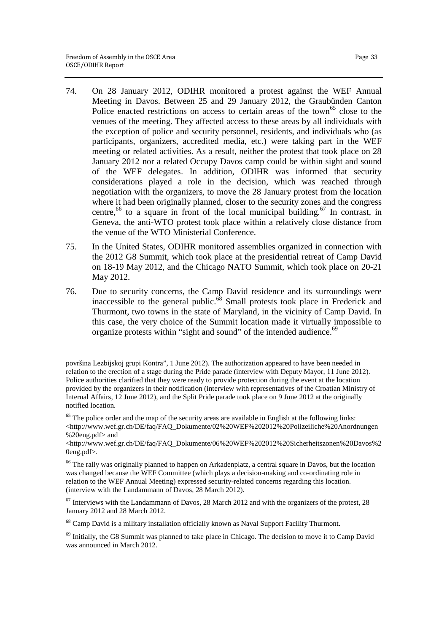$\overline{a}$ 

- 74. On 28 January 2012, ODIHR monitored a protest against the WEF Annual Meeting in Davos. Between 25 and 29 January 2012, the Graubünden Canton Police enacted restrictions on access to certain areas of the town<sup>65</sup> close to the venues of the meeting. They affected access to these areas by all individuals with the exception of police and security personnel, residents, and individuals who (as participants, organizers, accredited media, etc.) were taking part in the WEF meeting or related activities. As a result, neither the protest that took place on 28 January 2012 nor a related Occupy Davos camp could be within sight and sound of the WEF delegates. In addition, ODIHR was informed that security considerations played a role in the decision, which was reached through negotiation with the organizers, to move the 28 January protest from the location where it had been originally planned, closer to the security zones and the congress centre,  $66$  to a square in front of the local municipal building.  $67$  In contrast, in Geneva, the anti-WTO protest took place within a relatively close distance from the venue of the WTO Ministerial Conference.
- 75. In the United States, ODIHR monitored assemblies organized in connection with the 2012 G8 Summit, which took place at the presidential retreat of Camp David on 18-19 May 2012, and the Chicago NATO Summit, which took place on 20-21 May 2012.
- 76. Due to security concerns, the Camp David residence and its surroundings were inaccessible to the general public. $68$  Small protests took place in Frederick and Thurmont, two towns in the state of Maryland, in the vicinity of Camp David. In this case, the very choice of the Summit location made it virtually impossible to organize protests within "sight and sound" of the intended audience.<sup>69</sup>

površina Lezbijskoj grupi Kontra", 1 June 2012). The authorization appeared to have been needed in relation to the erection of a stage during the Pride parade (interview with Deputy Mayor, 11 June 2012). Police authorities clarified that they were ready to provide protection during the event at the location provided by the organizers in their notification (interview with representatives of the Croatian Ministry of Internal Affairs, 12 June 2012), and the Split Pride parade took place on 9 June 2012 at the originally notified location.

 $65$  The police order and the map of the security areas are available in English at the following links: <http://www.wef.gr.ch/DE/faq/FAQ\_Dokumente/02%20WEF%202012%20Polizeiliche%20Anordnungen %20eng.pdf> and

<sup>&</sup>lt;http://www.wef.gr.ch/DE/faq/FAQ\_Dokumente/06%20WEF%202012%20Sicherheitszonen%20Davos%2 0eng.pdf>.

<sup>&</sup>lt;sup>66</sup> The rally was originally planned to happen on Arkadenplatz, a central square in Davos, but the location was changed because the WEF Committee (which plays a decision-making and co-ordinating role in relation to the WEF Annual Meeting) expressed security-related concerns regarding this location. (interview with the Landammann of Davos, 28 March 2012).

 $67$  Interviews with the Landammann of Davos, 28 March 2012 and with the organizers of the protest, 28 January 2012 and 28 March 2012.

<sup>&</sup>lt;sup>68</sup> Camp David is a military installation officially known as Naval Support Facility Thurmont.

 $<sup>69</sup>$  Initially, the G8 Summit was planned to take place in Chicago. The decision to move it to Camp David</sup> was announced in March 2012.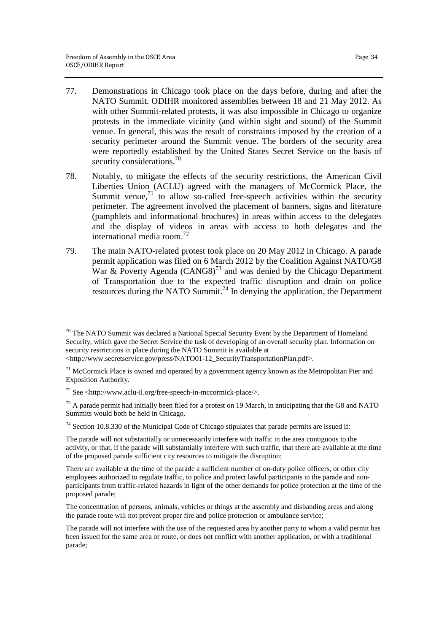$\overline{a}$ 

- 77. Demonstrations in Chicago took place on the days before, during and after the NATO Summit. ODIHR monitored assemblies between 18 and 21 May 2012. As with other Summit-related protests, it was also impossible in Chicago to organize protests in the immediate vicinity (and within sight and sound) of the Summit venue. In general, this was the result of constraints imposed by the creation of a security perimeter around the Summit venue. The borders of the security area were reportedly established by the United States Secret Service on the basis of security considerations.<sup>70</sup>
- 78. Notably, to mitigate the effects of the security restrictions, the American Civil Liberties Union (ACLU) agreed with the managers of McCormick Place, the Summit venue, $71$  to allow so-called free-speech activities within the security perimeter. The agreement involved the placement of banners, signs and literature (pamphlets and informational brochures) in areas within access to the delegates and the display of videos in areas with access to both delegates and the international media room  $^{72}$
- 79. The main NATO-related protest took place on 20 May 2012 in Chicago. A parade permit application was filed on 6 March 2012 by the Coalition Against NATO/G8 War & Poverty Agenda  $(CANGS)^{73}$  and was denied by the Chicago Department of Transportation due to the expected traffic disruption and drain on police resources during the NATO Summit.<sup>74</sup> In denying the application, the Department

 $70$  The NATO Summit was declared a National Special Security Event by the Department of Homeland Security, which gave the Secret Service the task of developing of an overall security plan. Information on security restrictions in place during the NATO Summit is available at

<sup>&</sup>lt;http://www.secretservice.gov/press/NATO01-12\_SecurityTransportationPlan.pdf>.

 $71$  McCormick Place is owned and operated by a government agency known as the Metropolitan Pier and Exposition Authority.

 $72$  See <http://www.aclu-il.org/free-speech-in-mccormick-place/>.

 $<sup>73</sup>$  A parade permit had initially been filed for a protest on 19 March, in anticipating that the G8 and NATO</sup> Summits would both be held in Chicago.

 $74$  Section 10.8.330 of the Municipal Code of Chicago stipulates that parade permits are issued if:

The parade will not substantially or unnecessarily interfere with traffic in the area contiguous to the activity, or that, if the parade will substantially interfere with such traffic, that there are available at the time of the proposed parade sufficient city resources to mitigate the disruption;

There are available at the time of the parade a sufficient number of on-duty police officers, or other city employees authorized to regulate traffic, to police and protect lawful participants in the parade and nonparticipants from traffic-related hazards in light of the other demands for police protection at the time of the proposed parade;

The concentration of persons, animals, vehicles or things at the assembly and disbanding areas and along the parade route will not prevent proper fire and police protection or ambulance service;

The parade will not interfere with the use of the requested area by another party to whom a valid permit has been issued for the same area or route, or does not conflict with another application, or with a traditional parade;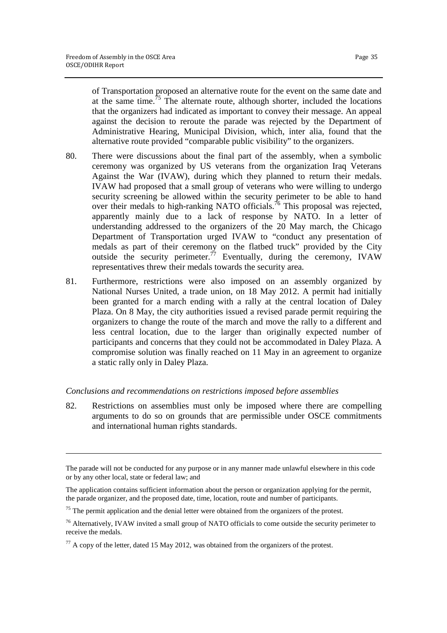$\overline{a}$ 

of Transportation proposed an alternative route for the event on the same date and at the same time.<sup>75</sup> The alternate route, although shorter, included the locations that the organizers had indicated as important to convey their message. An appeal against the decision to reroute the parade was rejected by the Department of Administrative Hearing, Municipal Division, which, inter alia, found that the alternative route provided "comparable public visibility" to the organizers.

- 80. There were discussions about the final part of the assembly, when a symbolic ceremony was organized by US veterans from the organization Iraq Veterans Against the War (IVAW), during which they planned to return their medals. IVAW had proposed that a small group of veterans who were willing to undergo security screening be allowed within the security perimeter to be able to hand over their medals to high-ranking NATO officials.<sup>76</sup> This proposal was rejected, apparently mainly due to a lack of response by NATO. In a letter of understanding addressed to the organizers of the 20 May march, the Chicago Department of Transportation urged IVAW to "conduct any presentation of medals as part of their ceremony on the flatbed truck" provided by the City outside the security perimeter.<sup>77</sup> Eventually, during the ceremony, IVAW representatives threw their medals towards the security area.
- 81. Furthermore, restrictions were also imposed on an assembly organized by National Nurses United, a trade union, on 18 May 2012. A permit had initially been granted for a march ending with a rally at the central location of Daley Plaza. On 8 May, the city authorities issued a revised parade permit requiring the organizers to change the route of the march and move the rally to a different and less central location, due to the larger than originally expected number of participants and concerns that they could not be accommodated in Daley Plaza. A compromise solution was finally reached on 11 May in an agreement to organize a static rally only in Daley Plaza.

#### *Conclusions and recommendations on restrictions imposed before assemblies*

82. Restrictions on assemblies must only be imposed where there are compelling arguments to do so on grounds that are permissible under OSCE commitments and international human rights standards.

The parade will not be conducted for any purpose or in any manner made unlawful elsewhere in this code or by any other local, state or federal law; and

The application contains sufficient information about the person or organization applying for the permit, the parade organizer, and the proposed date, time, location, route and number of participants.

 $75$  The permit application and the denial letter were obtained from the organizers of the protest.

<sup>&</sup>lt;sup>76</sup> Alternatively, IVAW invited a small group of NATO officials to come outside the security perimeter to receive the medals.

 $^{77}$  A copy of the letter, dated 15 May 2012, was obtained from the organizers of the protest.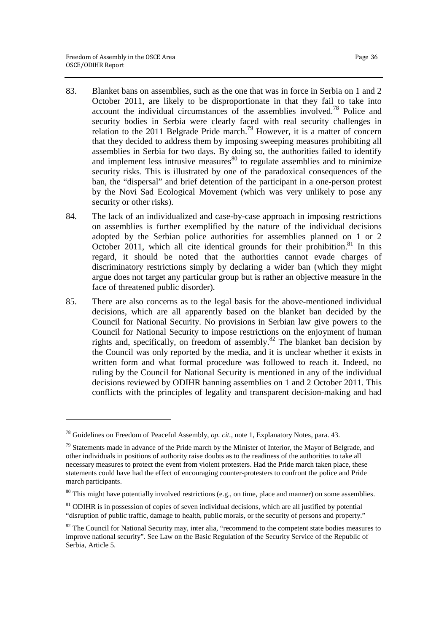- 83. Blanket bans on assemblies, such as the one that was in force in Serbia on 1 and 2 October 2011, are likely to be disproportionate in that they fail to take into account the individual circumstances of the assemblies involved.<sup>78</sup> Police and security bodies in Serbia were clearly faced with real security challenges in relation to the 2011 Belgrade Pride march.<sup>79</sup> However, it is a matter of concern that they decided to address them by imposing sweeping measures prohibiting all assemblies in Serbia for two days. By doing so, the authorities failed to identify and implement less intrusive measures $80$  to regulate assemblies and to minimize security risks. This is illustrated by one of the paradoxical consequences of the ban, the "dispersal" and brief detention of the participant in a one-person protest by the Novi Sad Ecological Movement (which was very unlikely to pose any security or other risks).
- 84. The lack of an individualized and case-by-case approach in imposing restrictions on assemblies is further exemplified by the nature of the individual decisions adopted by the Serbian police authorities for assemblies planned on 1 or 2 October 2011, which all cite identical grounds for their prohibition.<sup>81</sup> In this regard, it should be noted that the authorities cannot evade charges of discriminatory restrictions simply by declaring a wider ban (which they might argue does not target any particular group but is rather an objective measure in the face of threatened public disorder).
- 85. There are also concerns as to the legal basis for the above-mentioned individual decisions, which are all apparently based on the blanket ban decided by the Council for National Security. No provisions in Serbian law give powers to the Council for National Security to impose restrictions on the enjoyment of human rights and, specifically, on freedom of assembly.<sup>82</sup> The blanket ban decision by the Council was only reported by the media, and it is unclear whether it exists in written form and what formal procedure was followed to reach it. Indeed, no ruling by the Council for National Security is mentioned in any of the individual decisions reviewed by ODIHR banning assemblies on 1 and 2 October 2011. This conflicts with the principles of legality and transparent decision-making and had

<sup>78</sup> Guidelines on Freedom of Peaceful Assembly, *op. cit.*, note 1, Explanatory Notes, para. 43.

 $79$  Statements made in advance of the Pride march by the Minister of Interior, the Mayor of Belgrade, and other individuals in positions of authority raise doubts as to the readiness of the authorities to take all necessary measures to protect the event from violent protesters. Had the Pride march taken place, these statements could have had the effect of encouraging counter-protesters to confront the police and Pride march participants.

<sup>&</sup>lt;sup>80</sup> This might have potentially involved restrictions (e.g., on time, place and manner) on some assemblies.

<sup>&</sup>lt;sup>81</sup> ODIHR is in possession of copies of seven individual decisions, which are all justified by potential "disruption of public traffic, damage to health, public morals, or the security of persons and property."

<sup>&</sup>lt;sup>82</sup> The Council for National Security may, inter alia, "recommend to the competent state bodies measures to improve national security". See Law on the Basic Regulation of the Security Service of the Republic of Serbia, Article 5.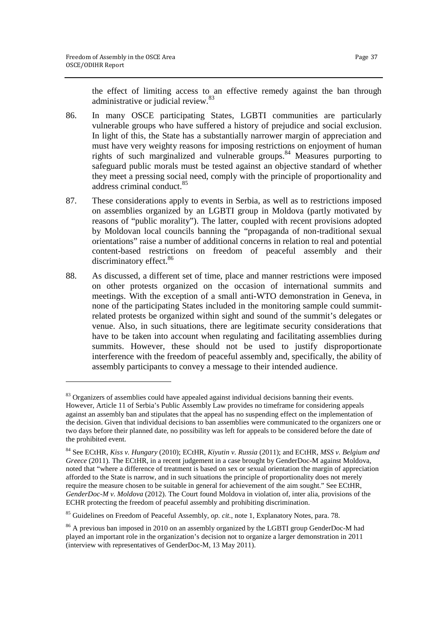<u>.</u>

the effect of limiting access to an effective remedy against the ban through administrative or judicial review.<sup>83</sup>

- 86. In many OSCE participating States, LGBTI communities are particularly vulnerable groups who have suffered a history of prejudice and social exclusion. In light of this, the State has a substantially narrower margin of appreciation and must have very weighty reasons for imposing restrictions on enjoyment of human rights of such marginalized and vulnerable groups.<sup>84</sup> Measures purporting to safeguard public morals must be tested against an objective standard of whether they meet a pressing social need, comply with the principle of proportionality and address criminal conduct.<sup>85</sup>
- 87. These considerations apply to events in Serbia, as well as to restrictions imposed on assemblies organized by an LGBTI group in Moldova (partly motivated by reasons of "public morality"). The latter, coupled with recent provisions adopted by Moldovan local councils banning the "propaganda of non-traditional sexual orientations" raise a number of additional concerns in relation to real and potential content-based restrictions on freedom of peaceful assembly and their discriminatory effect.<sup>86</sup>
- 88. As discussed, a different set of time, place and manner restrictions were imposed on other protests organized on the occasion of international summits and meetings. With the exception of a small anti-WTO demonstration in Geneva, in none of the participating States included in the monitoring sample could summitrelated protests be organized within sight and sound of the summit's delegates or venue. Also, in such situations, there are legitimate security considerations that have to be taken into account when regulating and facilitating assemblies during summits. However, these should not be used to justify disproportionate interference with the freedom of peaceful assembly and, specifically, the ability of assembly participants to convey a message to their intended audience.

<sup>&</sup>lt;sup>83</sup> Organizers of assemblies could have appealed against individual decisions banning their events. However, Article 11 of Serbia's Public Assembly Law provides no timeframe for considering appeals against an assembly ban and stipulates that the appeal has no suspending effect on the implementation of the decision. Given that individual decisions to ban assemblies were communicated to the organizers one or two days before their planned date, no possibility was left for appeals to be considered before the date of the prohibited event.

<sup>84</sup> See ECtHR, *Kiss v. Hungary* (2010); ECtHR, *Kiyutin v. Russia* (2011); and ECtHR, *MSS v. Belgium and Greece* (2011). The ECtHR, in a recent judgement in a case brought by GenderDoc-M against Moldova, noted that "where a difference of treatment is based on sex or sexual orientation the margin of appreciation afforded to the State is narrow, and in such situations the principle of proportionality does not merely require the measure chosen to be suitable in general for achievement of the aim sought." See ECtHR, *GenderDoc-M v. Moldova* (2012). The Court found Moldova in violation of, inter alia, provisions of the ECHR protecting the freedom of peaceful assembly and prohibiting discrimination.

<sup>85</sup> Guidelines on Freedom of Peaceful Assembly, *op. cit.*, note 1, Explanatory Notes, para. 78.

<sup>&</sup>lt;sup>86</sup> A previous ban imposed in 2010 on an assembly organized by the LGBTI group GenderDoc-M had played an important role in the organization's decision not to organize a larger demonstration in 2011 (interview with representatives of GenderDoc-M, 13 May 2011).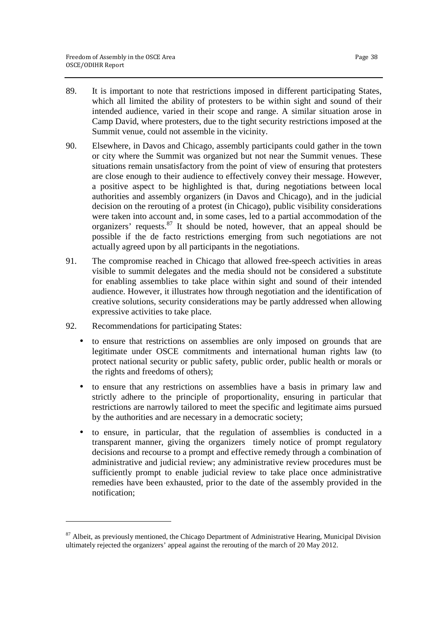- 89. It is important to note that restrictions imposed in different participating States, which all limited the ability of protesters to be within sight and sound of their intended audience, varied in their scope and range. A similar situation arose in Camp David, where protesters, due to the tight security restrictions imposed at the Summit venue, could not assemble in the vicinity.
- 90. Elsewhere, in Davos and Chicago, assembly participants could gather in the town or city where the Summit was organized but not near the Summit venues. These situations remain unsatisfactory from the point of view of ensuring that protesters are close enough to their audience to effectively convey their message. However, a positive aspect to be highlighted is that, during negotiations between local authorities and assembly organizers (in Davos and Chicago), and in the judicial decision on the rerouting of a protest (in Chicago), public visibility considerations were taken into account and, in some cases, led to a partial accommodation of the organizers' requests.<sup>87</sup> It should be noted, however, that an appeal should be possible if the de facto restrictions emerging from such negotiations are not actually agreed upon by all participants in the negotiations.
- 91. The compromise reached in Chicago that allowed free-speech activities in areas visible to summit delegates and the media should not be considered a substitute for enabling assemblies to take place within sight and sound of their intended audience. However, it illustrates how through negotiation and the identification of creative solutions, security considerations may be partly addressed when allowing expressive activities to take place.
- 92. Recommendations for participating States:

1

- to ensure that restrictions on assemblies are only imposed on grounds that are legitimate under OSCE commitments and international human rights law (to protect national security or public safety, public order, public health or morals or the rights and freedoms of others);
- to ensure that any restrictions on assemblies have a basis in primary law and strictly adhere to the principle of proportionality, ensuring in particular that restrictions are narrowly tailored to meet the specific and legitimate aims pursued by the authorities and are necessary in a democratic society;
- to ensure, in particular, that the regulation of assemblies is conducted in a transparent manner, giving the organizers timely notice of prompt regulatory decisions and recourse to a prompt and effective remedy through a combination of administrative and judicial review; any administrative review procedures must be sufficiently prompt to enable judicial review to take place once administrative remedies have been exhausted, prior to the date of the assembly provided in the notification;

 $87$  Albeit, as previously mentioned, the Chicago Department of Administrative Hearing, Municipal Division ultimately rejected the organizers' appeal against the rerouting of the march of 20 May 2012.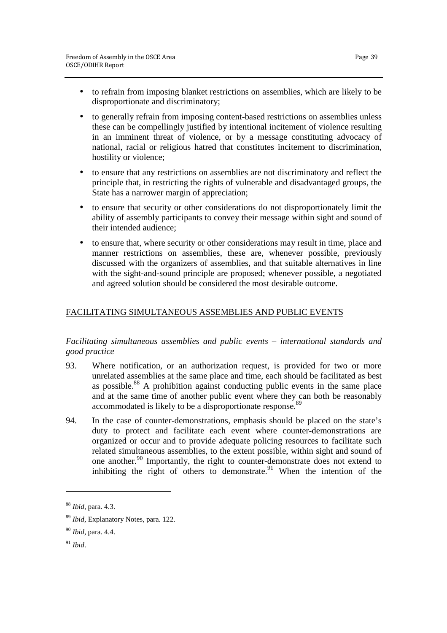- to generally refrain from imposing content-based restrictions on assemblies unless these can be compellingly justified by intentional incitement of violence resulting in an imminent threat of violence, or by a message constituting advocacy of national, racial or religious hatred that constitutes incitement to discrimination, hostility or violence;
- to ensure that any restrictions on assemblies are not discriminatory and reflect the principle that, in restricting the rights of vulnerable and disadvantaged groups, the State has a narrower margin of appreciation;
- to ensure that security or other considerations do not disproportionately limit the ability of assembly participants to convey their message within sight and sound of their intended audience;
- to ensure that, where security or other considerations may result in time, place and manner restrictions on assemblies, these are, whenever possible, previously discussed with the organizers of assemblies, and that suitable alternatives in line with the sight-and-sound principle are proposed; whenever possible, a negotiated and agreed solution should be considered the most desirable outcome.

# FACILITATING SIMULTANEOUS ASSEMBLIES AND PUBLIC EVENTS

# *Facilitating simultaneous assemblies and public events – international standards and good practice*

- 93. Where notification, or an authorization request, is provided for two or more unrelated assemblies at the same place and time, each should be facilitated as best as possible.<sup>88</sup> A prohibition against conducting public events in the same place and at the same time of another public event where they can both be reasonably accommodated is likely to be a disproportionate response.<sup>89</sup>
- 94. In the case of counter-demonstrations, emphasis should be placed on the state's duty to protect and facilitate each event where counter-demonstrations are organized or occur and to provide adequate policing resources to facilitate such related simultaneous assemblies, to the extent possible, within sight and sound of one another.<sup>90</sup> Importantly, the right to counter-demonstrate does not extend to inhibiting the right of others to demonstrate.<sup>91</sup> When the intention of the

<sup>88</sup> *Ibid*, para. 4.3.

<sup>89</sup> *Ibid*, Explanatory Notes, para. 122.

<sup>90</sup> *Ibid*, para. 4.4.

<sup>91</sup> *Ibid*.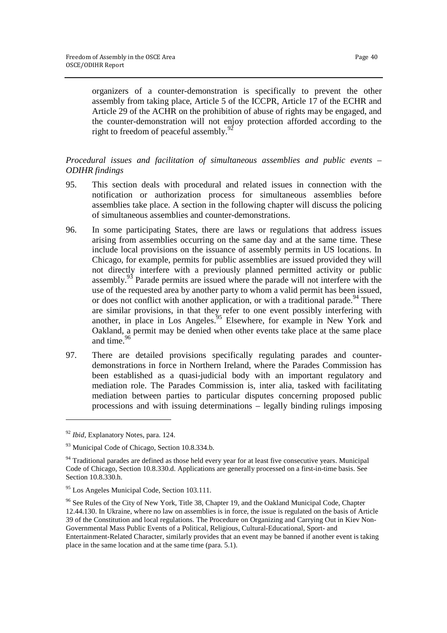organizers of a counter-demonstration is specifically to prevent the other assembly from taking place, Article 5 of the ICCPR, Article 17 of the ECHR and Article 29 of the ACHR on the prohibition of abuse of rights may be engaged, and the counter-demonstration will not enjoy protection afforded according to the right to freedom of peaceful assembly.<sup>92</sup>

# *Procedural issues and facilitation of simultaneous assemblies and public events – ODIHR findings*

- 95. This section deals with procedural and related issues in connection with the notification or authorization process for simultaneous assemblies before assemblies take place. A section in the following chapter will discuss the policing of simultaneous assemblies and counter-demonstrations.
- 96. In some participating States, there are laws or regulations that address issues arising from assemblies occurring on the same day and at the same time. These include local provisions on the issuance of assembly permits in US locations. In Chicago, for example, permits for public assemblies are issued provided they will not directly interfere with a previously planned permitted activity or public assembly.<sup>93</sup> Parade permits are issued where the parade will not interfere with the use of the requested area by another party to whom a valid permit has been issued, or does not conflict with another application, or with a traditional parade.  $94$  There are similar provisions, in that they refer to one event possibly interfering with another, in place in Los Angeles.<sup>95</sup> Elsewhere, for example in New York and Oakland, a permit may be denied when other events take place at the same place and time.<sup>96</sup>
- 97. There are detailed provisions specifically regulating parades and counterdemonstrations in force in Northern Ireland, where the Parades Commission has been established as a quasi-judicial body with an important regulatory and mediation role. The Parades Commission is, inter alia, tasked with facilitating mediation between parties to particular disputes concerning proposed public processions and with issuing determinations – legally binding rulings imposing

<sup>92</sup> *Ibid*, Explanatory Notes, para. 124.

<sup>&</sup>lt;sup>93</sup> Municipal Code of Chicago, Section 10.8.334.b.

 $94$  Traditional parades are defined as those held every year for at least five consecutive years. Municipal Code of Chicago, Section 10.8.330.d. Applications are generally processed on a first-in-time basis. See Section 10.8.330.h.

<sup>95</sup> Los Angeles Municipal Code, Section 103.111.

<sup>&</sup>lt;sup>96</sup> See Rules of the City of New York, Title 38, Chapter 19, and the Oakland Municipal Code, Chapter 12.44.130. In Ukraine, where no law on assemblies is in force, the issue is regulated on the basis of Article 39 of the Constitution and local regulations. The Procedure on Organizing and Carrying Out in Kiev Non-Governmental Mass Public Events of a Political, Religious, Cultural-Educational, Sport- and Entertainment-Related Character, similarly provides that an event may be banned if another event is taking place in the same location and at the same time (para. 5.1).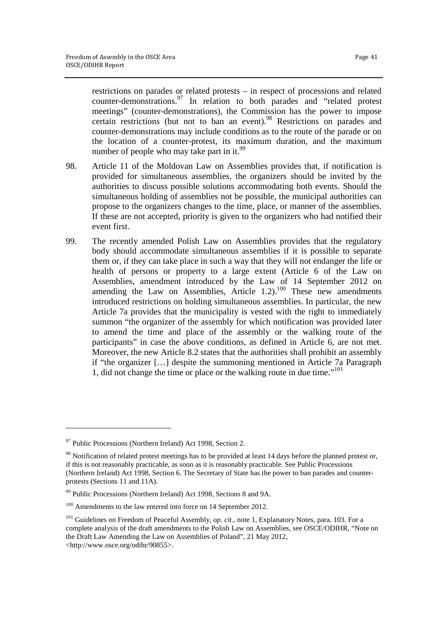restrictions on parades or related protests – in respect of processions and related counter-demonstrations.<sup>97</sup> In relation to both parades and "related protest meetings" (counter-demonstrations), the Commission has the power to impose certain restrictions (but not to ban an event).<sup>98</sup> Restrictions on parades and counter-demonstrations may include conditions as to the route of the parade or on the location of a counter-protest, its maximum duration, and the maximum number of people who may take part in it.<sup>99</sup>

- 98. Article 11 of the Moldovan Law on Assemblies provides that, if notification is provided for simultaneous assemblies, the organizers should be invited by the authorities to discuss possible solutions accommodating both events. Should the simultaneous holding of assemblies not be possible, the municipal authorities can propose to the organizers changes to the time, place, or manner of the assemblies. If these are not accepted, priority is given to the organizers who had notified their event first.
- 99. The recently amended Polish Law on Assemblies provides that the regulatory body should accommodate simultaneous assemblies if it is possible to separate them or, if they can take place in such a way that they will not endanger the life or health of persons or property to a large extent (Article 6 of the Law on Assemblies, amendment introduced by the Law of 14 September 2012 on amending the Law on Assemblies, Article  $1.2$ ).<sup>100</sup> These new amendments introduced restrictions on holding simultaneous assemblies. In particular, the new Article 7a provides that the municipality is vested with the right to immediately summon "the organizer of the assembly for which notification was provided later to amend the time and place of the assembly or the walking route of the participants" in case the above conditions, as defined in Article 6, are not met. Moreover, the new Article 8.2 states that the authorities shall prohibit an assembly if "the organizer […] despite the summoning mentioned in Article 7a Paragraph 1, did not change the time or place or the walking route in due time."<sup>101</sup>

<sup>&</sup>lt;sup>97</sup> Public Processions (Northern Ireland) Act 1998, Section 2.

<sup>&</sup>lt;sup>98</sup> Notification of related protest meetings has to be provided at least 14 days before the planned protest or, if this is not reasonably practicable, as soon as it is reasonably practicable. See Public Processions (Northern Ireland) Act 1998, Section 6. The Secretary of State has the power to ban parades and counterprotests (Sections 11 and 11A).

<sup>&</sup>lt;sup>99</sup> Public Processions (Northern Ireland) Act 1998, Sections 8 and 9A.

<sup>&</sup>lt;sup>100</sup> Amendments to the law entered into force on 14 September 2012.

<sup>&</sup>lt;sup>101</sup> Guidelines on Freedom of Peaceful Assembly, *op. cit.*, note 1, Explanatory Notes, para. 103. For a complete analysis of the draft amendments to the Polish Law on Assemblies, see OSCE/ODIHR, "Note on the Draft Law Amending the Law on Assemblies of Poland", 21 May 2012, <http://www.osce.org/odihr/90855>.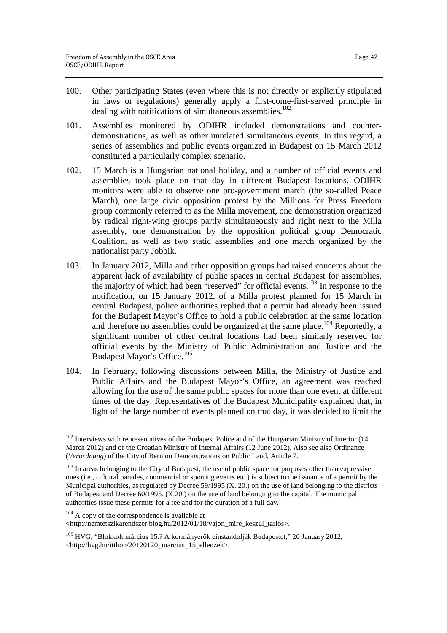- 100. Other participating States (even where this is not directly or explicitly stipulated in laws or regulations) generally apply a first-come-first-served principle in dealing with notifications of simultaneous assemblies. 102
- 101. Assemblies monitored by ODIHR included demonstrations and counterdemonstrations, as well as other unrelated simultaneous events. In this regard, a series of assemblies and public events organized in Budapest on 15 March 2012 constituted a particularly complex scenario.
- 102. 15 March is a Hungarian national holiday, and a number of official events and assemblies took place on that day in different Budapest locations. ODIHR monitors were able to observe one pro-government march (the so-called Peace March), one large civic opposition protest by the Millions for Press Freedom group commonly referred to as the Milla movement, one demonstration organized by radical right-wing groups partly simultaneously and right next to the Milla assembly, one demonstration by the opposition political group Democratic Coalition, as well as two static assemblies and one march organized by the nationalist party Jobbik.
- 103. In January 2012, Milla and other opposition groups had raised concerns about the apparent lack of availability of public spaces in central Budapest for assemblies, the majority of which had been "reserved" for official events.<sup>103</sup> In response to the notification, on 15 January 2012, of a Milla protest planned for 15 March in central Budapest, police authorities replied that a permit had already been issued for the Budapest Mayor's Office to hold a public celebration at the same location and therefore no assemblies could be organized at the same place.<sup>104</sup> Reportedly, a significant number of other central locations had been similarly reserved for official events by the Ministry of Public Administration and Justice and the Budapest Mayor's Office.<sup>105</sup>
- 104. In February, following discussions between Milla, the Ministry of Justice and Public Affairs and the Budapest Mayor's Office, an agreement was reached allowing for the use of the same public spaces for more than one event at different times of the day. Representatives of the Budapest Municipality explained that, in light of the large number of events planned on that day, it was decided to limit the

<http://nemtetszikarendszer.blog.hu/2012/01/18/vajon\_mire\_keszul\_tarlos>.

<sup>&</sup>lt;sup>102</sup> Interviews with representatives of the Budapest Police and of the Hungarian Ministry of Interior (14 March 2012) and of the Croatian Ministry of Internal Affairs (12 June 2012). Also see also Ordinance (*Verordnung*) of the City of Bern on Demonstrations on Public Land, Article 7.

<sup>&</sup>lt;sup>103</sup> In areas belonging to the City of Budapest, the use of public space for purposes other than expressive ones (i.e., cultural parades, commercial or sporting events etc.) is subject to the issuance of a permit by the Municipal authorities, as regulated by Decree 59/1995 (X. 20.) on the use of land belonging to the districts of Budapest and Decree 60/1995. (X.20.) on the use of land belonging to the capital. The municipal authorities issue these permits for a fee and for the duration of a full day.

<sup>&</sup>lt;sup>104</sup> A copy of the correspondence is available at

<sup>105</sup> HVG, "Blokkolt március 15.? A kormányerők einstandolják Budapestet," 20 January 2012, <http://hvg.hu/itthon/20120120\_marcius\_15\_ellenzek>.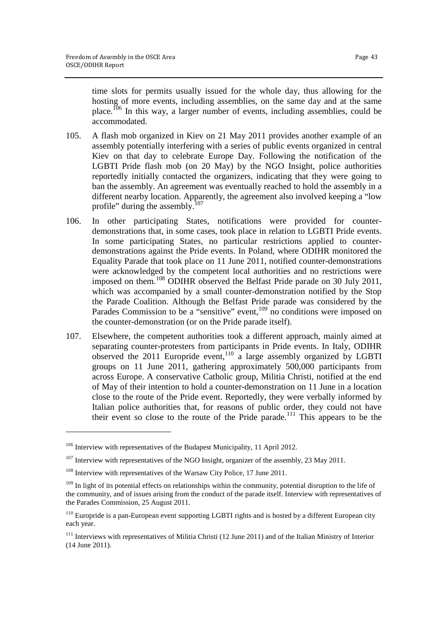time slots for permits usually issued for the whole day, thus allowing for the hosting of more events, including assemblies, on the same day and at the same place.<sup>106</sup> In this way, a larger number of events, including assemblies, could be accommodated.

- 105. A flash mob organized in Kiev on 21 May 2011 provides another example of an assembly potentially interfering with a series of public events organized in central Kiev on that day to celebrate Europe Day. Following the notification of the LGBTI Pride flash mob (on 20 May) by the NGO Insight, police authorities reportedly initially contacted the organizers, indicating that they were going to ban the assembly. An agreement was eventually reached to hold the assembly in a different nearby location. Apparently, the agreement also involved keeping a "low profile" during the assembly.<sup>107</sup>
- 106. In other participating States, notifications were provided for counterdemonstrations that, in some cases, took place in relation to LGBTI Pride events. In some participating States, no particular restrictions applied to counterdemonstrations against the Pride events. In Poland, where ODIHR monitored the Equality Parade that took place on 11 June 2011, notified counter-demonstrations were acknowledged by the competent local authorities and no restrictions were imposed on them.<sup>108</sup> ODIHR observed the Belfast Pride parade on 30 July 2011, which was accompanied by a small counter-demonstration notified by the Stop the Parade Coalition. Although the Belfast Pride parade was considered by the Parades Commission to be a "sensitive" event,<sup>109</sup> no conditions were imposed on the counter-demonstration (or on the Pride parade itself).
- 107. Elsewhere, the competent authorities took a different approach, mainly aimed at separating counter-protesters from participants in Pride events. In Italy, ODIHR observed the 2011 Europride event,<sup>110</sup> a large assembly organized by LGBTI groups on 11 June 2011, gathering approximately 500,000 participants from across Europe. A conservative Catholic group, Militia Christi, notified at the end of May of their intention to hold a counter-demonstration on 11 June in a location close to the route of the Pride event. Reportedly, they were verbally informed by Italian police authorities that, for reasons of public order, they could not have their event so close to the route of the Pride parade.<sup>111</sup> This appears to be the

 $\overline{a}$ 

<sup>&</sup>lt;sup>106</sup> Interview with representatives of the Budapest Municipality, 11 April 2012.

<sup>&</sup>lt;sup>107</sup> Interview with representatives of the NGO Insight, organizer of the assembly, 23 May 2011.

<sup>&</sup>lt;sup>108</sup> Interview with representatives of the Warsaw City Police, 17 June 2011.

 $109$  In light of its potential effects on relationships within the community, potential disruption to the life of the community, and of issues arising from the conduct of the parade itself. Interview with representatives of the Parades Commission, 25 August 2011.

<sup>&</sup>lt;sup>110</sup> Europride is a pan-European event supporting LGBTI rights and is hosted by a different European city each year.

<sup>&</sup>lt;sup>111</sup> Interviews with representatives of Militia Christi (12 June 2011) and of the Italian Ministry of Interior (14 June 2011).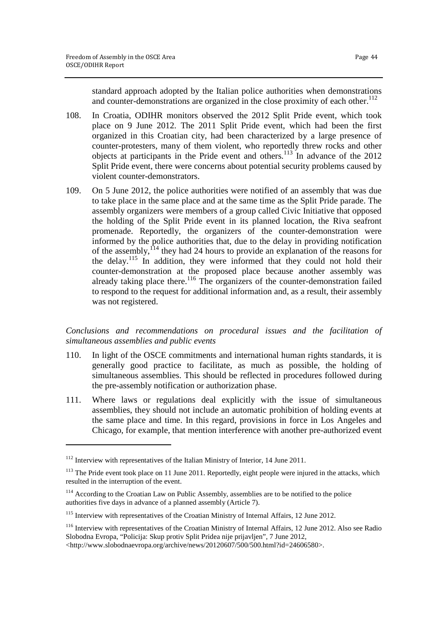standard approach adopted by the Italian police authorities when demonstrations and counter-demonstrations are organized in the close proximity of each other.<sup>112</sup>

108. In Croatia, ODIHR monitors observed the 2012 Split Pride event, which took place on 9 June 2012. The 2011 Split Pride event, which had been the first organized in this Croatian city, had been characterized by a large presence of counter-protesters, many of them violent, who reportedly threw rocks and other objects at participants in the Pride event and others. <sup>113</sup> In advance of the 2012 Split Pride event, there were concerns about potential security problems caused by violent counter-demonstrators.

109. On 5 June 2012, the police authorities were notified of an assembly that was due to take place in the same place and at the same time as the Split Pride parade. The assembly organizers were members of a group called Civic Initiative that opposed the holding of the Split Pride event in its planned location, the Riva seafront promenade. Reportedly, the organizers of the counter-demonstration were informed by the police authorities that, due to the delay in providing notification of the assembly,  $114$  they had 24 hours to provide an explanation of the reasons for the delay.<sup>115</sup> In addition, they were informed that they could not hold their counter-demonstration at the proposed place because another assembly was already taking place there.<sup>116</sup> The organizers of the counter-demonstration failed to respond to the request for additional information and, as a result, their assembly was not registered.

# *Conclusions and recommendations on procedural issues and the facilitation of simultaneous assemblies and public events*

- 110. In light of the OSCE commitments and international human rights standards, it is generally good practice to facilitate, as much as possible, the holding of simultaneous assemblies. This should be reflected in procedures followed during the pre-assembly notification or authorization phase.
- 111. Where laws or regulations deal explicitly with the issue of simultaneous assemblies, they should not include an automatic prohibition of holding events at the same place and time. In this regard, provisions in force in Los Angeles and Chicago, for example, that mention interference with another pre-authorized event

<sup>&</sup>lt;sup>112</sup> Interview with representatives of the Italian Ministry of Interior, 14 June 2011.

<sup>&</sup>lt;sup>113</sup> The Pride event took place on 11 June 2011. Reportedly, eight people were injured in the attacks, which resulted in the interruption of the event.

<sup>&</sup>lt;sup>114</sup> According to the Croatian Law on Public Assembly, assemblies are to be notified to the police authorities five days in advance of a planned assembly (Article 7).

<sup>115</sup> Interview with representatives of the Croatian Ministry of Internal Affairs, 12 June 2012.

<sup>116</sup> Interview with representatives of the Croatian Ministry of Internal Affairs, 12 June 2012. Also see Radio Slobodna Evropa, "Policija: Skup protiv Split Pridea nije prijavljen", 7 June 2012,

<sup>&</sup>lt;http://www.slobodnaevropa.org/archive/news/20120607/500/500.html?id=24606580>.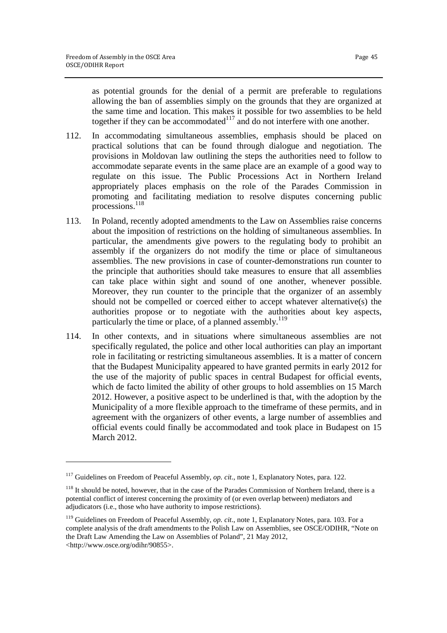as potential grounds for the denial of a permit are preferable to regulations allowing the ban of assemblies simply on the grounds that they are organized at the same time and location. This makes it possible for two assemblies to be held together if they can be accommodated $117$  and do not interfere with one another.

- 112. In accommodating simultaneous assemblies, emphasis should be placed on practical solutions that can be found through dialogue and negotiation. The provisions in Moldovan law outlining the steps the authorities need to follow to accommodate separate events in the same place are an example of a good way to regulate on this issue. The Public Processions Act in Northern Ireland appropriately places emphasis on the role of the Parades Commission in promoting and facilitating mediation to resolve disputes concerning public processions.<sup>118</sup>
- 113. In Poland, recently adopted amendments to the Law on Assemblies raise concerns about the imposition of restrictions on the holding of simultaneous assemblies. In particular, the amendments give powers to the regulating body to prohibit an assembly if the organizers do not modify the time or place of simultaneous assemblies. The new provisions in case of counter-demonstrations run counter to the principle that authorities should take measures to ensure that all assemblies can take place within sight and sound of one another, whenever possible. Moreover, they run counter to the principle that the organizer of an assembly should not be compelled or coerced either to accept whatever alternative(s) the authorities propose or to negotiate with the authorities about key aspects, particularly the time or place, of a planned assembly.<sup>119</sup>
- 114. In other contexts, and in situations where simultaneous assemblies are not specifically regulated, the police and other local authorities can play an important role in facilitating or restricting simultaneous assemblies. It is a matter of concern that the Budapest Municipality appeared to have granted permits in early 2012 for the use of the majority of public spaces in central Budapest for official events, which de facto limited the ability of other groups to hold assemblies on 15 March 2012. However, a positive aspect to be underlined is that, with the adoption by the Municipality of a more flexible approach to the timeframe of these permits, and in agreement with the organizers of other events, a large number of assemblies and official events could finally be accommodated and took place in Budapest on 15 March 2012.

<sup>117</sup> Guidelines on Freedom of Peaceful Assembly, *op. cit.*, note 1, Explanatory Notes, para. 122.

<sup>&</sup>lt;sup>118</sup> It should be noted, however, that in the case of the Parades Commission of Northern Ireland, there is a potential conflict of interest concerning the proximity of (or even overlap between) mediators and adjudicators (i.e., those who have authority to impose restrictions).

<sup>&</sup>lt;sup>119</sup> Guidelines on Freedom of Peaceful Assembly, *op. cit.*, note 1, Explanatory Notes, para. 103. For a complete analysis of the draft amendments to the Polish Law on Assemblies, see OSCE/ODIHR, "Note on the Draft Law Amending the Law on Assemblies of Poland", 21 May 2012, <http://www.osce.org/odihr/90855>.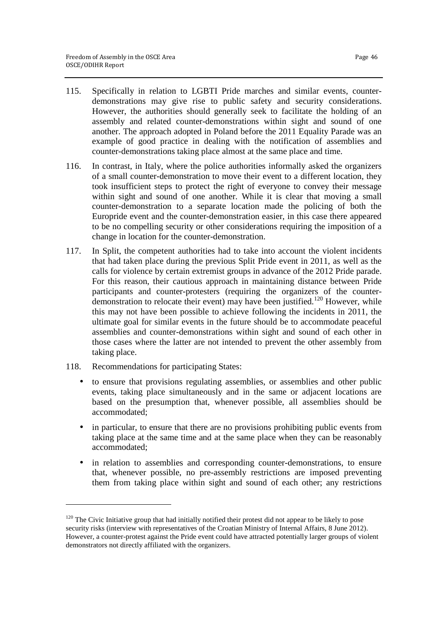- 115. Specifically in relation to LGBTI Pride marches and similar events, counterdemonstrations may give rise to public safety and security considerations. However, the authorities should generally seek to facilitate the holding of an assembly and related counter-demonstrations within sight and sound of one another. The approach adopted in Poland before the 2011 Equality Parade was an example of good practice in dealing with the notification of assemblies and counter-demonstrations taking place almost at the same place and time.
- 116. In contrast, in Italy, where the police authorities informally asked the organizers of a small counter-demonstration to move their event to a different location, they took insufficient steps to protect the right of everyone to convey their message within sight and sound of one another. While it is clear that moving a small counter-demonstration to a separate location made the policing of both the Europride event and the counter-demonstration easier, in this case there appeared to be no compelling security or other considerations requiring the imposition of a change in location for the counter-demonstration.
- 117. In Split, the competent authorities had to take into account the violent incidents that had taken place during the previous Split Pride event in 2011, as well as the calls for violence by certain extremist groups in advance of the 2012 Pride parade. For this reason, their cautious approach in maintaining distance between Pride participants and counter-protesters (requiring the organizers of the counterdemonstration to relocate their event) may have been justified.<sup>120</sup> However, while this may not have been possible to achieve following the incidents in 2011, the ultimate goal for similar events in the future should be to accommodate peaceful assemblies and counter-demonstrations within sight and sound of each other in those cases where the latter are not intended to prevent the other assembly from taking place.
- 118. Recommendations for participating States:

 $\overline{a}$ 

- to ensure that provisions regulating assemblies, or assemblies and other public events, taking place simultaneously and in the same or adjacent locations are based on the presumption that, whenever possible, all assemblies should be accommodated;
- in particular, to ensure that there are no provisions prohibiting public events from taking place at the same time and at the same place when they can be reasonably accommodated;
- in relation to assemblies and corresponding counter-demonstrations, to ensure that, whenever possible, no pre-assembly restrictions are imposed preventing them from taking place within sight and sound of each other; any restrictions

 $120$  The Civic Initiative group that had initially notified their protest did not appear to be likely to pose security risks (interview with representatives of the Croatian Ministry of Internal Affairs, 8 June 2012). However, a counter-protest against the Pride event could have attracted potentially larger groups of violent demonstrators not directly affiliated with the organizers.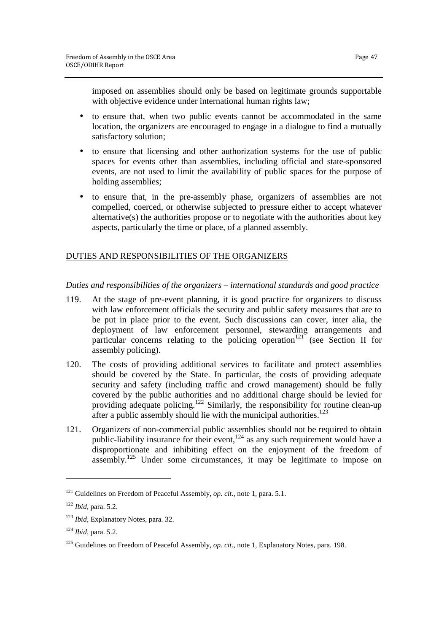imposed on assemblies should only be based on legitimate grounds supportable with objective evidence under international human rights law;

- to ensure that, when two public events cannot be accommodated in the same location, the organizers are encouraged to engage in a dialogue to find a mutually satisfactory solution;
- to ensure that licensing and other authorization systems for the use of public spaces for events other than assemblies, including official and state-sponsored events, are not used to limit the availability of public spaces for the purpose of holding assemblies;
- to ensure that, in the pre-assembly phase, organizers of assemblies are not compelled, coerced, or otherwise subjected to pressure either to accept whatever alternative(s) the authorities propose or to negotiate with the authorities about key aspects, particularly the time or place, of a planned assembly.

# DUTIES AND RESPONSIBILITIES OF THE ORGANIZERS

*Duties and responsibilities of the organizers – international standards and good practice* 

- 119. At the stage of pre-event planning, it is good practice for organizers to discuss with law enforcement officials the security and public safety measures that are to be put in place prior to the event. Such discussions can cover, inter alia, the deployment of law enforcement personnel, stewarding arrangements and particular concerns relating to the policing operation<sup>121</sup> (see Section II for assembly policing).
- 120. The costs of providing additional services to facilitate and protect assemblies should be covered by the State. In particular, the costs of providing adequate security and safety (including traffic and crowd management) should be fully covered by the public authorities and no additional charge should be levied for providing adequate policing.<sup>122</sup> Similarly, the responsibility for routine clean-up after a public assembly should lie with the municipal authorities. $^{123}$
- 121. Organizers of non-commercial public assemblies should not be required to obtain public-liability insurance for their event, $1^{24}$  as any such requirement would have a disproportionate and inhibiting effect on the enjoyment of the freedom of assembly.<sup>125</sup> Under some circumstances, it may be legitimate to impose on

1

<sup>&</sup>lt;sup>121</sup> Guidelines on Freedom of Peaceful Assembly, *op. cit.*, note 1, para. 5.1.

<sup>122</sup> *Ibid*, para. 5.2.

<sup>123</sup> *Ibid*, Explanatory Notes, para. 32.

<sup>124</sup> *Ibid*, para. 5.2.

<sup>125</sup> Guidelines on Freedom of Peaceful Assembly, *op. cit.*, note 1, Explanatory Notes, para. 198.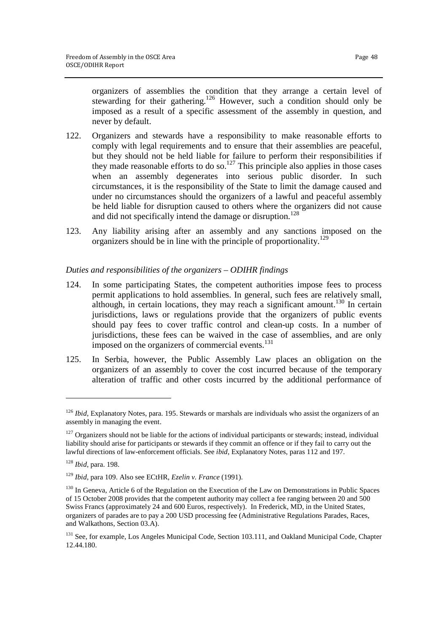organizers of assemblies the condition that they arrange a certain level of stewarding for their gathering.<sup>126</sup> However, such a condition should only be imposed as a result of a specific assessment of the assembly in question, and never by default.

- 122. Organizers and stewards have a responsibility to make reasonable efforts to comply with legal requirements and to ensure that their assemblies are peaceful, but they should not be held liable for failure to perform their responsibilities if they made reasonable efforts to do so.<sup>127</sup> This principle also applies in those cases when an assembly degenerates into serious public disorder. In such circumstances, it is the responsibility of the State to limit the damage caused and under no circumstances should the organizers of a lawful and peaceful assembly be held liable for disruption caused to others where the organizers did not cause and did not specifically intend the damage or disruption.<sup>128</sup>
- 123. Any liability arising after an assembly and any sanctions imposed on the organizers should be in line with the principle of proportionality.<sup>129</sup>

# *Duties and responsibilities of the organizers – ODIHR findings*

- 124. In some participating States, the competent authorities impose fees to process permit applications to hold assemblies. In general, such fees are relatively small, although, in certain locations, they may reach a significant amount.<sup>130</sup> In certain jurisdictions, laws or regulations provide that the organizers of public events should pay fees to cover traffic control and clean-up costs. In a number of jurisdictions, these fees can be waived in the case of assemblies, and are only imposed on the organizers of commercial events. $131$
- 125. In Serbia, however, the Public Assembly Law places an obligation on the organizers of an assembly to cover the cost incurred because of the temporary alteration of traffic and other costs incurred by the additional performance of

<sup>&</sup>lt;sup>126</sup> *Ibid*, Explanatory Notes, para. 195. Stewards or marshals are individuals who assist the organizers of an assembly in managing the event.

 $127$  Organizers should not be liable for the actions of individual participants or stewards; instead, individual liability should arise for participants or stewards if they commit an offence or if they fail to carry out the lawful directions of law-enforcement officials. See *ibid*, Explanatory Notes, paras 112 and 197.

<sup>128</sup> *Ibid*, para. 198.

<sup>129</sup> *Ibid*, para 109. Also see ECtHR, *Ezelin v. France* (1991).

<sup>&</sup>lt;sup>130</sup> In Geneva, Article 6 of the Regulation on the Execution of the Law on Demonstrations in Public Spaces of 15 October 2008 provides that the competent authority may collect a fee ranging between 20 and 500 Swiss Francs (approximately 24 and 600 Euros, respectively). In Frederick, MD, in the United States, organizers of parades are to pay a 200 USD processing fee (Administrative Regulations Parades, Races, and Walkathons, Section 03.A).

<sup>&</sup>lt;sup>131</sup> See, for example, Los Angeles Municipal Code, Section 103.111, and Oakland Municipal Code, Chapter 12.44.180.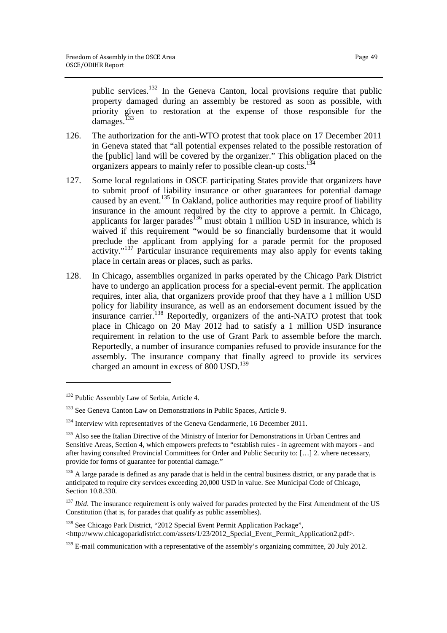public services.<sup>132</sup> In the Geneva Canton, local provisions require that public property damaged during an assembly be restored as soon as possible, with priority given to restoration at the expense of those responsible for the damages.<sup>133</sup>

- 126. The authorization for the anti-WTO protest that took place on 17 December 2011 in Geneva stated that "all potential expenses related to the possible restoration of the [public] land will be covered by the organizer." This obligation placed on the organizers appears to mainly refer to possible clean-up costs.<sup>13</sup>
- 127. Some local regulations in OSCE participating States provide that organizers have to submit proof of liability insurance or other guarantees for potential damage caused by an event.<sup>135</sup> In Oakland, police authorities may require proof of liability insurance in the amount required by the city to approve a permit. In Chicago, applicants for larger parades<sup>136</sup> must obtain 1 million USD in insurance, which is waived if this requirement "would be so financially burdensome that it would preclude the applicant from applying for a parade permit for the proposed activity."<sup>137</sup> Particular insurance requirements may also apply for events taking place in certain areas or places, such as parks.
- 128. In Chicago, assemblies organized in parks operated by the Chicago Park District have to undergo an application process for a special-event permit. The application requires, inter alia, that organizers provide proof that they have a 1 million USD policy for liability insurance, as well as an endorsement document issued by the insurance carrier.<sup>138</sup> Reportedly, organizers of the anti-NATO protest that took place in Chicago on 20 May 2012 had to satisfy a 1 million USD insurance requirement in relation to the use of Grant Park to assemble before the march. Reportedly, a number of insurance companies refused to provide insurance for the assembly. The insurance company that finally agreed to provide its services charged an amount in excess of 800 USD.<sup>139</sup>

<sup>&</sup>lt;sup>132</sup> Public Assembly Law of Serbia, Article 4.

<sup>&</sup>lt;sup>133</sup> See Geneva Canton Law on Demonstrations in Public Spaces, Article 9.

<sup>&</sup>lt;sup>134</sup> Interview with representatives of the Geneva Gendarmerie, 16 December 2011.

<sup>&</sup>lt;sup>135</sup> Also see the Italian Directive of the Ministry of Interior for Demonstrations in Urban Centres and Sensitive Areas, Section 4, which empowers prefects to "establish rules - in agreement with mayors - and after having consulted Provincial Committees for Order and Public Security to: […] 2. where necessary, provide for forms of guarantee for potential damage."

<sup>&</sup>lt;sup>136</sup> A large parade is defined as any parade that is held in the central business district, or any parade that is anticipated to require city services exceeding 20,000 USD in value. See Municipal Code of Chicago, Section 10.8.330.

<sup>&</sup>lt;sup>137</sup> *Ibid*. The insurance requirement is only waived for parades protected by the First Amendment of the US Constitution (that is, for parades that qualify as public assemblies).

<sup>&</sup>lt;sup>138</sup> See Chicago Park District, "2012 Special Event Permit Application Package", <http://www.chicagoparkdistrict.com/assets/1/23/2012\_Special\_Event\_Permit\_Application2.pdf>.

<sup>&</sup>lt;sup>139</sup> E-mail communication with a representative of the assembly's organizing committee, 20 July 2012.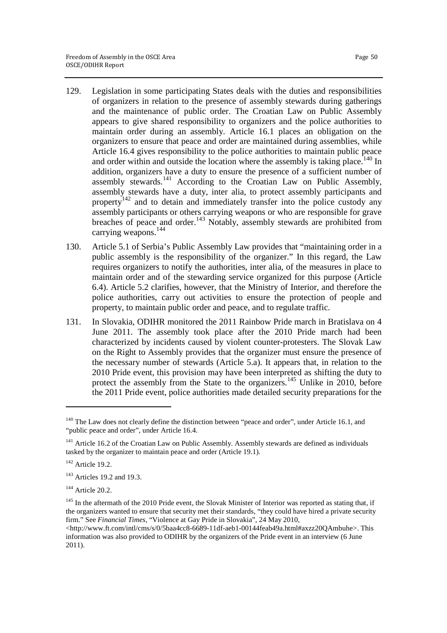- 129. Legislation in some participating States deals with the duties and responsibilities of organizers in relation to the presence of assembly stewards during gatherings and the maintenance of public order. The Croatian Law on Public Assembly appears to give shared responsibility to organizers and the police authorities to maintain order during an assembly. Article 16.1 places an obligation on the organizers to ensure that peace and order are maintained during assemblies, while Article 16.4 gives responsibility to the police authorities to maintain public peace and order within and outside the location where the assembly is taking place.<sup>140</sup> In addition, organizers have a duty to ensure the presence of a sufficient number of assembly stewards.<sup>141</sup> According to the Croatian Law on Public Assembly, assembly stewards have a duty, inter alia, to protect assembly participants and property $142$  and to detain and immediately transfer into the police custody any assembly participants or others carrying weapons or who are responsible for grave breaches of peace and order.<sup>143</sup> Notably, assembly stewards are prohibited from carrying weapons.<sup>144</sup>
- 130. Article 5.1 of Serbia's Public Assembly Law provides that "maintaining order in a public assembly is the responsibility of the organizer." In this regard, the Law requires organizers to notify the authorities, inter alia, of the measures in place to maintain order and of the stewarding service organized for this purpose (Article 6.4). Article 5.2 clarifies, however, that the Ministry of Interior, and therefore the police authorities, carry out activities to ensure the protection of people and property, to maintain public order and peace, and to regulate traffic.
- 131. In Slovakia, ODIHR monitored the 2011 Rainbow Pride march in Bratislava on 4 June 2011. The assembly took place after the 2010 Pride march had been characterized by incidents caused by violent counter-protesters. The Slovak Law on the Right to Assembly provides that the organizer must ensure the presence of the necessary number of stewards (Article 5.a). It appears that, in relation to the 2010 Pride event, this provision may have been interpreted as shifting the duty to protect the assembly from the State to the organizers.<sup>145</sup> Unlike in 2010, before the 2011 Pride event, police authorities made detailed security preparations for the

<sup>&</sup>lt;sup>140</sup> The Law does not clearly define the distinction between "peace and order", under Article 16.1, and "public peace and order", under Article 16.4.

<sup>&</sup>lt;sup>141</sup> Article 16.2 of the Croatian Law on Public Assembly. Assembly stewards are defined as individuals tasked by the organizer to maintain peace and order (Article 19.1).

 $142$  Article 19.2.

<sup>&</sup>lt;sup>143</sup> Articles 19.2 and 19.3.

 $144$  Article 20.2.

<sup>&</sup>lt;sup>145</sup> In the aftermath of the 2010 Pride event, the Slovak Minister of Interior was reported as stating that, if the organizers wanted to ensure that security met their standards, "they could have hired a private security firm." See *Financial Times*, "Violence at Gay Pride in Slovakia", 24 May 2010,

<sup>&</sup>lt;http://www.ft.com/intl/cms/s/0/5baa4cc8-6689-11df-aeb1-00144feab49a.html#axzz20QAmbuhe>. This information was also provided to ODIHR by the organizers of the Pride event in an interview (6 June 2011).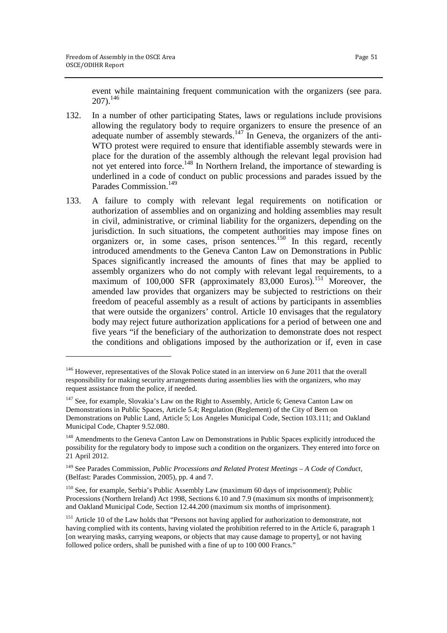event while maintaining frequent communication with the organizers (see para.  $207)$ .<sup>146</sup>

- 132. In a number of other participating States, laws or regulations include provisions allowing the regulatory body to require organizers to ensure the presence of an adequate number of assembly stewards.<sup>147</sup> In Geneva, the organizers of the anti-WTO protest were required to ensure that identifiable assembly stewards were in place for the duration of the assembly although the relevant legal provision had not yet entered into force.<sup>148</sup> In Northern Ireland, the importance of stewarding is underlined in a code of conduct on public processions and parades issued by the Parades Commission.<sup>149</sup>
- 133. A failure to comply with relevant legal requirements on notification or authorization of assemblies and on organizing and holding assemblies may result in civil, administrative, or criminal liability for the organizers, depending on the jurisdiction. In such situations, the competent authorities may impose fines on organizers or, in some cases, prison sentences.<sup>150</sup> In this regard, recently introduced amendments to the Geneva Canton Law on Demonstrations in Public Spaces significantly increased the amounts of fines that may be applied to assembly organizers who do not comply with relevant legal requirements, to a maximum of 100,000 SFR (approximately 83,000 Euros).<sup>151</sup> Moreover, the amended law provides that organizers may be subjected to restrictions on their freedom of peaceful assembly as a result of actions by participants in assemblies that were outside the organizers' control. Article 10 envisages that the regulatory body may reject future authorization applications for a period of between one and five years "if the beneficiary of the authorization to demonstrate does not respect the conditions and obligations imposed by the authorization or if, even in case

<sup>&</sup>lt;sup>146</sup> However, representatives of the Slovak Police stated in an interview on 6 June 2011 that the overall responsibility for making security arrangements during assemblies lies with the organizers, who may request assistance from the police, if needed.

<sup>&</sup>lt;sup>147</sup> See, for example, Slovakia's Law on the Right to Assembly, Article 6; Geneva Canton Law on Demonstrations in Public Spaces, Article 5.4; Regulation (Reglement) of the City of Bern on Demonstrations on Public Land, Article 5; Los Angeles Municipal Code, Section 103.111; and Oakland Municipal Code, Chapter 9.52.080.

<sup>&</sup>lt;sup>148</sup> Amendments to the Geneva Canton Law on Demonstrations in Public Spaces explicitly introduced the possibility for the regulatory body to impose such a condition on the organizers. They entered into force on 21 April 2012.

<sup>149</sup> See Parades Commission, *Public Processions and Related Protest Meetings – A Code of Conduct*, (Belfast: Parades Commission, 2005), pp. 4 and 7.

<sup>&</sup>lt;sup>150</sup> See, for example, Serbia's Public Assembly Law (maximum 60 days of imprisonment); Public Processions (Northern Ireland) Act 1998, Sections 6.10 and 7.9 (maximum six months of imprisonment); and Oakland Municipal Code, Section 12.44.200 (maximum six months of imprisonment).

<sup>&</sup>lt;sup>151</sup> Article 10 of the Law holds that "Persons not having applied for authorization to demonstrate, not having complied with its contents, having violated the prohibition referred to in the Article 6, paragraph 1 [on wearying masks, carrying weapons, or objects that may cause damage to property], or not having followed police orders, shall be punished with a fine of up to 100 000 Francs."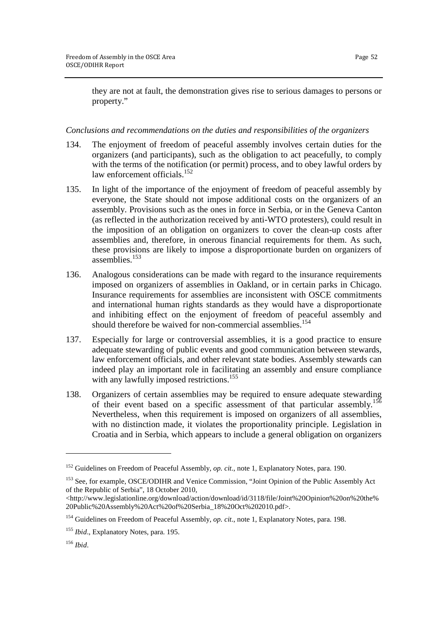they are not at fault, the demonstration gives rise to serious damages to persons or property."

#### *Conclusions and recommendations on the duties and responsibilities of the organizers*

- 134. The enjoyment of freedom of peaceful assembly involves certain duties for the organizers (and participants), such as the obligation to act peacefully, to comply with the terms of the notification (or permit) process, and to obey lawful orders by law enforcement officials. $152$
- 135. In light of the importance of the enjoyment of freedom of peaceful assembly by everyone, the State should not impose additional costs on the organizers of an assembly. Provisions such as the ones in force in Serbia, or in the Geneva Canton (as reflected in the authorization received by anti-WTO protesters), could result in the imposition of an obligation on organizers to cover the clean-up costs after assemblies and, therefore, in onerous financial requirements for them. As such, these provisions are likely to impose a disproportionate burden on organizers of assemblies.<sup>153</sup>
- 136. Analogous considerations can be made with regard to the insurance requirements imposed on organizers of assemblies in Oakland, or in certain parks in Chicago. Insurance requirements for assemblies are inconsistent with OSCE commitments and international human rights standards as they would have a disproportionate and inhibiting effect on the enjoyment of freedom of peaceful assembly and should therefore be waived for non-commercial assemblies.<sup>154</sup>
- 137. Especially for large or controversial assemblies, it is a good practice to ensure adequate stewarding of public events and good communication between stewards, law enforcement officials, and other relevant state bodies. Assembly stewards can indeed play an important role in facilitating an assembly and ensure compliance with any lawfully imposed restrictions.<sup>155</sup>
- 138. Organizers of certain assemblies may be required to ensure adequate stewarding of their event based on a specific assessment of that particular assembly.<sup>15</sup> Nevertheless, when this requirement is imposed on organizers of all assemblies, with no distinction made, it violates the proportionality principle. Legislation in Croatia and in Serbia, which appears to include a general obligation on organizers

<sup>152</sup> Guidelines on Freedom of Peaceful Assembly, *op. cit.*, note 1, Explanatory Notes, para. 190.

<sup>&</sup>lt;sup>153</sup> See, for example, OSCE/ODIHR and Venice Commission, "Joint Opinion of the Public Assembly Act of the Republic of Serbia", 18 October 2010,

<sup>&</sup>lt;http://www.legislationline.org/download/action/download/id/3118/file/Joint%20Opinion%20on%20the% 20Public%20Assembly%20Act%20of%20Serbia\_18%20Oct%202010.pdf>.

<sup>&</sup>lt;sup>154</sup> Guidelines on Freedom of Peaceful Assembly, *op. cit.*, note 1, Explanatory Notes, para. 198.

<sup>155</sup> *Ibid*., Explanatory Notes, para. 195.

<sup>156</sup> *Ibid*.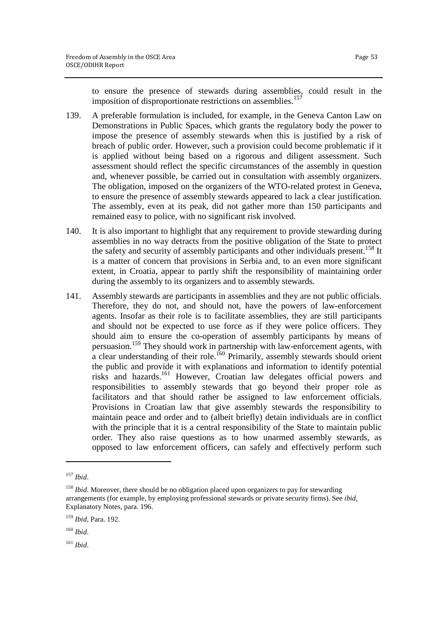to ensure the presence of stewards during assemblies, could result in the imposition of disproportionate restrictions on assemblies.<sup>15</sup>

- 139. A preferable formulation is included, for example, in the Geneva Canton Law on Demonstrations in Public Spaces, which grants the regulatory body the power to impose the presence of assembly stewards when this is justified by a risk of breach of public order. However, such a provision could become problematic if it is applied without being based on a rigorous and diligent assessment. Such assessment should reflect the specific circumstances of the assembly in question and, whenever possible, be carried out in consultation with assembly organizers. The obligation, imposed on the organizers of the WTO-related protest in Geneva, to ensure the presence of assembly stewards appeared to lack a clear justification. The assembly, even at its peak, did not gather more than 150 participants and remained easy to police, with no significant risk involved.
- 140. It is also important to highlight that any requirement to provide stewarding during assemblies in no way detracts from the positive obligation of the State to protect the safety and security of assembly participants and other individuals present.<sup>158</sup> It is a matter of concern that provisions in Serbia and, to an even more significant extent, in Croatia, appear to partly shift the responsibility of maintaining order during the assembly to its organizers and to assembly stewards.
- 141. Assembly stewards are participants in assemblies and they are not public officials. Therefore, they do not, and should not, have the powers of law-enforcement agents. Insofar as their role is to facilitate assemblies, they are still participants and should not be expected to use force as if they were police officers. They should aim to ensure the co-operation of assembly participants by means of persuasion.<sup>159</sup> They should work in partnership with law-enforcement agents, with a clear understanding of their role.<sup>160</sup> Primarily, assembly stewards should orient the public and provide it with explanations and information to identify potential risks and hazards.<sup>161</sup> However, Croatian law delegates official powers and responsibilities to assembly stewards that go beyond their proper role as facilitators and that should rather be assigned to law enforcement officials. Provisions in Croatian law that give assembly stewards the responsibility to maintain peace and order and to (albeit briefly) detain individuals are in conflict with the principle that it is a central responsibility of the State to maintain public order. They also raise questions as to how unarmed assembly stewards, as opposed to law enforcement officers, can safely and effectively perform such

<sup>157</sup> *Ibid*.

<sup>&</sup>lt;sup>158</sup> *Ibid*. Moreover, there should be no obligation placed upon organizers to pay for stewarding arrangements (for example, by employing professional stewards or private security firms). See *ibid*, Explanatory Notes, para. 196.

<sup>159</sup> *Ibid*, Para. 192.

<sup>160</sup> *Ibid*.

<sup>161</sup> *Ibid*.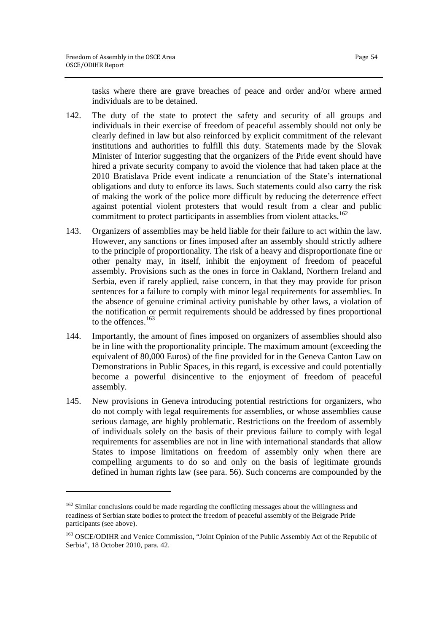tasks where there are grave breaches of peace and order and/or where armed individuals are to be detained.

- 142. The duty of the state to protect the safety and security of all groups and individuals in their exercise of freedom of peaceful assembly should not only be clearly defined in law but also reinforced by explicit commitment of the relevant institutions and authorities to fulfill this duty. Statements made by the Slovak Minister of Interior suggesting that the organizers of the Pride event should have hired a private security company to avoid the violence that had taken place at the 2010 Bratislava Pride event indicate a renunciation of the State's international obligations and duty to enforce its laws. Such statements could also carry the risk of making the work of the police more difficult by reducing the deterrence effect against potential violent protesters that would result from a clear and public commitment to protect participants in assemblies from violent attacks.<sup>162</sup>
- 143. Organizers of assemblies may be held liable for their failure to act within the law. However, any sanctions or fines imposed after an assembly should strictly adhere to the principle of proportionality. The risk of a heavy and disproportionate fine or other penalty may, in itself, inhibit the enjoyment of freedom of peaceful assembly. Provisions such as the ones in force in Oakland, Northern Ireland and Serbia, even if rarely applied, raise concern, in that they may provide for prison sentences for a failure to comply with minor legal requirements for assemblies. In the absence of genuine criminal activity punishable by other laws, a violation of the notification or permit requirements should be addressed by fines proportional to the offences.<sup>163</sup>
- 144. Importantly, the amount of fines imposed on organizers of assemblies should also be in line with the proportionality principle. The maximum amount (exceeding the equivalent of 80,000 Euros) of the fine provided for in the Geneva Canton Law on Demonstrations in Public Spaces, in this regard, is excessive and could potentially become a powerful disincentive to the enjoyment of freedom of peaceful assembly.
- 145. New provisions in Geneva introducing potential restrictions for organizers, who do not comply with legal requirements for assemblies, or whose assemblies cause serious damage, are highly problematic. Restrictions on the freedom of assembly of individuals solely on the basis of their previous failure to comply with legal requirements for assemblies are not in line with international standards that allow States to impose limitations on freedom of assembly only when there are compelling arguments to do so and only on the basis of legitimate grounds defined in human rights law (see para. 56). Such concerns are compounded by the

<sup>&</sup>lt;sup>162</sup> Similar conclusions could be made regarding the conflicting messages about the willingness and readiness of Serbian state bodies to protect the freedom of peaceful assembly of the Belgrade Pride participants (see above).

<sup>&</sup>lt;sup>163</sup> OSCE/ODIHR and Venice Commission, "Joint Opinion of the Public Assembly Act of the Republic of Serbia", 18 October 2010, para. 42.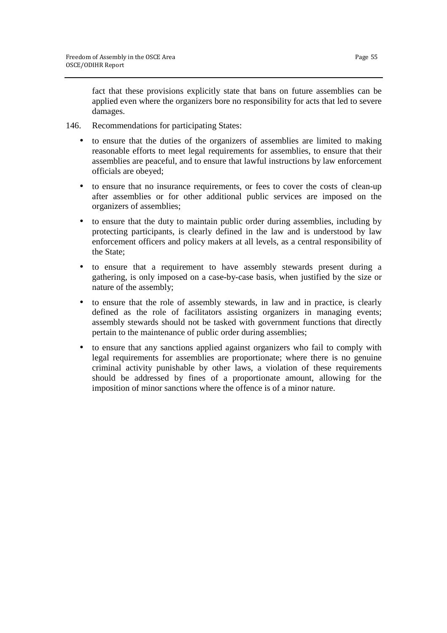fact that these provisions explicitly state that bans on future assemblies can be applied even where the organizers bore no responsibility for acts that led to severe damages.

- 146. Recommendations for participating States:
	- to ensure that the duties of the organizers of assemblies are limited to making reasonable efforts to meet legal requirements for assemblies, to ensure that their assemblies are peaceful, and to ensure that lawful instructions by law enforcement officials are obeyed;
	- to ensure that no insurance requirements, or fees to cover the costs of clean-up after assemblies or for other additional public services are imposed on the organizers of assemblies;
	- to ensure that the duty to maintain public order during assemblies, including by protecting participants, is clearly defined in the law and is understood by law enforcement officers and policy makers at all levels, as a central responsibility of the State;
	- to ensure that a requirement to have assembly stewards present during a gathering, is only imposed on a case-by-case basis, when justified by the size or nature of the assembly;
	- to ensure that the role of assembly stewards, in law and in practice, is clearly defined as the role of facilitators assisting organizers in managing events; assembly stewards should not be tasked with government functions that directly pertain to the maintenance of public order during assemblies;
	- to ensure that any sanctions applied against organizers who fail to comply with legal requirements for assemblies are proportionate; where there is no genuine criminal activity punishable by other laws, a violation of these requirements should be addressed by fines of a proportionate amount, allowing for the imposition of minor sanctions where the offence is of a minor nature.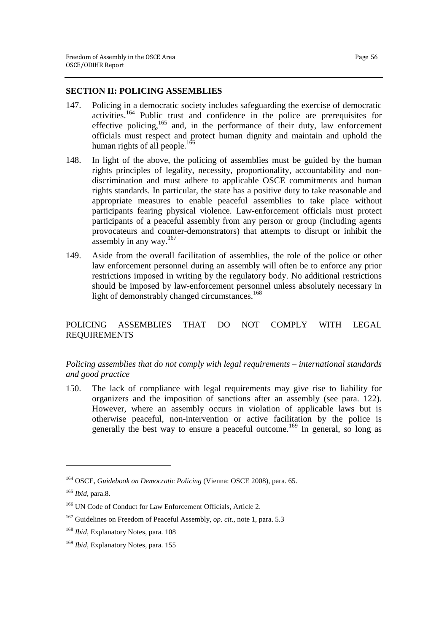#### **SECTION II: POLICING ASSEMBLIES**

- 147. Policing in a democratic society includes safeguarding the exercise of democratic activities.<sup>164</sup> Public trust and confidence in the police are prerequisites for effective policing,<sup>165</sup> and, in the performance of their duty, law enforcement officials must respect and protect human dignity and maintain and uphold the human rights of all people.<sup>166</sup>
- 148. In light of the above, the policing of assemblies must be guided by the human rights principles of legality, necessity, proportionality, accountability and nondiscrimination and must adhere to applicable OSCE commitments and human rights standards. In particular, the state has a positive duty to take reasonable and appropriate measures to enable peaceful assemblies to take place without participants fearing physical violence. Law-enforcement officials must protect participants of a peaceful assembly from any person or group (including agents provocateurs and counter-demonstrators) that attempts to disrupt or inhibit the assembly in any way.<sup>167</sup>
- 149. Aside from the overall facilitation of assemblies, the role of the police or other law enforcement personnel during an assembly will often be to enforce any prior restrictions imposed in writing by the regulatory body. No additional restrictions should be imposed by law-enforcement personnel unless absolutely necessary in light of demonstrably changed circumstances.<sup>168</sup>

# POLICING ASSEMBLIES THAT DO NOT COMPLY WITH LEGAL REQUIREMENTS

# *Policing assemblies that do not comply with legal requirements – international standards and good practice*

150. The lack of compliance with legal requirements may give rise to liability for organizers and the imposition of sanctions after an assembly (see para. 122). However, where an assembly occurs in violation of applicable laws but is otherwise peaceful, non-intervention or active facilitation by the police is generally the best way to ensure a peaceful outcome.<sup>169</sup> In general, so long as

<sup>164</sup> OSCE, *Guidebook on Democratic Policing* (Vienna: OSCE 2008), para. 65.

<sup>165</sup> *Ibid*, para.8.

<sup>&</sup>lt;sup>166</sup> UN Code of Conduct for Law Enforcement Officials, Article 2.

<sup>167</sup> Guidelines on Freedom of Peaceful Assembly, *op. cit.*, note 1, para. 5.3

<sup>168</sup> *Ibid*, Explanatory Notes, para. 108

<sup>169</sup> *Ibid*, Explanatory Notes, para. 155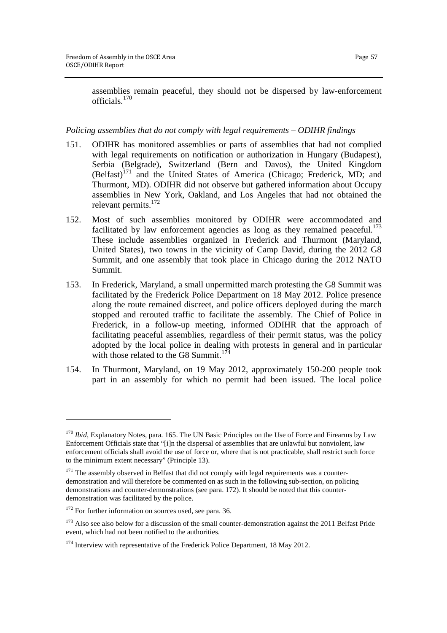assemblies remain peaceful, they should not be dispersed by law-enforcement officials.<sup>170</sup>

#### *Policing assemblies that do not comply with legal requirements – ODIHR findings*

- 151. ODIHR has monitored assemblies or parts of assemblies that had not complied with legal requirements on notification or authorization in Hungary (Budapest), Serbia (Belgrade), Switzerland (Bern and Davos), the United Kingdom  $(Belfast)$ <sup>171</sup> and the United States of America (Chicago; Frederick, MD; and Thurmont, MD). ODIHR did not observe but gathered information about Occupy assemblies in New York, Oakland, and Los Angeles that had not obtained the relevant permits.<sup>172</sup>
- 152. Most of such assemblies monitored by ODIHR were accommodated and facilitated by law enforcement agencies as long as they remained peaceful.<sup>173</sup> These include assemblies organized in Frederick and Thurmont (Maryland, United States), two towns in the vicinity of Camp David, during the 2012 G8 Summit, and one assembly that took place in Chicago during the 2012 NATO Summit.
- 153. In Frederick, Maryland, a small unpermitted march protesting the G8 Summit was facilitated by the Frederick Police Department on 18 May 2012. Police presence along the route remained discreet, and police officers deployed during the march stopped and rerouted traffic to facilitate the assembly. The Chief of Police in Frederick, in a follow-up meeting, informed ODIHR that the approach of facilitating peaceful assemblies, regardless of their permit status, was the policy adopted by the local police in dealing with protests in general and in particular with those related to the G8 Summit.<sup>174</sup>
- 154. In Thurmont, Maryland, on 19 May 2012, approximately 150-200 people took part in an assembly for which no permit had been issued. The local police

<sup>&</sup>lt;sup>170</sup> *Ibid*, Explanatory Notes, para. 165. The UN Basic Principles on the Use of Force and Firearms by Law Enforcement Officials state that "[i]n the dispersal of assemblies that are unlawful but nonviolent, law enforcement officials shall avoid the use of force or, where that is not practicable, shall restrict such force to the minimum extent necessary" (Principle 13).

 $171$  The assembly observed in Belfast that did not comply with legal requirements was a counterdemonstration and will therefore be commented on as such in the following sub-section, on policing demonstrations and counter-demonstrations (see para. 172). It should be noted that this counterdemonstration was facilitated by the police.

<sup>&</sup>lt;sup>172</sup> For further information on sources used, see para. 36.

<sup>&</sup>lt;sup>173</sup> Also see also below for a discussion of the small counter-demonstration against the 2011 Belfast Pride event, which had not been notified to the authorities.

<sup>&</sup>lt;sup>174</sup> Interview with representative of the Frederick Police Department, 18 May 2012.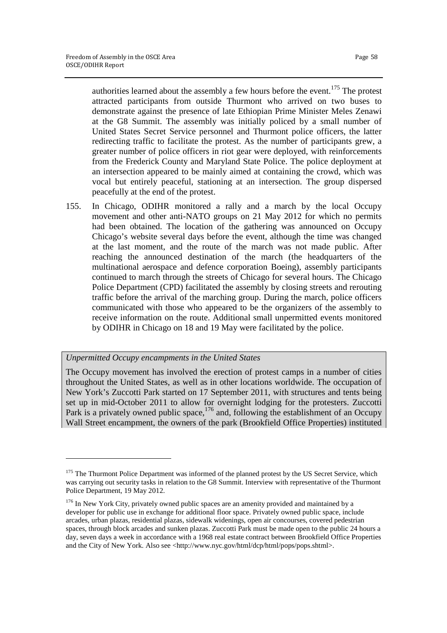authorities learned about the assembly a few hours before the event.<sup>175</sup> The protest attracted participants from outside Thurmont who arrived on two buses to demonstrate against the presence of late Ethiopian Prime Minister Meles Zenawi at the G8 Summit. The assembly was initially policed by a small number of United States Secret Service personnel and Thurmont police officers, the latter redirecting traffic to facilitate the protest. As the number of participants grew, a greater number of police officers in riot gear were deployed, with reinforcements from the Frederick County and Maryland State Police. The police deployment at an intersection appeared to be mainly aimed at containing the crowd, which was vocal but entirely peaceful, stationing at an intersection. The group dispersed peacefully at the end of the protest.

155. In Chicago, ODIHR monitored a rally and a march by the local Occupy movement and other anti-NATO groups on 21 May 2012 for which no permits had been obtained. The location of the gathering was announced on Occupy Chicago's website several days before the event, although the time was changed at the last moment, and the route of the march was not made public. After reaching the announced destination of the march (the headquarters of the multinational aerospace and defence corporation Boeing), assembly participants continued to march through the streets of Chicago for several hours. The Chicago Police Department (CPD) facilitated the assembly by closing streets and rerouting traffic before the arrival of the marching group. During the march, police officers communicated with those who appeared to be the organizers of the assembly to receive information on the route. Additional small unpermitted events monitored by ODIHR in Chicago on 18 and 19 May were facilitated by the police.

# *Unpermitted Occupy encampments in the United States*

1

The Occupy movement has involved the erection of protest camps in a number of cities throughout the United States, as well as in other locations worldwide. The occupation of New York's Zuccotti Park started on 17 September 2011, with structures and tents being set up in mid-October 2011 to allow for overnight lodging for the protesters. Zuccotti Park is a privately owned public space,<sup>176</sup> and, following the establishment of an Occupy Wall Street encampment, the owners of the park (Brookfield Office Properties) instituted

<sup>&</sup>lt;sup>175</sup> The Thurmont Police Department was informed of the planned protest by the US Secret Service, which was carrying out security tasks in relation to the G8 Summit. Interview with representative of the Thurmont Police Department, 19 May 2012.

<sup>&</sup>lt;sup>176</sup> In New York City, privately owned public spaces are an amenity provided and maintained by a developer for public use in exchange for additional floor space. Privately owned public space, include arcades, urban plazas, residential plazas, sidewalk widenings, open air concourses, covered pedestrian spaces, through block arcades and sunken plazas. Zuccotti Park must be made open to the public 24 hours a day, seven days a week in accordance with a 1968 real estate contract between Brookfield Office Properties and the City of New York. Also see <http://www.nyc.gov/html/dcp/html/pops/pops.shtml>.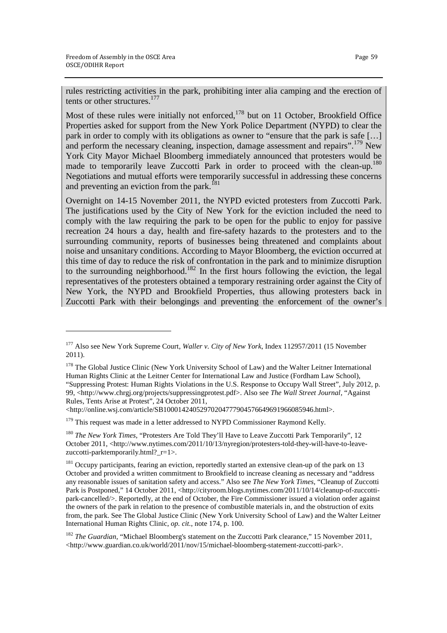1

rules restricting activities in the park, prohibiting inter alia camping and the erection of tents or other structures.<sup>177</sup>

Most of these rules were initially not enforced,  $178$  but on 11 October, Brookfield Office Properties asked for support from the New York Police Department (NYPD) to clear the park in order to comply with its obligations as owner to "ensure that the park is safe […] and perform the necessary cleaning, inspection, damage assessment and repairs".<sup>179</sup> New York City Mayor Michael Bloomberg immediately announced that protesters would be made to temporarily leave Zuccotti Park in order to proceed with the clean-up.<sup>1</sup> Negotiations and mutual efforts were temporarily successful in addressing these concerns and preventing an eviction from the park.<sup>[81</sup>]

Overnight on 14-15 November 2011, the NYPD evicted protesters from Zuccotti Park. The justifications used by the City of New York for the eviction included the need to comply with the law requiring the park to be open for the public to enjoy for passive recreation 24 hours a day, health and fire-safety hazards to the protesters and to the surrounding community, reports of businesses being threatened and complaints about noise and unsanitary conditions. According to Mayor Bloomberg, the eviction occurred at this time of day to reduce the risk of confrontation in the park and to minimize disruption to the surrounding neighborhood.<sup>182</sup> In the first hours following the eviction, the legal representatives of the protesters obtained a temporary restraining order against the City of New York, the NYPD and Brookfield Properties, thus allowing protesters back in Zuccotti Park with their belongings and preventing the enforcement of the owner's

<http://online.wsj.com/article/SB10001424052970204777904576649691966085946.html>.

 $179$  This request was made in a letter addressed to NYPD Commissioner Raymond Kelly.

<sup>180</sup> *The New York Times*, "Protesters Are Told They'll Have to Leave Zuccotti Park Temporarily", 12 October 2011, <http://www.nytimes.com/2011/10/13/nyregion/protesters-told-they-will-have-to-leavezuccotti-parktemporarily.html? $r=1>$ .

<sup>177</sup> Also see New York Supreme Court, *Waller v. City of New York*, Index 112957/2011 (15 November 2011).

<sup>&</sup>lt;sup>178</sup> The Global Justice Clinic (New York University School of Law) and the Walter Leitner International Human Rights Clinic at the Leitner Center for International Law and Justice (Fordham Law School), "Suppressing Protest: Human Rights Violations in the U.S. Response to Occupy Wall Street", July 2012, p. 99, <http://www.chrgj.org/projects/suppressingprotest.pdf>. Also see *The Wall Street Journal*, "Against Rules, Tents Arise at Protest", 24 October 2011,

<sup>&</sup>lt;sup>181</sup> Occupy participants, fearing an eviction, reportedly started an extensive clean-up of the park on 13 October and provided a written commitment to Brookfield to increase cleaning as necessary and "address any reasonable issues of sanitation safety and access." Also see *The New York Times*, "Cleanup of Zuccotti Park is Postponed," 14 October 2011, <http://cityroom.blogs.nytimes.com/2011/10/14/cleanup-of-zuccottipark-cancelled/>. Reportedly, at the end of October, the Fire Commissioner issued a violation order against the owners of the park in relation to the presence of combustible materials in, and the obstruction of exits from, the park. See The Global Justice Clinic (New York University School of Law) and the Walter Leitner International Human Rights Clinic, *op. cit.*, note 174, p. 100.

<sup>182</sup> *The Guardian*, "Michael Bloomberg's statement on the Zuccotti Park clearance," 15 November 2011, <http://www.guardian.co.uk/world/2011/nov/15/michael-bloomberg-statement-zuccotti-park>.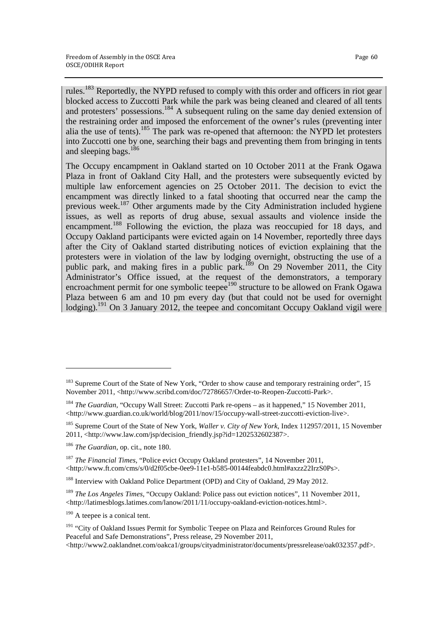rules.<sup>183</sup> Reportedly, the NYPD refused to comply with this order and officers in riot gear blocked access to Zuccotti Park while the park was being cleaned and cleared of all tents and protesters' possessions.<sup>184</sup> A subsequent ruling on the same day denied extension of the restraining order and imposed the enforcement of the owner's rules (preventing inter alia the use of tents).<sup>185</sup> The park was re-opened that afternoon: the NYPD let protesters into Zuccotti one by one, searching their bags and preventing them from bringing in tents and sleeping bags.<sup>186</sup>

The Occupy encampment in Oakland started on 10 October 2011 at the Frank Ogawa Plaza in front of Oakland City Hall, and the protesters were subsequently evicted by multiple law enforcement agencies on 25 October 2011. The decision to evict the encampment was directly linked to a fatal shooting that occurred near the camp the previous week.<sup>187</sup> Other arguments made by the City Administration included hygiene issues, as well as reports of drug abuse, sexual assaults and violence inside the encampment.<sup>188</sup> Following the eviction, the plaza was reoccupied for 18 days, and Occupy Oakland participants were evicted again on 14 November, reportedly three days after the City of Oakland started distributing notices of eviction explaining that the protesters were in violation of the law by lodging overnight, obstructing the use of a public park, and making fires in a public park.<sup>189</sup> On 29 November 2011, the City Administrator's Office issued, at the request of the demonstrators, a temporary encroachment permit for one symbolic teepee<sup>190</sup> structure to be allowed on Frank Ogawa Plaza between 6 am and 10 pm every day (but that could not be used for overnight lodging).<sup>191</sup> On 3 January 2012, the teepee and concomitant Occupy Oakland vigil were

<sup>&</sup>lt;sup>183</sup> Supreme Court of the State of New York, "Order to show cause and temporary restraining order", 15 November 2011, <http://www.scribd.com/doc/72786657/Order-to-Reopen-Zuccotti-Park>.

<sup>&</sup>lt;sup>184</sup> *The Guardian*, "Occupy Wall Street: Zuccotti Park re-opens - as it happened," 15 November 2011, <http://www.guardian.co.uk/world/blog/2011/nov/15/occupy-wall-street-zuccotti-eviction-live>.

<sup>185</sup> Supreme Court of the State of New York, *Waller v. City of New York*, Index 112957/2011, 15 November 2011, <http://www.law.com/jsp/decision\_friendly.jsp?id=1202532602387>.

<sup>186</sup> *The Guardian*, op. cit., note 180.

<sup>187</sup> *The Financial Times*, "Police evict Occupy Oakland protesters", 14 November 2011, <http://www.ft.com/cms/s/0/d2f05cbe-0ee9-11e1-b585-00144feabdc0.html#axzz22IrzS0Ps>.

<sup>&</sup>lt;sup>188</sup> Interview with Oakland Police Department (OPD) and City of Oakland, 29 May 2012.

<sup>189</sup> *The Los Angeles Times*, "Occupy Oakland: Police pass out eviction notices", 11 November 2011, <http://latimesblogs.latimes.com/lanow/2011/11/occupy-oakland-eviction-notices.html>.

<sup>&</sup>lt;sup>190</sup> A teepee is a conical tent.

<sup>&</sup>lt;sup>191</sup> "City of Oakland Issues Permit for Symbolic Teepee on Plaza and Reinforces Ground Rules for Peaceful and Safe Demonstrations", Press release, 29 November 2011, <http://www2.oaklandnet.com/oakca1/groups/cityadministrator/documents/pressrelease/oak032357.pdf>.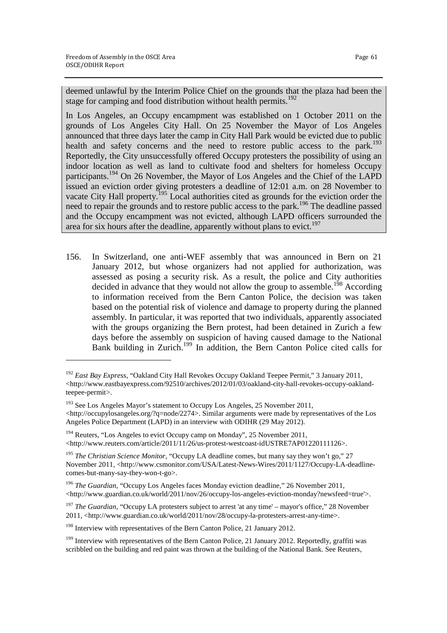1

deemed unlawful by the Interim Police Chief on the grounds that the plaza had been the stage for camping and food distribution without health permits.<sup>192</sup>

In Los Angeles, an Occupy encampment was established on 1 October 2011 on the grounds of Los Angeles City Hall. On 25 November the Mayor of Los Angeles announced that three days later the camp in City Hall Park would be evicted due to public health and safety concerns and the need to restore public access to the park.<sup>193</sup> Reportedly, the City unsuccessfully offered Occupy protesters the possibility of using an indoor location as well as land to cultivate food and shelters for homeless Occupy participants.<sup>194</sup> On 26 November, the Mayor of Los Angeles and the Chief of the LAPD issued an eviction order giving protesters a deadline of 12:01 a.m. on 28 November to vacate City Hall property.<sup>195</sup> Local authorities cited as grounds for the eviction order the need to repair the grounds and to restore public access to the park.<sup>196</sup> The deadline passed and the Occupy encampment was not evicted, although LAPD officers surrounded the area for six hours after the deadline, apparently without plans to evict.<sup>197</sup>

156. In Switzerland, one anti-WEF assembly that was announced in Bern on 21 January 2012, but whose organizers had not applied for authorization, was assessed as posing a security risk. As a result, the police and City authorities decided in advance that they would not allow the group to assemble.<sup>198</sup> According to information received from the Bern Canton Police, the decision was taken based on the potential risk of violence and damage to property during the planned assembly. In particular, it was reported that two individuals, apparently associated with the groups organizing the Bern protest, had been detained in Zurich a few days before the assembly on suspicion of having caused damage to the National Bank building in Zurich.<sup>199</sup> In addition, the Bern Canton Police cited calls for

<sup>192</sup> *East Bay Express*, "Oakland City Hall Revokes Occupy Oakland Teepee Permit," 3 January 2011,  $\langle$ http://www.eastbayexpress.com/92510/archives/2012/01/03/oakland-city-hall-revokes-occupy-oaklandteepee-permit>.

<sup>&</sup>lt;sup>193</sup> See Los Angeles Mayor's statement to Occupy Los Angeles, 25 November 2011,

 $\langle$ http://occupylosangeles.org/?q=node/2274>. Similar arguments were made by representatives of the Los Angeles Police Department (LAPD) in an interview with ODIHR (29 May 2012).

<sup>&</sup>lt;sup>194</sup> Reuters, "Los Angeles to evict Occupy camp on Monday", 25 November 2011, <http://www.reuters.com/article/2011/11/26/us-protest-westcoast-idUSTRE7AP01220111126>.

<sup>&</sup>lt;sup>195</sup> *The Christian Science Monitor*, "Occupy LA deadline comes, but many say they won't go," 27 November 2011, <http://www.csmonitor.com/USA/Latest-News-Wires/2011/1127/Occupy-LA-deadlinecomes-but-many-say-they-won-t-go>.

<sup>196</sup> *The Guardian*, "Occupy Los Angeles faces Monday eviction deadline," 26 November 2011, <http://www.guardian.co.uk/world/2011/nov/26/occupy-los-angeles-eviction-monday?newsfeed=true'>.

<sup>&</sup>lt;sup>197</sup> *The Guardian*, "Occupy LA protesters subject to arrest 'at any time' – mayor's office," 28 November 2011, <http://www.guardian.co.uk/world/2011/nov/28/occupy-la-protesters-arrest-any-time>.

<sup>&</sup>lt;sup>198</sup> Interview with representatives of the Bern Canton Police, 21 January 2012.

<sup>&</sup>lt;sup>199</sup> Interview with representatives of the Bern Canton Police, 21 January 2012. Reportedly, graffiti was scribbled on the building and red paint was thrown at the building of the National Bank. See Reuters,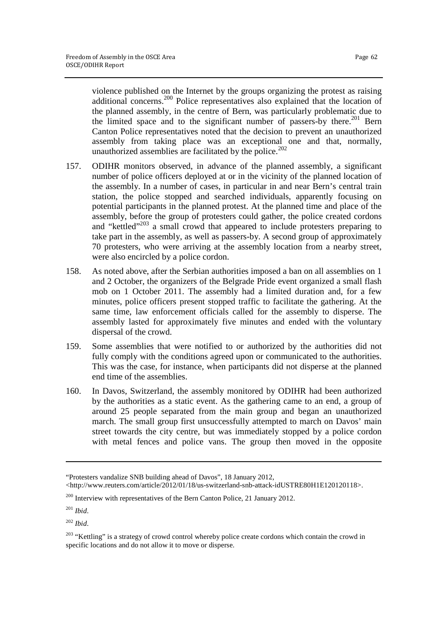violence published on the Internet by the groups organizing the protest as raising additional concerns.<sup>200</sup> Police representatives also explained that the location of the planned assembly, in the centre of Bern, was particularly problematic due to the limited space and to the significant number of passers-by there.<sup>201</sup> Bern Canton Police representatives noted that the decision to prevent an unauthorized assembly from taking place was an exceptional one and that, normally, unauthorized assemblies are facilitated by the police. $202$ 

- 157. ODIHR monitors observed, in advance of the planned assembly, a significant number of police officers deployed at or in the vicinity of the planned location of the assembly. In a number of cases, in particular in and near Bern's central train station, the police stopped and searched individuals, apparently focusing on potential participants in the planned protest. At the planned time and place of the assembly, before the group of protesters could gather, the police created cordons and "kettled"<sup>203</sup> a small crowd that appeared to include protesters preparing to take part in the assembly, as well as passers-by. A second group of approximately 70 protesters, who were arriving at the assembly location from a nearby street, were also encircled by a police cordon.
- 158. As noted above, after the Serbian authorities imposed a ban on all assemblies on 1 and 2 October, the organizers of the Belgrade Pride event organized a small flash mob on 1 October 2011. The assembly had a limited duration and, for a few minutes, police officers present stopped traffic to facilitate the gathering. At the same time, law enforcement officials called for the assembly to disperse. The assembly lasted for approximately five minutes and ended with the voluntary dispersal of the crowd.
- 159. Some assemblies that were notified to or authorized by the authorities did not fully comply with the conditions agreed upon or communicated to the authorities. This was the case, for instance, when participants did not disperse at the planned end time of the assemblies.
- 160. In Davos, Switzerland, the assembly monitored by ODIHR had been authorized by the authorities as a static event. As the gathering came to an end, a group of around 25 people separated from the main group and began an unauthorized march. The small group first unsuccessfully attempted to march on Davos' main street towards the city centre, but was immediately stopped by a police cordon with metal fences and police vans. The group then moved in the opposite

 $\overline{a}$ 

<sup>202</sup> *Ibid*.

<sup>&</sup>quot;Protesters vandalize SNB building ahead of Davos", 18 January 2012,

 $\lt$ http://www.reuters.com/article/2012/01/18/us-switzerland-snb-attack-idUSTRE80H1E120120118>.

<sup>200</sup> Interview with representatives of the Bern Canton Police, 21 January 2012.

<sup>201</sup> *Ibid*.

<sup>&</sup>lt;sup>203</sup> "Kettling" is a strategy of crowd control whereby police create cordons which contain the crowd in specific locations and do not allow it to move or disperse.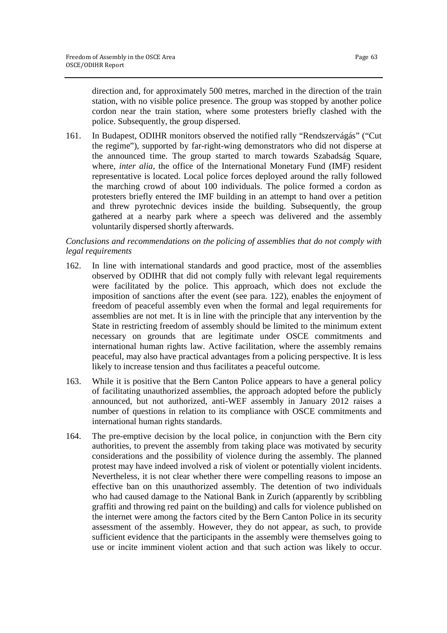direction and, for approximately 500 metres, marched in the direction of the train station, with no visible police presence. The group was stopped by another police cordon near the train station, where some protesters briefly clashed with the police. Subsequently, the group dispersed.

161. In Budapest, ODIHR monitors observed the notified rally "Rendszervágás" ("Cut the regime"), supported by far-right-wing demonstrators who did not disperse at the announced time. The group started to march towards Szabadság Square, where, *inter alia,* the office of the International Monetary Fund (IMF) resident representative is located. Local police forces deployed around the rally followed the marching crowd of about 100 individuals. The police formed a cordon as protesters briefly entered the IMF building in an attempt to hand over a petition and threw pyrotechnic devices inside the building. Subsequently, the group gathered at a nearby park where a speech was delivered and the assembly voluntarily dispersed shortly afterwards.

# *Conclusions and recommendations on the policing of assemblies that do not comply with legal requirements*

- 162. In line with international standards and good practice, most of the assemblies observed by ODIHR that did not comply fully with relevant legal requirements were facilitated by the police. This approach, which does not exclude the imposition of sanctions after the event (see para. 122), enables the enjoyment of freedom of peaceful assembly even when the formal and legal requirements for assemblies are not met. It is in line with the principle that any intervention by the State in restricting freedom of assembly should be limited to the minimum extent necessary on grounds that are legitimate under OSCE commitments and international human rights law. Active facilitation, where the assembly remains peaceful, may also have practical advantages from a policing perspective. It is less likely to increase tension and thus facilitates a peaceful outcome.
- 163. While it is positive that the Bern Canton Police appears to have a general policy of facilitating unauthorized assemblies, the approach adopted before the publicly announced, but not authorized, anti-WEF assembly in January 2012 raises a number of questions in relation to its compliance with OSCE commitments and international human rights standards.
- 164. The pre-emptive decision by the local police, in conjunction with the Bern city authorities, to prevent the assembly from taking place was motivated by security considerations and the possibility of violence during the assembly. The planned protest may have indeed involved a risk of violent or potentially violent incidents. Nevertheless, it is not clear whether there were compelling reasons to impose an effective ban on this unauthorized assembly. The detention of two individuals who had caused damage to the National Bank in Zurich (apparently by scribbling graffiti and throwing red paint on the building) and calls for violence published on the internet were among the factors cited by the Bern Canton Police in its security assessment of the assembly. However, they do not appear, as such, to provide sufficient evidence that the participants in the assembly were themselves going to use or incite imminent violent action and that such action was likely to occur.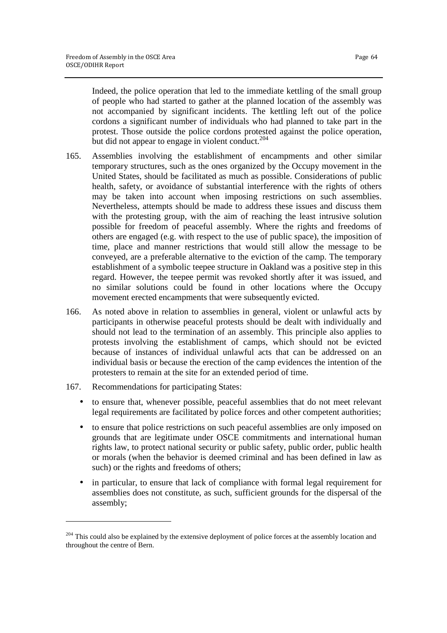Indeed, the police operation that led to the immediate kettling of the small group of people who had started to gather at the planned location of the assembly was not accompanied by significant incidents. The kettling left out of the police cordons a significant number of individuals who had planned to take part in the protest. Those outside the police cordons protested against the police operation, but did not appear to engage in violent conduct.<sup>204</sup>

- 165. Assemblies involving the establishment of encampments and other similar temporary structures, such as the ones organized by the Occupy movement in the United States, should be facilitated as much as possible. Considerations of public health, safety, or avoidance of substantial interference with the rights of others may be taken into account when imposing restrictions on such assemblies. Nevertheless, attempts should be made to address these issues and discuss them with the protesting group, with the aim of reaching the least intrusive solution possible for freedom of peaceful assembly. Where the rights and freedoms of others are engaged (e.g. with respect to the use of public space), the imposition of time, place and manner restrictions that would still allow the message to be conveyed, are a preferable alternative to the eviction of the camp. The temporary establishment of a symbolic teepee structure in Oakland was a positive step in this regard. However, the teepee permit was revoked shortly after it was issued, and no similar solutions could be found in other locations where the Occupy movement erected encampments that were subsequently evicted.
- 166. As noted above in relation to assemblies in general, violent or unlawful acts by participants in otherwise peaceful protests should be dealt with individually and should not lead to the termination of an assembly. This principle also applies to protests involving the establishment of camps, which should not be evicted because of instances of individual unlawful acts that can be addressed on an individual basis or because the erection of the camp evidences the intention of the protesters to remain at the site for an extended period of time.
- 167. Recommendations for participating States:

1

- to ensure that, whenever possible, peaceful assemblies that do not meet relevant legal requirements are facilitated by police forces and other competent authorities;
- to ensure that police restrictions on such peaceful assemblies are only imposed on grounds that are legitimate under OSCE commitments and international human rights law, to protect national security or public safety, public order, public health or morals (when the behavior is deemed criminal and has been defined in law as such) or the rights and freedoms of others;
- in particular, to ensure that lack of compliance with formal legal requirement for assemblies does not constitute, as such, sufficient grounds for the dispersal of the assembly;

<sup>&</sup>lt;sup>204</sup> This could also be explained by the extensive deployment of police forces at the assembly location and throughout the centre of Bern.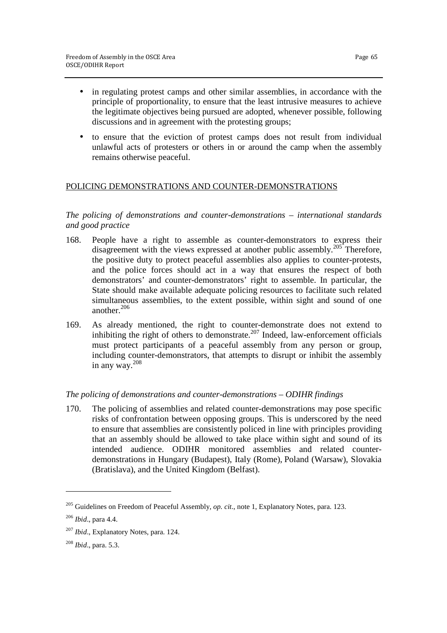- in regulating protest camps and other similar assemblies, in accordance with the principle of proportionality, to ensure that the least intrusive measures to achieve the legitimate objectives being pursued are adopted, whenever possible, following discussions and in agreement with the protesting groups;
- to ensure that the eviction of protest camps does not result from individual unlawful acts of protesters or others in or around the camp when the assembly remains otherwise peaceful.

# POLICING DEMONSTRATIONS AND COUNTER-DEMONSTRATIONS

#### *The policing of demonstrations and counter-demonstrations – international standards and good practice*

- 168. People have a right to assemble as counter-demonstrators to express their disagreement with the views expressed at another public assembly.<sup>205</sup> Therefore, the positive duty to protect peaceful assemblies also applies to counter-protests, and the police forces should act in a way that ensures the respect of both demonstrators' and counter-demonstrators' right to assemble. In particular, the State should make available adequate policing resources to facilitate such related simultaneous assemblies, to the extent possible, within sight and sound of one another.<sup>206</sup>
- 169. As already mentioned, the right to counter-demonstrate does not extend to inhibiting the right of others to demonstrate. $207$  Indeed, law-enforcement officials must protect participants of a peaceful assembly from any person or group, including counter-demonstrators, that attempts to disrupt or inhibit the assembly in any way.<sup>208</sup>

# *The policing of demonstrations and counter-demonstrations – ODIHR findings*

170. The policing of assemblies and related counter-demonstrations may pose specific risks of confrontation between opposing groups. This is underscored by the need to ensure that assemblies are consistently policed in line with principles providing that an assembly should be allowed to take place within sight and sound of its intended audience. ODIHR monitored assemblies and related counterdemonstrations in Hungary (Budapest), Italy (Rome), Poland (Warsaw), Slovakia (Bratislava), and the United Kingdom (Belfast).

<sup>205</sup> Guidelines on Freedom of Peaceful Assembly, *op. cit.*, note 1, Explanatory Notes, para. 123.

<sup>206</sup> *Ibid*., para 4.4.

<sup>207</sup> *Ibid*., Explanatory Notes, para. 124.

<sup>208</sup> *Ibid*., para. 5.3.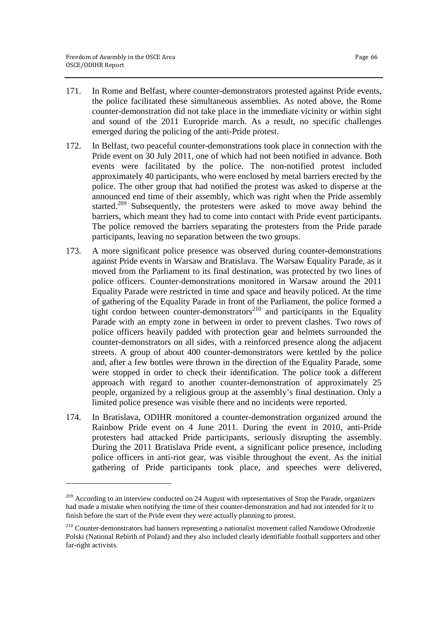- 171. In Rome and Belfast, where counter-demonstrators protested against Pride events, the police facilitated these simultaneous assemblies. As noted above, the Rome counter-demonstration did not take place in the immediate vicinity or within sight and sound of the 2011 Europride march. As a result, no specific challenges emerged during the policing of the anti-Pride protest.
- 172. In Belfast, two peaceful counter-demonstrations took place in connection with the Pride event on 30 July 2011, one of which had not been notified in advance. Both events were facilitated by the police. The non-notified protest included approximately 40 participants, who were enclosed by metal barriers erected by the police. The other group that had notified the protest was asked to disperse at the announced end time of their assembly, which was right when the Pride assembly started.<sup>209</sup> Subsequently, the protesters were asked to move away behind the barriers, which meant they had to come into contact with Pride event participants. The police removed the barriers separating the protesters from the Pride parade participants, leaving no separation between the two groups.
- 173. A more significant police presence was observed during counter-demonstrations against Pride events in Warsaw and Bratislava. The Warsaw Equality Parade, as it moved from the Parliament to its final destination, was protected by two lines of police officers. Counter-demonstrations monitored in Warsaw around the 2011 Equality Parade were restricted in time and space and heavily policed. At the time of gathering of the Equality Parade in front of the Parliament, the police formed a tight cordon between counter-demonstrators<sup>210</sup> and participants in the Equality Parade with an empty zone in between in order to prevent clashes. Two rows of police officers heavily padded with protection gear and helmets surrounded the counter-demonstrators on all sides, with a reinforced presence along the adjacent streets. A group of about 400 counter-demonstrators were kettled by the police and, after a few bottles were thrown in the direction of the Equality Parade, some were stopped in order to check their identification. The police took a different approach with regard to another counter-demonstration of approximately 25 people, organized by a religious group at the assembly's final destination. Only a limited police presence was visible there and no incidents were reported.
- 174. In Bratislava, ODIHR monitored a counter-demonstration organized around the Rainbow Pride event on 4 June 2011. During the event in 2010, anti-Pride protesters had attacked Pride participants, seriously disrupting the assembly. During the 2011 Bratislava Pride event, a significant police presence, including police officers in anti-riot gear, was visible throughout the event. As the initial gathering of Pride participants took place, and speeches were delivered,

<sup>&</sup>lt;sup>209</sup> According to an interview conducted on 24 August with representatives of Stop the Parade, organizers had made a mistake when notifying the time of their counter-demonstration and had not intended for it to finish before the start of the Pride event they were actually planning to protest.

<sup>&</sup>lt;sup>210</sup> Counter-demonstrators had banners representing a nationalist movement called Narodowe Odrodzenie Polski (National Rebirth of Poland) and they also included clearly identifiable football supporters and other far-right activists.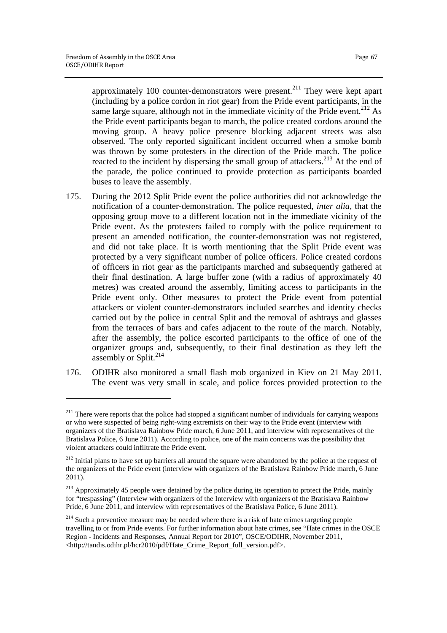approximately 100 counter-demonstrators were present.<sup>211</sup> They were kept apart (including by a police cordon in riot gear) from the Pride event participants, in the same large square, although not in the immediate vicinity of the Pride event.<sup>212</sup> As the Pride event participants began to march, the police created cordons around the moving group. A heavy police presence blocking adjacent streets was also observed. The only reported significant incident occurred when a smoke bomb was thrown by some protesters in the direction of the Pride march. The police reacted to the incident by dispersing the small group of attackers.<sup>213</sup> At the end of the parade, the police continued to provide protection as participants boarded buses to leave the assembly.

- 175. During the 2012 Split Pride event the police authorities did not acknowledge the notification of a counter-demonstration. The police requested, *inter alia*, that the opposing group move to a different location not in the immediate vicinity of the Pride event. As the protesters failed to comply with the police requirement to present an amended notification, the counter-demonstration was not registered, and did not take place. It is worth mentioning that the Split Pride event was protected by a very significant number of police officers. Police created cordons of officers in riot gear as the participants marched and subsequently gathered at their final destination. A large buffer zone (with a radius of approximately 40 metres) was created around the assembly, limiting access to participants in the Pride event only. Other measures to protect the Pride event from potential attackers or violent counter-demonstrators included searches and identity checks carried out by the police in central Split and the removal of ashtrays and glasses from the terraces of bars and cafes adjacent to the route of the march. Notably, after the assembly, the police escorted participants to the office of one of the organizer groups and, subsequently, to their final destination as they left the assembly or Split. $^{214}$
- 176. ODIHR also monitored a small flash mob organized in Kiev on 21 May 2011. The event was very small in scale, and police forces provided protection to the

<sup>&</sup>lt;sup>211</sup> There were reports that the police had stopped a significant number of individuals for carrying weapons or who were suspected of being right-wing extremists on their way to the Pride event (interview with organizers of the Bratislava Rainbow Pride march, 6 June 2011, and interview with representatives of the Bratislava Police, 6 June 2011). According to police, one of the main concerns was the possibility that violent attackers could infiltrate the Pride event.

<sup>&</sup>lt;sup>212</sup> Initial plans to have set up barriers all around the square were abandoned by the police at the request of the organizers of the Pride event (interview with organizers of the Bratislava Rainbow Pride march, 6 June 2011).

<sup>&</sup>lt;sup>213</sup> Approximately 45 people were detained by the police during its operation to protect the Pride, mainly for "trespassing" (Interview with organizers of the Interview with organizers of the Bratislava Rainbow Pride, 6 June 2011, and interview with representatives of the Bratislava Police, 6 June 2011).

<sup>&</sup>lt;sup>214</sup> Such a preventive measure may be needed where there is a risk of hate crimes targeting people travelling to or from Pride events. For further information about hate crimes, see "Hate crimes in the OSCE Region - Incidents and Responses, Annual Report for 2010", OSCE/ODIHR, November 2011, <http://tandis.odihr.pl/hcr2010/pdf/Hate\_Crime\_Report\_full\_version.pdf>.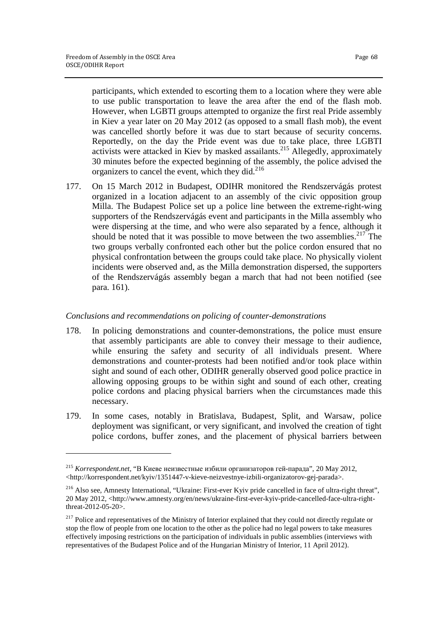participants, which extended to escorting them to a location where they were able to use public transportation to leave the area after the end of the flash mob. However, when LGBTI groups attempted to organize the first real Pride assembly in Kiev a year later on 20 May 2012 (as opposed to a small flash mob), the event was cancelled shortly before it was due to start because of security concerns. Reportedly, on the day the Pride event was due to take place, three LGBTI activists were attacked in Kiev by masked assailants.<sup>215</sup> Allegedly, approximately 30 minutes before the expected beginning of the assembly, the police advised the organizers to cancel the event, which they did.<sup>216</sup>

177. On 15 March 2012 in Budapest, ODIHR monitored the Rendszervágás protest organized in a location adjacent to an assembly of the civic opposition group Milla. The Budapest Police set up a police line between the extreme-right-wing supporters of the Rendszervágás event and participants in the Milla assembly who were dispersing at the time, and who were also separated by a fence, although it should be noted that it was possible to move between the two assemblies.<sup>217</sup> The two groups verbally confronted each other but the police cordon ensured that no physical confrontation between the groups could take place. No physically violent incidents were observed and, as the Milla demonstration dispersed, the supporters of the Rendszervágás assembly began a march that had not been notified (see para. 161).

#### *Conclusions and recommendations on policing of counter-demonstrations*

- 178. In policing demonstrations and counter-demonstrations, the police must ensure that assembly participants are able to convey their message to their audience, while ensuring the safety and security of all individuals present. Where demonstrations and counter-protests had been notified and/or took place within sight and sound of each other, ODIHR generally observed good police practice in allowing opposing groups to be within sight and sound of each other, creating police cordons and placing physical barriers when the circumstances made this necessary.
- 179. In some cases, notably in Bratislava, Budapest, Split, and Warsaw, police deployment was significant, or very significant, and involved the creation of tight police cordons, buffer zones, and the placement of physical barriers between

<sup>215</sup> *Korrespondent.net*, "В Киеве неизвестные избили организаторов гей-парада", 20 May 2012, <http://korrespondent.net/kyiv/1351447-v-kieve-neizvestnye-izbili-organizatorov-gej-parada>.

<sup>216</sup> Also see, Amnesty International, "Ukraine: First-ever Kyiv pride cancelled in face of ultra-right threat", 20 May 2012, <http://www.amnesty.org/en/news/ukraine-first-ever-kyiv-pride-cancelled-face-ultra-rightthreat-2012-05-20>.

<sup>&</sup>lt;sup>217</sup> Police and representatives of the Ministry of Interior explained that they could not directly regulate or stop the flow of people from one location to the other as the police had no legal powers to take measures effectively imposing restrictions on the participation of individuals in public assemblies (interviews with representatives of the Budapest Police and of the Hungarian Ministry of Interior, 11 April 2012).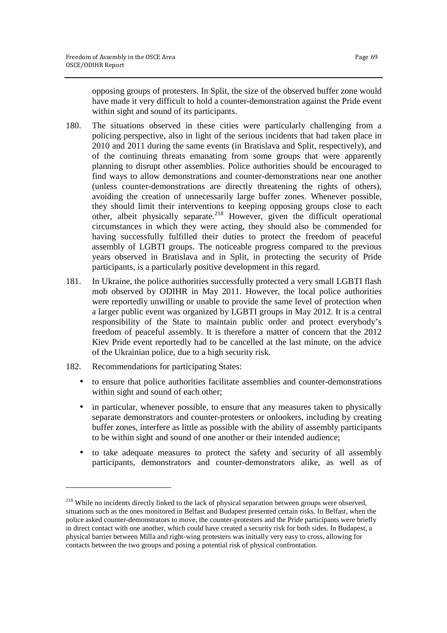opposing groups of protesters. In Split, the size of the observed buffer zone would have made it very difficult to hold a counter-demonstration against the Pride event within sight and sound of its participants.

- 180. The situations observed in these cities were particularly challenging from a policing perspective, also in light of the serious incidents that had taken place in 2010 and 2011 during the same events (in Bratislava and Split, respectively), and of the continuing threats emanating from some groups that were apparently planning to disrupt other assemblies. Police authorities should be encouraged to find ways to allow demonstrations and counter-demonstrations near one another (unless counter-demonstrations are directly threatening the rights of others), avoiding the creation of unnecessarily large buffer zones. Whenever possible, they should limit their interventions to keeping opposing groups close to each other, albeit physically separate.<sup>218</sup> However, given the difficult operational circumstances in which they were acting, they should also be commended for having successfully fulfilled their duties to protect the freedom of peaceful assembly of LGBTI groups. The noticeable progress compared to the previous years observed in Bratislava and in Split, in protecting the security of Pride participants, is a particularly positive development in this regard.
- 181. In Ukraine, the police authorities successfully protected a very small LGBTI flash mob observed by ODIHR in May 2011. However, the local police authorities were reportedly unwilling or unable to provide the same level of protection when a larger public event was organized by LGBTI groups in May 2012. It is a central responsibility of the State to maintain public order and protect everybody's freedom of peaceful assembly. It is therefore a matter of concern that the 2012 Kiev Pride event reportedly had to be cancelled at the last minute, on the advice of the Ukrainian police, due to a high security risk.
- 182. Recommendations for participating States:

- to ensure that police authorities facilitate assemblies and counter-demonstrations within sight and sound of each other;
- in particular, whenever possible, to ensure that any measures taken to physically separate demonstrators and counter-protesters or onlookers, including by creating buffer zones, interfere as little as possible with the ability of assembly participants to be within sight and sound of one another or their intended audience;
- to take adequate measures to protect the safety and security of all assembly participants, demonstrators and counter-demonstrators alike, as well as of

<sup>&</sup>lt;sup>218</sup> While no incidents directly linked to the lack of physical separation between groups were observed, situations such as the ones monitored in Belfast and Budapest presented certain risks. In Belfast, when the police asked counter-demonstrators to move, the counter-protesters and the Pride participants were briefly in direct contact with one another, which could have created a security risk for both sides. In Budapest, a physical barrier between Milla and right-wing protesters was initially very easy to cross, allowing for contacts between the two groups and posing a potential risk of physical confrontation.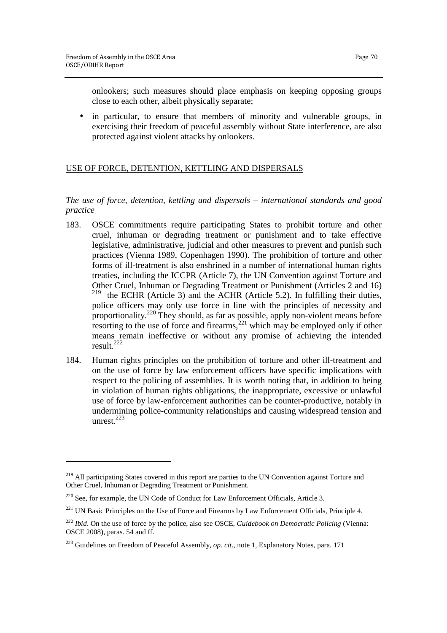onlookers; such measures should place emphasis on keeping opposing groups close to each other, albeit physically separate;

• in particular, to ensure that members of minority and vulnerable groups, in exercising their freedom of peaceful assembly without State interference, are also protected against violent attacks by onlookers.

# USE OF FORCE, DETENTION, KETTLING AND DISPERSALS

# *The use of force, detention, kettling and dispersals – international standards and good practice*

- 183. OSCE commitments require participating States to prohibit torture and other cruel, inhuman or degrading treatment or punishment and to take effective legislative, administrative, judicial and other measures to prevent and punish such practices (Vienna 1989, Copenhagen 1990). The prohibition of torture and other forms of ill-treatment is also enshrined in a number of international human rights treaties, including the ICCPR (Article 7), the UN Convention against Torture and Other Cruel, Inhuman or Degrading Treatment or Punishment (Articles 2 and 16) <sup>219</sup> the ECHR (Article 3) and the ACHR (Article 5.2). In fulfilling their duties, police officers may only use force in line with the principles of necessity and proportionality.<sup>220</sup> They should, as far as possible, apply non-violent means before resorting to the use of force and firearms, $2^{21}$  which may be employed only if other means remain ineffective or without any promise of achieving the intended result. $^{222}$
- 184. Human rights principles on the prohibition of torture and other ill-treatment and on the use of force by law enforcement officers have specific implications with respect to the policing of assemblies. It is worth noting that, in addition to being in violation of human rights obligations, the inappropriate, excessive or unlawful use of force by law-enforcement authorities can be counter-productive, notably in undermining police-community relationships and causing widespread tension and unrest. $223$

<sup>&</sup>lt;sup>219</sup> All participating States covered in this report are parties to the UN Convention against Torture and Other Cruel, Inhuman or Degrading Treatment or Punishment.

<sup>220</sup> See, for example, the UN Code of Conduct for Law Enforcement Officials, Article 3.

<sup>&</sup>lt;sup>221</sup> UN Basic Principles on the Use of Force and Firearms by Law Enforcement Officials, Principle 4.

<sup>222</sup> *Ibid*. On the use of force by the police, also see OSCE, *Guidebook on Democratic Policing* (Vienna: OSCE 2008), paras. 54 and ff.

<sup>223</sup> Guidelines on Freedom of Peaceful Assembly, *op. cit.*, note 1, Explanatory Notes, para. 171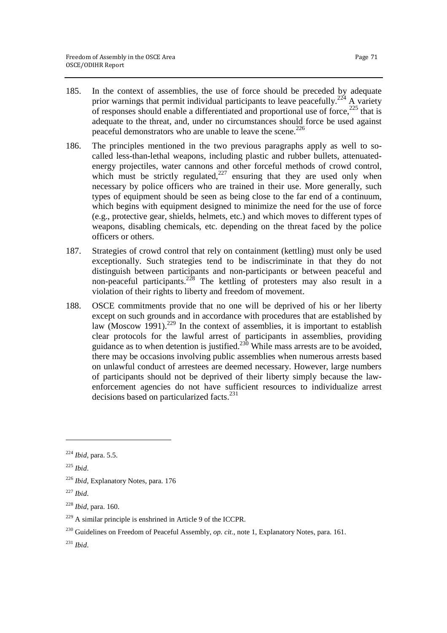- 185. In the context of assemblies, the use of force should be preceded by adequate prior warnings that permit individual participants to leave peacefully.<sup>224</sup> A variety of responses should enable a differentiated and proportional use of force, $^{225}$  that is adequate to the threat, and, under no circumstances should force be used against peaceful demonstrators who are unable to leave the scene.<sup>226</sup>
- 186. The principles mentioned in the two previous paragraphs apply as well to socalled less-than-lethal weapons, including plastic and rubber bullets, attenuatedenergy projectiles, water cannons and other forceful methods of crowd control, which must be strictly regulated, $227$  ensuring that they are used only when necessary by police officers who are trained in their use. More generally, such types of equipment should be seen as being close to the far end of a continuum, which begins with equipment designed to minimize the need for the use of force (e.g., protective gear, shields, helmets, etc.) and which moves to different types of weapons, disabling chemicals, etc. depending on the threat faced by the police officers or others.
- 187. Strategies of crowd control that rely on containment (kettling) must only be used exceptionally. Such strategies tend to be indiscriminate in that they do not distinguish between participants and non-participants or between peaceful and non-peaceful participants.<sup>228</sup> The kettling of protesters may also result in a violation of their rights to liberty and freedom of movement.
- 188. OSCE commitments provide that no one will be deprived of his or her liberty except on such grounds and in accordance with procedures that are established by law (Moscow 1991).<sup>229</sup> In the context of assemblies, it is important to establish clear protocols for the lawful arrest of participants in assemblies, providing guidance as to when detention is justified.<sup>230</sup> While mass arrests are to be avoided, there may be occasions involving public assemblies when numerous arrests based on unlawful conduct of arrestees are deemed necessary. However, large numbers of participants should not be deprived of their liberty simply because the lawenforcement agencies do not have sufficient resources to individualize arrest decisions based on particularized facts.<sup>231</sup>

<sup>230</sup> Guidelines on Freedom of Peaceful Assembly, *op. cit.*, note 1, Explanatory Notes, para. 161.

<sup>224</sup> *Ibid*, para. 5.5.

<sup>225</sup> *Ibid*.

<sup>226</sup> *Ibid*, Explanatory Notes, para. 176

<sup>227</sup> *Ibid*.

<sup>228</sup> *Ibid*, para. 160.

 $229$  A similar principle is enshrined in Article 9 of the ICCPR.

<sup>231</sup> *Ibid*.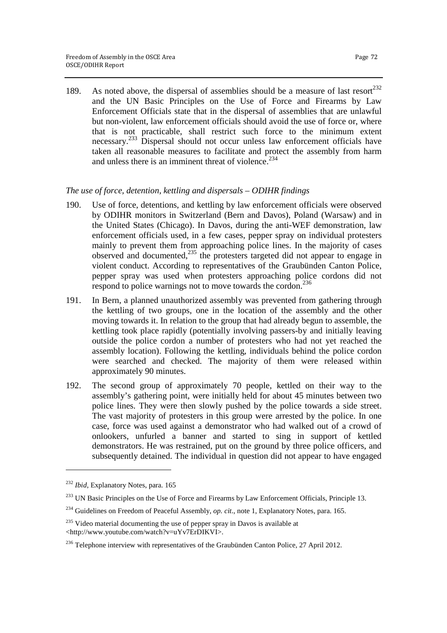189. As noted above, the dispersal of assemblies should be a measure of last resort $^{232}$ and the UN Basic Principles on the Use of Force and Firearms by Law Enforcement Officials state that in the dispersal of assemblies that are unlawful but non-violent, law enforcement officials should avoid the use of force or, where that is not practicable, shall restrict such force to the minimum extent necessary.<sup>233</sup> Dispersal should not occur unless law enforcement officials have taken all reasonable measures to facilitate and protect the assembly from harm and unless there is an imminent threat of violence.<sup>234</sup>

#### *The use of force, detention, kettling and dispersals – ODIHR findings*

- 190. Use of force, detentions, and kettling by law enforcement officials were observed by ODIHR monitors in Switzerland (Bern and Davos), Poland (Warsaw) and in the United States (Chicago). In Davos, during the anti-WEF demonstration, law enforcement officials used, in a few cases, pepper spray on individual protesters mainly to prevent them from approaching police lines. In the majority of cases observed and documented, $^{235}$  the protesters targeted did not appear to engage in violent conduct. According to representatives of the Graubünden Canton Police, pepper spray was used when protesters approaching police cordons did not respond to police warnings not to move towards the cordon. $236$
- 191. In Bern, a planned unauthorized assembly was prevented from gathering through the kettling of two groups, one in the location of the assembly and the other moving towards it. In relation to the group that had already begun to assemble, the kettling took place rapidly (potentially involving passers-by and initially leaving outside the police cordon a number of protesters who had not yet reached the assembly location). Following the kettling, individuals behind the police cordon were searched and checked. The majority of them were released within approximately 90 minutes.
- 192. The second group of approximately 70 people, kettled on their way to the assembly's gathering point, were initially held for about 45 minutes between two police lines. They were then slowly pushed by the police towards a side street. The vast majority of protesters in this group were arrested by the police. In one case, force was used against a demonstrator who had walked out of a crowd of onlookers, unfurled a banner and started to sing in support of kettled demonstrators. He was restrained, put on the ground by three police officers, and subsequently detained. The individual in question did not appear to have engaged

 $\overline{a}$ 

<sup>232</sup> *Ibid*, Explanatory Notes, para. 165

<sup>&</sup>lt;sup>233</sup> UN Basic Principles on the Use of Force and Firearms by Law Enforcement Officials, Principle 13.

<sup>234</sup> Guidelines on Freedom of Peaceful Assembly, *op. cit.*, note 1, Explanatory Notes, para. 165.

 $235$  Video material documenting the use of pepper spray in Davos is available at <http://www.youtube.com/watch?v=uYv7ErDIKVI>.

<sup>&</sup>lt;sup>236</sup> Telephone interview with representatives of the Graubünden Canton Police, 27 April 2012.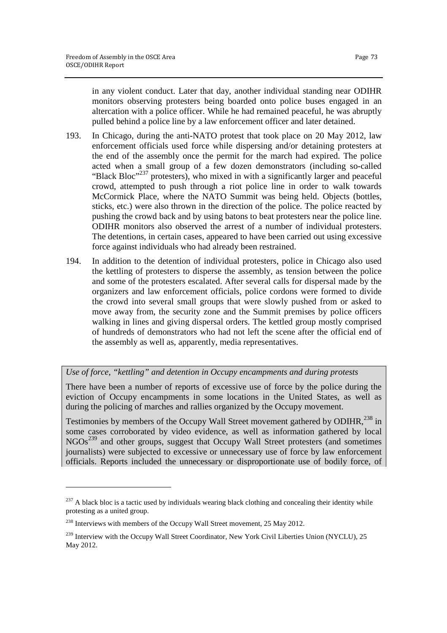in any violent conduct. Later that day, another individual standing near ODIHR monitors observing protesters being boarded onto police buses engaged in an altercation with a police officer. While he had remained peaceful, he was abruptly pulled behind a police line by a law enforcement officer and later detained.

- 193. In Chicago, during the anti-NATO protest that took place on 20 May 2012, law enforcement officials used force while dispersing and/or detaining protesters at the end of the assembly once the permit for the march had expired. The police acted when a small group of a few dozen demonstrators (including so-called "Black Bloc"<sup>237</sup> protesters), who mixed in with a significantly larger and peaceful crowd, attempted to push through a riot police line in order to walk towards McCormick Place, where the NATO Summit was being held. Objects (bottles, sticks, etc.) were also thrown in the direction of the police. The police reacted by pushing the crowd back and by using batons to beat protesters near the police line. ODIHR monitors also observed the arrest of a number of individual protesters. The detentions, in certain cases, appeared to have been carried out using excessive force against individuals who had already been restrained.
- 194. In addition to the detention of individual protesters, police in Chicago also used the kettling of protesters to disperse the assembly, as tension between the police and some of the protesters escalated. After several calls for dispersal made by the organizers and law enforcement officials, police cordons were formed to divide the crowd into several small groups that were slowly pushed from or asked to move away from, the security zone and the Summit premises by police officers walking in lines and giving dispersal orders. The kettled group mostly comprised of hundreds of demonstrators who had not left the scene after the official end of the assembly as well as, apparently, media representatives.

*Use of force, "kettling" and detention in Occupy encampments and during protests* 

There have been a number of reports of excessive use of force by the police during the eviction of Occupy encampments in some locations in the United States, as well as during the policing of marches and rallies organized by the Occupy movement.

Testimonies by members of the Occupy Wall Street movement gathered by ODIHR,<sup>238</sup> in some cases corroborated by video evidence, as well as information gathered by local NGOs<sup>239</sup> and other groups, suggest that Occupy Wall Street protesters (and sometimes journalists) were subjected to excessive or unnecessary use of force by law enforcement officials. Reports included the unnecessary or disproportionate use of bodily force, of

<sup>&</sup>lt;sup>237</sup> A black bloc is a tactic used by individuals wearing black clothing and concealing their identity while protesting as a united group.

<sup>&</sup>lt;sup>238</sup> Interviews with members of the Occupy Wall Street movement, 25 May 2012.

<sup>&</sup>lt;sup>239</sup> Interview with the Occupy Wall Street Coordinator, New York Civil Liberties Union (NYCLU), 25 May 2012.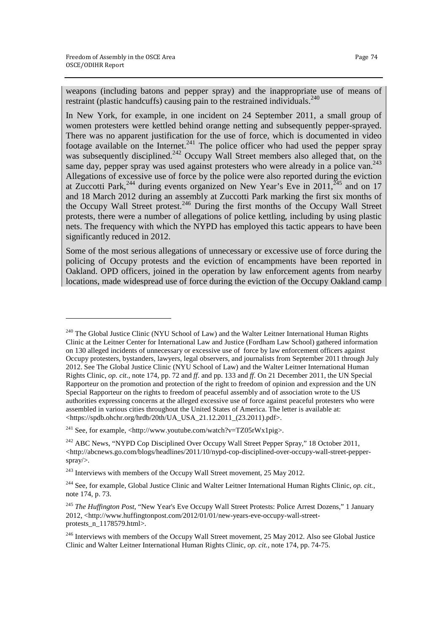<u>.</u>

weapons (including batons and pepper spray) and the inappropriate use of means of restraint (plastic handcuffs) causing pain to the restrained individuals.<sup>240</sup>

In New York, for example, in one incident on 24 September 2011, a small group of women protesters were kettled behind orange netting and subsequently pepper-sprayed. There was no apparent justification for the use of force, which is documented in video footage available on the Internet.<sup>241</sup> The police officer who had used the pepper spray was subsequently disciplined.<sup>242</sup> Occupy Wall Street members also alleged that, on the same day, pepper spray was used against protesters who were already in a police van.<sup>243</sup> Allegations of excessive use of force by the police were also reported during the eviction at Zuccotti Park,<sup>244</sup> during events organized on New Year's Eve in 2011,<sup>245</sup> and on 17 and 18 March 2012 during an assembly at Zuccotti Park marking the first six months of the Occupy Wall Street protest.<sup>246</sup> During the first months of the Occupy Wall Street protests, there were a number of allegations of police kettling, including by using plastic nets. The frequency with which the NYPD has employed this tactic appears to have been significantly reduced in 2012.

Some of the most serious allegations of unnecessary or excessive use of force during the policing of Occupy protests and the eviction of encampments have been reported in Oakland. OPD officers, joined in the operation by law enforcement agents from nearby locations, made widespread use of force during the eviction of the Occupy Oakland camp

<sup>&</sup>lt;sup>240</sup> The Global Justice Clinic (NYU School of Law) and the Walter Leitner International Human Rights Clinic at the Leitner Center for International Law and Justice (Fordham Law School) gathered information on 130 alleged incidents of unnecessary or excessive use of force by law enforcement officers against Occupy protesters, bystanders, lawyers, legal observers, and journalists from September 2011 through July 2012. See The Global Justice Clinic (NYU School of Law) and the Walter Leitner International Human Rights Clinic, *op. cit.*, note 174, pp. 72 and *ff*. and pp. 133 and *ff*. On 21 December 2011, the UN Special Rapporteur on the promotion and protection of the right to freedom of opinion and expression and the UN Special Rapporteur on the rights to freedom of peaceful assembly and of association wrote to the US authorities expressing concerns at the alleged excessive use of force against peaceful protesters who were assembled in various cities throughout the United States of America. The letter is available at:  $\lt$ https://spdb.ohchr.org/hrdb/20th/UA\_USA\_21.12.2011\_(23.2011).pdf>.

<sup>&</sup>lt;sup>241</sup> See, for example, <http://www.youtube.com/watch?v=TZ05rWx1pig>.

<sup>&</sup>lt;sup>242</sup> ABC News, "NYPD Cop Disciplined Over Occupy Wall Street Pepper Spray," 18 October 2011,  $\langle$ http://abcnews.go.com/blogs/headlines/2011/10/nypd-cop-disciplined-over-occupy-wall-street-pepperspray/>.

 $243$  Interviews with members of the Occupy Wall Street movement, 25 May 2012.

<sup>244</sup> See, for example, Global Justice Clinic and Walter Leitner International Human Rights Clinic, *op. cit.*, note 174, p. 73.

<sup>245</sup> *The Huffington Post*, "New Year's Eve Occupy Wall Street Protests: Police Arrest Dozens," 1 January 2012, <http://www.huffingtonpost.com/2012/01/01/new-years-eve-occupy-wall-streetprotests\_n\_1178579.html>.

<sup>&</sup>lt;sup>246</sup> Interviews with members of the Occupy Wall Street movement, 25 May 2012. Also see Global Justice Clinic and Walter Leitner International Human Rights Clinic, *op. cit.*, note 174, pp. 74-75.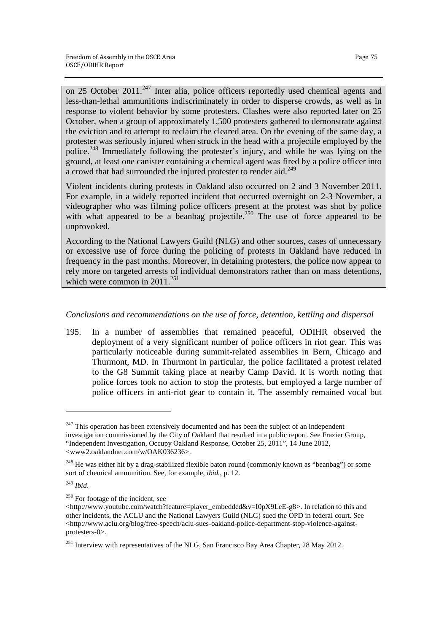on 25 October 2011.<sup>247</sup> Inter alia, police officers reportedly used chemical agents and less-than-lethal ammunitions indiscriminately in order to disperse crowds, as well as in response to violent behavior by some protesters. Clashes were also reported later on 25 October, when a group of approximately 1,500 protesters gathered to demonstrate against the eviction and to attempt to reclaim the cleared area. On the evening of the same day, a protester was seriously injured when struck in the head with a projectile employed by the police.<sup>248</sup> Immediately following the protester's injury, and while he was lying on the ground, at least one canister containing a chemical agent was fired by a police officer into a crowd that had surrounded the injured protester to render aid.<sup>249</sup>

Violent incidents during protests in Oakland also occurred on 2 and 3 November 2011. For example, in a widely reported incident that occurred overnight on 2-3 November, a videographer who was filming police officers present at the protest was shot by police with what appeared to be a beanbag projectile.<sup>250</sup> The use of force appeared to be unprovoked.

According to the National Lawyers Guild (NLG) and other sources, cases of unnecessary or excessive use of force during the policing of protests in Oakland have reduced in frequency in the past months. Moreover, in detaining protesters, the police now appear to rely more on targeted arrests of individual demonstrators rather than on mass detentions, which were common in 2011.<sup>251</sup>

### *Conclusions and recommendations on the use of force, detention, kettling and dispersal*

195. In a number of assemblies that remained peaceful, ODIHR observed the deployment of a very significant number of police officers in riot gear. This was particularly noticeable during summit-related assemblies in Bern, Chicago and Thurmont, MD. In Thurmont in particular, the police facilitated a protest related to the G8 Summit taking place at nearby Camp David. It is worth noting that police forces took no action to stop the protests, but employed a large number of police officers in anti-riot gear to contain it. The assembly remained vocal but

<u>.</u>

 $247$  This operation has been extensively documented and has been the subject of an independent investigation commissioned by the City of Oakland that resulted in a public report. See Frazier Group, "Independent Investigation, Occupy Oakland Response, October 25, 2011", 14 June 2012, <www2.oaklandnet.com/w/OAK036236>.

<sup>&</sup>lt;sup>248</sup> He was either hit by a drag-stabilized flexible baton round (commonly known as "beanbag") or some sort of chemical ammunition. See, for example, *ibid.*, p. 12.

<sup>249</sup> *Ibid*.

<sup>&</sup>lt;sup>250</sup> For footage of the incident, see

<sup>&</sup>lt;http://www.youtube.com/watch?feature=player\_embedded&v=I0pX9LeE-g8>. In relation to this and other incidents, the ACLU and the National Lawyers Guild (NLG) sued the OPD in federal court. See  $\langle$ http://www.aclu.org/blog/free-speech/aclu-sues-oakland-police-department-stop-violence-againstprotesters-0>.

<sup>&</sup>lt;sup>251</sup> Interview with representatives of the NLG, San Francisco Bay Area Chapter, 28 May 2012.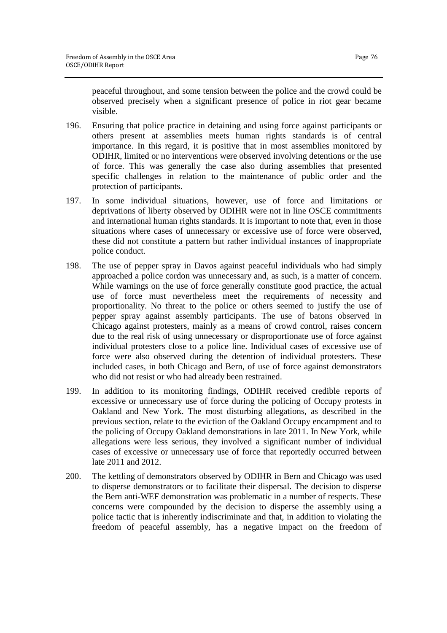peaceful throughout, and some tension between the police and the crowd could be observed precisely when a significant presence of police in riot gear became visible.

- 196. Ensuring that police practice in detaining and using force against participants or others present at assemblies meets human rights standards is of central importance. In this regard, it is positive that in most assemblies monitored by ODIHR, limited or no interventions were observed involving detentions or the use of force. This was generally the case also during assemblies that presented specific challenges in relation to the maintenance of public order and the protection of participants.
- 197. In some individual situations, however, use of force and limitations or deprivations of liberty observed by ODIHR were not in line OSCE commitments and international human rights standards. It is important to note that, even in those situations where cases of unnecessary or excessive use of force were observed, these did not constitute a pattern but rather individual instances of inappropriate police conduct.
- 198. The use of pepper spray in Davos against peaceful individuals who had simply approached a police cordon was unnecessary and, as such, is a matter of concern. While warnings on the use of force generally constitute good practice, the actual use of force must nevertheless meet the requirements of necessity and proportionality. No threat to the police or others seemed to justify the use of pepper spray against assembly participants. The use of batons observed in Chicago against protesters, mainly as a means of crowd control, raises concern due to the real risk of using unnecessary or disproportionate use of force against individual protesters close to a police line. Individual cases of excessive use of force were also observed during the detention of individual protesters. These included cases, in both Chicago and Bern, of use of force against demonstrators who did not resist or who had already been restrained.
- 199. In addition to its monitoring findings, ODIHR received credible reports of excessive or unnecessary use of force during the policing of Occupy protests in Oakland and New York. The most disturbing allegations, as described in the previous section, relate to the eviction of the Oakland Occupy encampment and to the policing of Occupy Oakland demonstrations in late 2011. In New York, while allegations were less serious, they involved a significant number of individual cases of excessive or unnecessary use of force that reportedly occurred between late 2011 and 2012.
- 200. The kettling of demonstrators observed by ODIHR in Bern and Chicago was used to disperse demonstrators or to facilitate their dispersal. The decision to disperse the Bern anti-WEF demonstration was problematic in a number of respects. These concerns were compounded by the decision to disperse the assembly using a police tactic that is inherently indiscriminate and that, in addition to violating the freedom of peaceful assembly, has a negative impact on the freedom of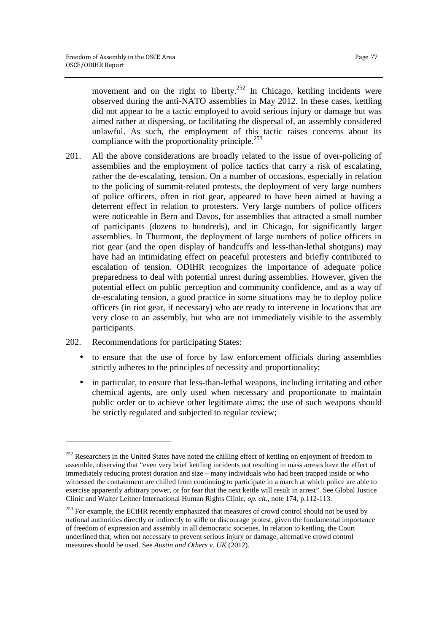movement and on the right to liberty.<sup>252</sup> In Chicago, kettling incidents were observed during the anti-NATO assemblies in May 2012. In these cases, kettling did not appear to be a tactic employed to avoid serious injury or damage but was aimed rather at dispersing, or facilitating the dispersal of, an assembly considered unlawful. As such, the employment of this tactic raises concerns about its compliance with the proportionality principle.<sup>253</sup>

- 201. All the above considerations are broadly related to the issue of over-policing of assemblies and the employment of police tactics that carry a risk of escalating, rather the de-escalating, tension. On a number of occasions, especially in relation to the policing of summit-related protests, the deployment of very large numbers of police officers, often in riot gear, appeared to have been aimed at having a deterrent effect in relation to protesters. Very large numbers of police officers were noticeable in Bern and Davos, for assemblies that attracted a small number of participants (dozens to hundreds), and in Chicago, for significantly larger assemblies. In Thurmont, the deployment of large numbers of police officers in riot gear (and the open display of handcuffs and less-than-lethal shotguns) may have had an intimidating effect on peaceful protesters and briefly contributed to escalation of tension. ODIHR recognizes the importance of adequate police preparedness to deal with potential unrest during assemblies. However, given the potential effect on public perception and community confidence, and as a way of de-escalating tension, a good practice in some situations may be to deploy police officers (in riot gear, if necessary) who are ready to intervene in locations that are very close to an assembly, but who are not immediately visible to the assembly participants.
- 202. Recommendations for participating States:

<u>.</u>

- to ensure that the use of force by law enforcement officials during assemblies strictly adheres to the principles of necessity and proportionality;
- in particular, to ensure that less-than-lethal weapons, including irritating and other chemical agents, are only used when necessary and proportionate to maintain public order or to achieve other legitimate aims; the use of such weapons should be strictly regulated and subjected to regular review;

<sup>&</sup>lt;sup>252</sup> Researchers in the United States have noted the chilling effect of kettling on enjoyment of freedom to assemble, observing that "even very brief kettling incidents not resulting in mass arrests have the effect of immediately reducing protest duration and size – many individuals who had been trapped inside or who witnessed the containment are chilled from continuing to participate in a march at which police are able to exercise apparently arbitrary power, or for fear that the next kettle will result in arrest". See Global Justice Clinic and Walter Leitner International Human Rights Clinic, *op. cit.*, note 174, p.112-113.

<sup>&</sup>lt;sup>253</sup> For example, the ECtHR recently emphasized that measures of crowd control should not be used by national authorities directly or indirectly to stifle or discourage protest, given the fundamental importance of freedom of expression and assembly in all democratic societies. In relation to kettling, the Court underlined that, when not necessary to prevent serious injury or damage, alternative crowd control measures should be used. See *Austin and Others v. UK* (2012).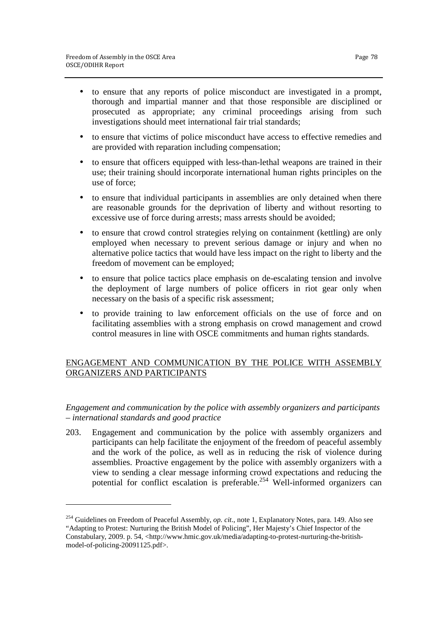$\overline{a}$ 

- to ensure that any reports of police misconduct are investigated in a prompt, thorough and impartial manner and that those responsible are disciplined or prosecuted as appropriate; any criminal proceedings arising from such investigations should meet international fair trial standards;
- to ensure that victims of police misconduct have access to effective remedies and are provided with reparation including compensation;
- to ensure that officers equipped with less-than-lethal weapons are trained in their use; their training should incorporate international human rights principles on the use of force;
- to ensure that individual participants in assemblies are only detained when there are reasonable grounds for the deprivation of liberty and without resorting to excessive use of force during arrests; mass arrests should be avoided;
- to ensure that crowd control strategies relying on containment (kettling) are only employed when necessary to prevent serious damage or injury and when no alternative police tactics that would have less impact on the right to liberty and the freedom of movement can be employed;
- to ensure that police tactics place emphasis on de-escalating tension and involve the deployment of large numbers of police officers in riot gear only when necessary on the basis of a specific risk assessment;
- to provide training to law enforcement officials on the use of force and on facilitating assemblies with a strong emphasis on crowd management and crowd control measures in line with OSCE commitments and human rights standards.

# ENGAGEMENT AND COMMUNICATION BY THE POLICE WITH ASSEMBLY ORGANIZERS AND PARTICIPANTS

*Engagement and communication by the police with assembly organizers and participants – international standards and good practice* 

203. Engagement and communication by the police with assembly organizers and participants can help facilitate the enjoyment of the freedom of peaceful assembly and the work of the police, as well as in reducing the risk of violence during assemblies. Proactive engagement by the police with assembly organizers with a view to sending a clear message informing crowd expectations and reducing the potential for conflict escalation is preferable.<sup>254</sup> Well-informed organizers can

<sup>254</sup> Guidelines on Freedom of Peaceful Assembly, *op. cit.*, note 1, Explanatory Notes, para. 149. Also see "Adapting to Protest: Nurturing the British Model of Policing", Her Majesty's Chief Inspector of the Constabulary, 2009. p. 54, <http://www.hmic.gov.uk/media/adapting-to-protest-nurturing-the-britishmodel-of-policing-20091125.pdf>.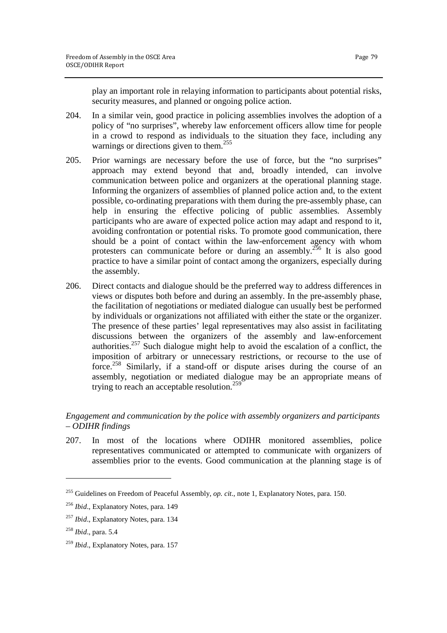play an important role in relaying information to participants about potential risks, security measures, and planned or ongoing police action.

- 204. In a similar vein, good practice in policing assemblies involves the adoption of a policy of "no surprises", whereby law enforcement officers allow time for people in a crowd to respond as individuals to the situation they face, including any warnings or directions given to them.<sup>255</sup>
- 205. Prior warnings are necessary before the use of force, but the "no surprises" approach may extend beyond that and, broadly intended, can involve communication between police and organizers at the operational planning stage. Informing the organizers of assemblies of planned police action and, to the extent possible, co-ordinating preparations with them during the pre-assembly phase, can help in ensuring the effective policing of public assemblies. Assembly participants who are aware of expected police action may adapt and respond to it, avoiding confrontation or potential risks. To promote good communication, there should be a point of contact within the law-enforcement agency with whom protesters can communicate before or during an assembly.<sup>256</sup> It is also good practice to have a similar point of contact among the organizers, especially during the assembly.
- 206. Direct contacts and dialogue should be the preferred way to address differences in views or disputes both before and during an assembly. In the pre-assembly phase, the facilitation of negotiations or mediated dialogue can usually best be performed by individuals or organizations not affiliated with either the state or the organizer. The presence of these parties' legal representatives may also assist in facilitating discussions between the organizers of the assembly and law-enforcement authorities.<sup>257</sup> Such dialogue might help to avoid the escalation of a conflict, the imposition of arbitrary or unnecessary restrictions, or recourse to the use of force.<sup>258</sup> Similarly, if a stand-off or dispute arises during the course of an assembly, negotiation or mediated dialogue may be an appropriate means of trying to reach an acceptable resolution.<sup>259</sup>

# *Engagement and communication by the police with assembly organizers and participants – ODIHR findings*

207. In most of the locations where ODIHR monitored assemblies, police representatives communicated or attempted to communicate with organizers of assemblies prior to the events. Good communication at the planning stage is of

1

<sup>255</sup> Guidelines on Freedom of Peaceful Assembly, *op. cit.*, note 1, Explanatory Notes, para. 150.

<sup>256</sup> *Ibid*., Explanatory Notes, para. 149

<sup>257</sup> *Ibid*., Explanatory Notes, para. 134

<sup>258</sup> *Ibid*., para. 5.4

<sup>259</sup> *Ibid*., Explanatory Notes, para. 157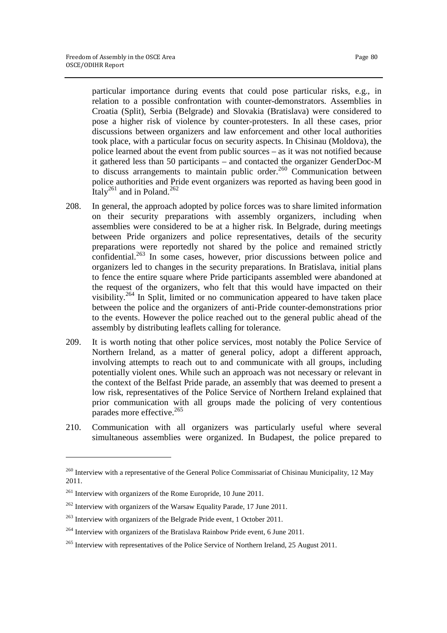particular importance during events that could pose particular risks, e.g., in relation to a possible confrontation with counter-demonstrators. Assemblies in Croatia (Split), Serbia (Belgrade) and Slovakia (Bratislava) were considered to pose a higher risk of violence by counter-protesters. In all these cases, prior discussions between organizers and law enforcement and other local authorities took place, with a particular focus on security aspects. In Chisinau (Moldova), the police learned about the event from public sources – as it was not notified because it gathered less than 50 participants – and contacted the organizer GenderDoc-M to discuss arrangements to maintain public order.<sup>260</sup> Communication between police authorities and Pride event organizers was reported as having been good in Italy<sup>261</sup> and in Poland.<sup>262</sup>

- 208. In general, the approach adopted by police forces was to share limited information on their security preparations with assembly organizers, including when assemblies were considered to be at a higher risk. In Belgrade, during meetings between Pride organizers and police representatives, details of the security preparations were reportedly not shared by the police and remained strictly confidential.<sup>263</sup> In some cases, however, prior discussions between police and organizers led to changes in the security preparations. In Bratislava, initial plans to fence the entire square where Pride participants assembled were abandoned at the request of the organizers, who felt that this would have impacted on their visibility.<sup>264</sup> In Split, limited or no communication appeared to have taken place between the police and the organizers of anti-Pride counter-demonstrations prior to the events. However the police reached out to the general public ahead of the assembly by distributing leaflets calling for tolerance.
- 209. It is worth noting that other police services, most notably the Police Service of Northern Ireland, as a matter of general policy, adopt a different approach, involving attempts to reach out to and communicate with all groups, including potentially violent ones. While such an approach was not necessary or relevant in the context of the Belfast Pride parade, an assembly that was deemed to present a low risk, representatives of the Police Service of Northern Ireland explained that prior communication with all groups made the policing of very contentious parades more effective.<sup>265</sup>
- 210. Communication with all organizers was particularly useful where several simultaneous assemblies were organized. In Budapest, the police prepared to

<u>.</u>

<sup>&</sup>lt;sup>260</sup> Interview with a representative of the General Police Commissariat of Chisinau Municipality, 12 May 2011.

<sup>261</sup> Interview with organizers of the Rome Europride, 10 June 2011.

 $262$  Interview with organizers of the Warsaw Equality Parade, 17 June 2011.

<sup>&</sup>lt;sup>263</sup> Interview with organizers of the Belgrade Pride event, 1 October 2011.

 $^{264}$  Interview with organizers of the Bratislava Rainbow Pride event, 6 June 2011.

<sup>&</sup>lt;sup>265</sup> Interview with representatives of the Police Service of Northern Ireland, 25 August 2011.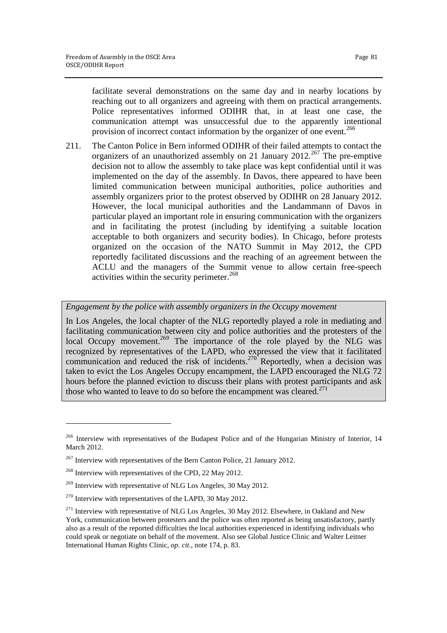facilitate several demonstrations on the same day and in nearby locations by reaching out to all organizers and agreeing with them on practical arrangements. Police representatives informed ODIHR that, in at least one case, the communication attempt was unsuccessful due to the apparently intentional provision of incorrect contact information by the organizer of one event.<sup>266</sup>

211. The Canton Police in Bern informed ODIHR of their failed attempts to contact the organizers of an unauthorized assembly on 21 January  $2012.<sup>267</sup>$  The pre-emptive decision not to allow the assembly to take place was kept confidential until it was implemented on the day of the assembly. In Davos, there appeared to have been limited communication between municipal authorities, police authorities and assembly organizers prior to the protest observed by ODIHR on 28 January 2012. However, the local municipal authorities and the Landammann of Davos in particular played an important role in ensuring communication with the organizers and in facilitating the protest (including by identifying a suitable location acceptable to both organizers and security bodies). In Chicago, before protests organized on the occasion of the NATO Summit in May 2012, the CPD reportedly facilitated discussions and the reaching of an agreement between the ACLU and the managers of the Summit venue to allow certain free-speech activities within the security perimeter.<sup>268</sup>

# *Engagement by the police with assembly organizers in the Occupy movement*

In Los Angeles, the local chapter of the NLG reportedly played a role in mediating and facilitating communication between city and police authorities and the protesters of the local Occupy movement.<sup>269</sup> The importance of the role played by the NLG was recognized by representatives of the LAPD, who expressed the view that it facilitated communication and reduced the risk of incidents.<sup>270</sup> Reportedly, when a decision was taken to evict the Los Angeles Occupy encampment, the LAPD encouraged the NLG 72 hours before the planned eviction to discuss their plans with protest participants and ask those who wanted to leave to do so before the encampment was cleared.<sup>271</sup>

<u>.</u>

<sup>&</sup>lt;sup>266</sup> Interview with representatives of the Budapest Police and of the Hungarian Ministry of Interior, 14 March 2012.

<sup>&</sup>lt;sup>267</sup> Interview with representatives of the Bern Canton Police, 21 January 2012.

<sup>&</sup>lt;sup>268</sup> Interview with representatives of the CPD, 22 May 2012.

<sup>&</sup>lt;sup>269</sup> Interview with representative of NLG Los Angeles, 30 May 2012.

<sup>270</sup> Interview with representatives of the LAPD, 30 May 2012.

 $^{271}$  Interview with representative of NLG Los Angeles, 30 May 2012. Elsewhere, in Oakland and New York, communication between protesters and the police was often reported as being unsatisfactory, partly also as a result of the reported difficulties the local authorities experienced in identifying individuals who could speak or negotiate on behalf of the movement. Also see Global Justice Clinic and Walter Leitner International Human Rights Clinic, *op. cit.*, note 174, p. 83.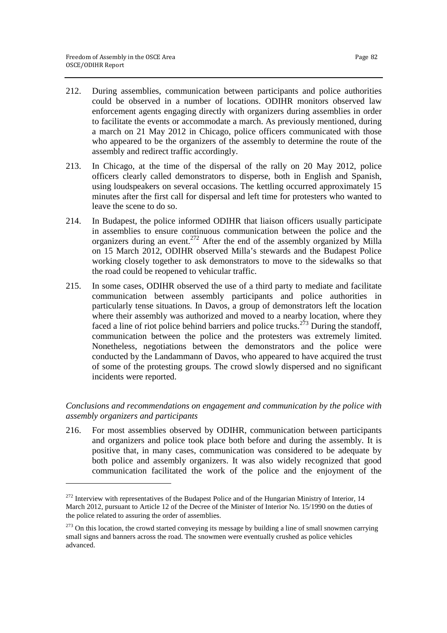<u>.</u>

- 212. During assemblies, communication between participants and police authorities could be observed in a number of locations. ODIHR monitors observed law enforcement agents engaging directly with organizers during assemblies in order to facilitate the events or accommodate a march. As previously mentioned, during a march on 21 May 2012 in Chicago, police officers communicated with those who appeared to be the organizers of the assembly to determine the route of the assembly and redirect traffic accordingly.
- 213. In Chicago, at the time of the dispersal of the rally on 20 May 2012, police officers clearly called demonstrators to disperse, both in English and Spanish, using loudspeakers on several occasions. The kettling occurred approximately 15 minutes after the first call for dispersal and left time for protesters who wanted to leave the scene to do so.
- 214. In Budapest, the police informed ODIHR that liaison officers usually participate in assemblies to ensure continuous communication between the police and the organizers during an event.<sup>272</sup> After the end of the assembly organized by Milla on 15 March 2012, ODIHR observed Milla's stewards and the Budapest Police working closely together to ask demonstrators to move to the sidewalks so that the road could be reopened to vehicular traffic.
- 215. In some cases, ODIHR observed the use of a third party to mediate and facilitate communication between assembly participants and police authorities in particularly tense situations. In Davos, a group of demonstrators left the location where their assembly was authorized and moved to a nearby location, where they faced a line of riot police behind barriers and police trucks.<sup>273</sup> During the standoff, communication between the police and the protesters was extremely limited. Nonetheless, negotiations between the demonstrators and the police were conducted by the Landammann of Davos, who appeared to have acquired the trust of some of the protesting groups. The crowd slowly dispersed and no significant incidents were reported.

# *Conclusions and recommendations on engagement and communication by the police with assembly organizers and participants*

216. For most assemblies observed by ODIHR, communication between participants and organizers and police took place both before and during the assembly. It is positive that, in many cases, communication was considered to be adequate by both police and assembly organizers. It was also widely recognized that good communication facilitated the work of the police and the enjoyment of the

<sup>&</sup>lt;sup>272</sup> Interview with representatives of the Budapest Police and of the Hungarian Ministry of Interior, 14 March 2012, pursuant to Article 12 of the Decree of the Minister of Interior No. 15/1990 on the duties of the police related to assuring the order of assemblies.

 $273$  On this location, the crowd started conveying its message by building a line of small snowmen carrying small signs and banners across the road. The snowmen were eventually crushed as police vehicles advanced.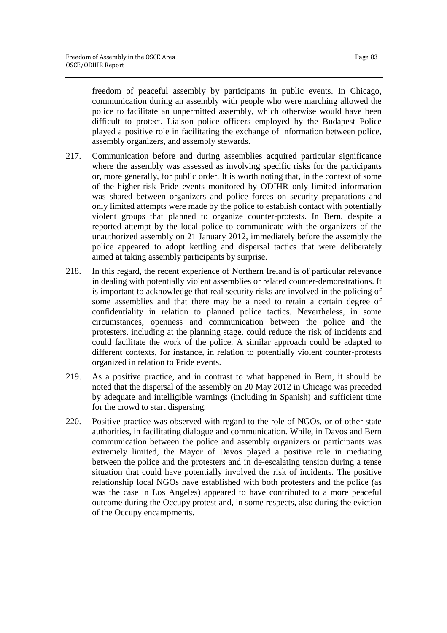freedom of peaceful assembly by participants in public events. In Chicago, communication during an assembly with people who were marching allowed the police to facilitate an unpermitted assembly, which otherwise would have been difficult to protect. Liaison police officers employed by the Budapest Police played a positive role in facilitating the exchange of information between police, assembly organizers, and assembly stewards.

- 217. Communication before and during assemblies acquired particular significance where the assembly was assessed as involving specific risks for the participants or, more generally, for public order. It is worth noting that, in the context of some of the higher-risk Pride events monitored by ODIHR only limited information was shared between organizers and police forces on security preparations and only limited attempts were made by the police to establish contact with potentially violent groups that planned to organize counter-protests. In Bern, despite a reported attempt by the local police to communicate with the organizers of the unauthorized assembly on 21 January 2012, immediately before the assembly the police appeared to adopt kettling and dispersal tactics that were deliberately aimed at taking assembly participants by surprise.
- 218. In this regard, the recent experience of Northern Ireland is of particular relevance in dealing with potentially violent assemblies or related counter-demonstrations. It is important to acknowledge that real security risks are involved in the policing of some assemblies and that there may be a need to retain a certain degree of confidentiality in relation to planned police tactics. Nevertheless, in some circumstances, openness and communication between the police and the protesters, including at the planning stage, could reduce the risk of incidents and could facilitate the work of the police. A similar approach could be adapted to different contexts, for instance, in relation to potentially violent counter-protests organized in relation to Pride events.
- 219. As a positive practice, and in contrast to what happened in Bern, it should be noted that the dispersal of the assembly on 20 May 2012 in Chicago was preceded by adequate and intelligible warnings (including in Spanish) and sufficient time for the crowd to start dispersing.
- 220. Positive practice was observed with regard to the role of NGOs, or of other state authorities, in facilitating dialogue and communication. While, in Davos and Bern communication between the police and assembly organizers or participants was extremely limited, the Mayor of Davos played a positive role in mediating between the police and the protesters and in de-escalating tension during a tense situation that could have potentially involved the risk of incidents. The positive relationship local NGOs have established with both protesters and the police (as was the case in Los Angeles) appeared to have contributed to a more peaceful outcome during the Occupy protest and, in some respects, also during the eviction of the Occupy encampments.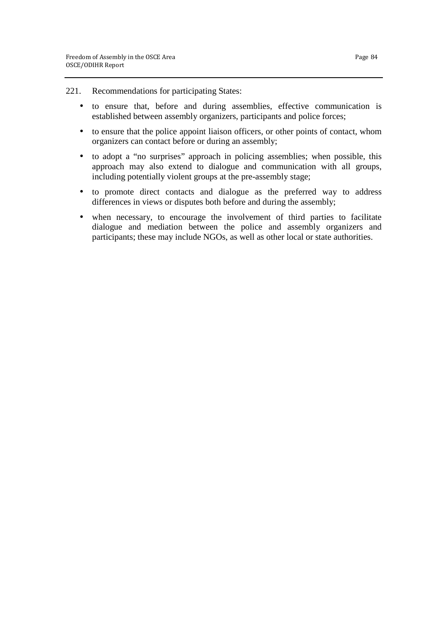- 221. Recommendations for participating States:
	- to ensure that, before and during assemblies, effective communication is established between assembly organizers, participants and police forces;
	- to ensure that the police appoint liaison officers, or other points of contact, whom organizers can contact before or during an assembly;
	- to adopt a "no surprises" approach in policing assemblies; when possible, this approach may also extend to dialogue and communication with all groups, including potentially violent groups at the pre-assembly stage;
	- to promote direct contacts and dialogue as the preferred way to address differences in views or disputes both before and during the assembly;
	- when necessary, to encourage the involvement of third parties to facilitate dialogue and mediation between the police and assembly organizers and participants; these may include NGOs, as well as other local or state authorities.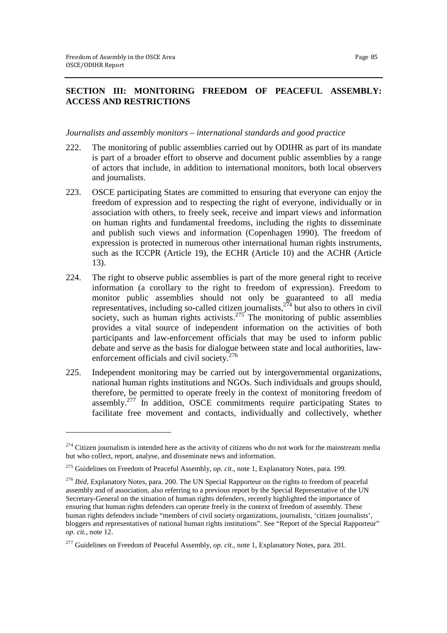<u>.</u>

# **SECTION III: MONITORING FREEDOM OF PEACEFUL ASSEMBLY: ACCESS AND RESTRICTIONS**

### *Journalists and assembly monitors – international standards and good practice*

- 222. The monitoring of public assemblies carried out by ODIHR as part of its mandate is part of a broader effort to observe and document public assemblies by a range of actors that include, in addition to international monitors, both local observers and journalists.
- 223. OSCE participating States are committed to ensuring that everyone can enjoy the freedom of expression and to respecting the right of everyone, individually or in association with others, to freely seek, receive and impart views and information on human rights and fundamental freedoms, including the rights to disseminate and publish such views and information (Copenhagen 1990). The freedom of expression is protected in numerous other international human rights instruments, such as the ICCPR (Article 19), the ECHR (Article 10) and the ACHR (Article 13).
- 224. The right to observe public assemblies is part of the more general right to receive information (a corollary to the right to freedom of expression). Freedom to monitor public assemblies should not only be guaranteed to all media representatives, including so-called citizen journalists, $2^{74}$  but also to others in civil society, such as human rights activists.<sup>275</sup> The monitoring of public assemblies provides a vital source of independent information on the activities of both participants and law-enforcement officials that may be used to inform public debate and serve as the basis for dialogue between state and local authorities, lawenforcement officials and civil society.<sup>276</sup>
- 225. Independent monitoring may be carried out by intergovernmental organizations, national human rights institutions and NGOs. Such individuals and groups should, therefore, be permitted to operate freely in the context of monitoring freedom of assembly.<sup>277</sup> In addition, OSCE commitments require participating States to facilitate free movement and contacts, individually and collectively, whether

 $274$  Citizen journalism is intended here as the activity of citizens who do not work for the mainstream media but who collect, report, analyse, and disseminate news and information.

<sup>275</sup> Guidelines on Freedom of Peaceful Assembly, *op. cit.*, note 1, Explanatory Notes, para. 199.

<sup>276</sup> *Ibid*, Explanatory Notes, para. 200. The UN Special Rapporteur on the rights to freedom of peaceful assembly and of association, also referring to a previous report by the Special Representative of the UN Secretary-General on the situation of human rights defenders, recently highlighted the importance of ensuring that human rights defenders can operate freely in the context of freedom of assembly. These human rights defenders include "members of civil society organizations, journalists, 'citizen journalists', bloggers and representatives of national human rights institutions". See "Report of the Special Rapporteur" *op. cit.*, note 12.

<sup>&</sup>lt;sup>277</sup> Guidelines on Freedom of Peaceful Assembly, *op. cit.*, note 1, Explanatory Notes, para. 201.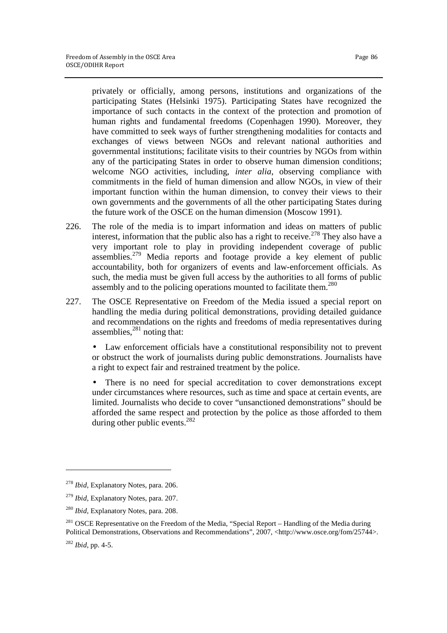privately or officially, among persons, institutions and organizations of the participating States (Helsinki 1975). Participating States have recognized the importance of such contacts in the context of the protection and promotion of human rights and fundamental freedoms (Copenhagen 1990). Moreover, they have committed to seek ways of further strengthening modalities for contacts and exchanges of views between NGOs and relevant national authorities and governmental institutions; facilitate visits to their countries by NGOs from within any of the participating States in order to observe human dimension conditions; welcome NGO activities, including, *inter alia*, observing compliance with commitments in the field of human dimension and allow NGOs, in view of their important function within the human dimension, to convey their views to their own governments and the governments of all the other participating States during the future work of the OSCE on the human dimension (Moscow 1991).

- 226. The role of the media is to impart information and ideas on matters of public interest, information that the public also has a right to receive.<sup>278</sup> They also have a very important role to play in providing independent coverage of public assemblies.<sup>279</sup> Media reports and footage provide a key element of public accountability, both for organizers of events and law-enforcement officials. As such, the media must be given full access by the authorities to all forms of public assembly and to the policing operations mounted to facilitate them.<sup>280</sup>
- 227. The OSCE Representative on Freedom of the Media issued a special report on handling the media during political demonstrations, providing detailed guidance and recommendations on the rights and freedoms of media representatives during assemblies, $^{281}$  noting that:

• Law enforcement officials have a constitutional responsibility not to prevent or obstruct the work of journalists during public demonstrations. Journalists have a right to expect fair and restrained treatment by the police.

• There is no need for special accreditation to cover demonstrations except under circumstances where resources, such as time and space at certain events, are limited. Journalists who decide to cover "unsanctioned demonstrations" should be afforded the same respect and protection by the police as those afforded to them during other public events.<sup>282</sup>

 $\overline{a}$ 

<sup>278</sup> *Ibid*, Explanatory Notes, para. 206.

<sup>279</sup> *Ibid*, Explanatory Notes, para. 207.

<sup>280</sup> *Ibid*, Explanatory Notes, para. 208.

<sup>&</sup>lt;sup>281</sup> OSCE Representative on the Freedom of the Media, "Special Report – Handling of the Media during Political Demonstrations, Observations and Recommendations", 2007, <http://www.osce.org/fom/25744>.

<sup>282</sup> *Ibid*, pp. 4-5.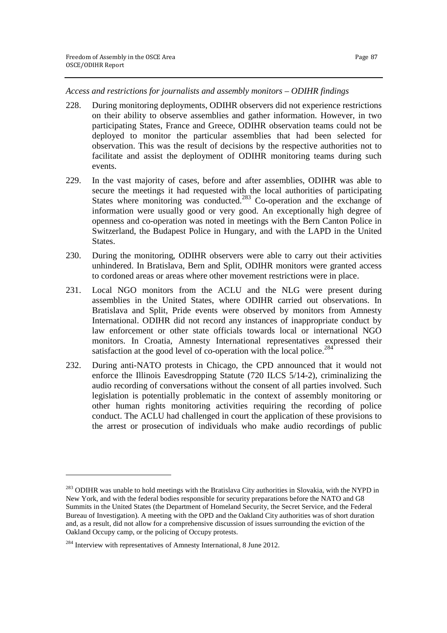*Access and restrictions for journalists and assembly monitors – ODIHR findings* 

- 228. During monitoring deployments, ODIHR observers did not experience restrictions on their ability to observe assemblies and gather information. However, in two participating States, France and Greece, ODIHR observation teams could not be deployed to monitor the particular assemblies that had been selected for observation. This was the result of decisions by the respective authorities not to facilitate and assist the deployment of ODIHR monitoring teams during such events.
- 229. In the vast majority of cases, before and after assemblies, ODIHR was able to secure the meetings it had requested with the local authorities of participating States where monitoring was conducted.<sup>283</sup> Co-operation and the exchange of information were usually good or very good. An exceptionally high degree of openness and co-operation was noted in meetings with the Bern Canton Police in Switzerland, the Budapest Police in Hungary, and with the LAPD in the United States.
- 230. During the monitoring, ODIHR observers were able to carry out their activities unhindered. In Bratislava, Bern and Split, ODIHR monitors were granted access to cordoned areas or areas where other movement restrictions were in place.
- 231. Local NGO monitors from the ACLU and the NLG were present during assemblies in the United States, where ODIHR carried out observations. In Bratislava and Split, Pride events were observed by monitors from Amnesty International. ODIHR did not record any instances of inappropriate conduct by law enforcement or other state officials towards local or international NGO monitors. In Croatia, Amnesty International representatives expressed their satisfaction at the good level of co-operation with the local police.<sup>284</sup>
- 232. During anti-NATO protests in Chicago, the CPD announced that it would not enforce the Illinois Eavesdropping Statute (720 ILCS 5/14-2), criminalizing the audio recording of conversations without the consent of all parties involved. Such legislation is potentially problematic in the context of assembly monitoring or other human rights monitoring activities requiring the recording of police conduct. The ACLU had challenged in court the application of these provisions to the arrest or prosecution of individuals who make audio recordings of public

 $\overline{a}$ 

<sup>&</sup>lt;sup>283</sup> ODIHR was unable to hold meetings with the Bratislava City authorities in Slovakia, with the NYPD in New York, and with the federal bodies responsible for security preparations before the NATO and G8 Summits in the United States (the Department of Homeland Security, the Secret Service, and the Federal Bureau of Investigation). A meeting with the OPD and the Oakland City authorities was of short duration and, as a result, did not allow for a comprehensive discussion of issues surrounding the eviction of the Oakland Occupy camp, or the policing of Occupy protests.

<sup>&</sup>lt;sup>284</sup> Interview with representatives of Amnesty International, 8 June 2012.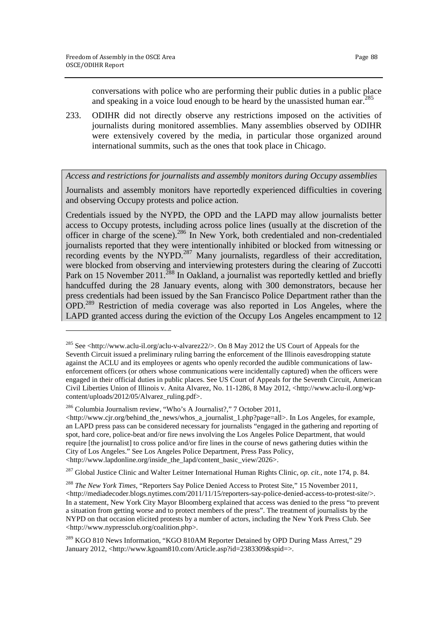1

conversations with police who are performing their public duties in a public place and speaking in a voice loud enough to be heard by the unassisted human ear.<sup>2</sup>

233. ODIHR did not directly observe any restrictions imposed on the activities of journalists during monitored assemblies. Many assemblies observed by ODIHR were extensively covered by the media, in particular those organized around international summits, such as the ones that took place in Chicago.

*Access and restrictions for journalists and assembly monitors during Occupy assemblies* 

Journalists and assembly monitors have reportedly experienced difficulties in covering and observing Occupy protests and police action.

Credentials issued by the NYPD, the OPD and the LAPD may allow journalists better access to Occupy protests, including across police lines (usually at the discretion of the officer in charge of the scene).<sup>286</sup> In New York, both credentialed and non-credentialed journalists reported that they were intentionally inhibited or blocked from witnessing or recording events by the NYPD.<sup>287</sup> Many journalists, regardless of their accreditation, were blocked from observing and interviewing protesters during the clearing of Zuccotti Park on 15 November 2011.<sup>288</sup> In Oakland, a journalist was reportedly kettled and briefly handcuffed during the 28 January events, along with 300 demonstrators, because her press credentials had been issued by the San Francisco Police Department rather than the OPD.<sup>289</sup> Restriction of media coverage was also reported in Los Angeles, where the LAPD granted access during the eviction of the Occupy Los Angeles encampment to 12

<sup>285</sup> See <http://www.aclu-il.org/aclu-v-alvarez22/>. On 8 May 2012 the US Court of Appeals for the Seventh Circuit issued a preliminary ruling barring the enforcement of the Illinois eavesdropping statute against the ACLU and its employees or agents who openly recorded the audible communications of lawenforcement officers (or others whose communications were incidentally captured) when the officers were engaged in their official duties in public places. See US Court of Appeals for the Seventh Circuit, American Civil Liberties Union of Illinois v. Anita Alvarez, No. 11-1286, 8 May 2012, <http://www.aclu-il.org/wpcontent/uploads/2012/05/Alvarez\_ruling.pdf>.

<sup>286</sup> Columbia Journalism review, "Who's A Journalist?," 7 October 2011,

<sup>&</sup>lt;http://www.cjr.org/behind\_the\_news/whos\_a\_journalist\_1.php?page=all>. In Los Angeles, for example, an LAPD press pass can be considered necessary for journalists "engaged in the gathering and reporting of spot, hard core, police-beat and/or fire news involving the Los Angeles Police Department, that would require [the journalist] to cross police and/or fire lines in the course of news gathering duties within the City of Los Angeles." See Los Angeles Police Department, Press Pass Policy, <http://www.lapdonline.org/inside\_the\_lapd/content\_basic\_view/2026>.

<sup>287</sup> Global Justice Clinic and Walter Leitner International Human Rights Clinic, *op. cit.*, note 174, p. 84.

<sup>288</sup> *The New York Times*, "Reporters Say Police Denied Access to Protest Site," 15 November 2011,  $\langle$ http://mediadecoder.blogs.nytimes.com/2011/11/15/reporters-say-police-denied-access-to-protest-site/ $\rangle$ . In a statement, New York City Mayor Bloomberg explained that access was denied to the press "to prevent a situation from getting worse and to protect members of the press". The treatment of journalists by the NYPD on that occasion elicited protests by a number of actors, including the New York Press Club. See <http://www.nypressclub.org/coalition.php>.

<sup>&</sup>lt;sup>289</sup> KGO 810 News Information, "KGO 810AM Reporter Detained by OPD During Mass Arrest," 29 January 2012, <http://www.kgoam810.com/Article.asp?id=2383309&spid=>.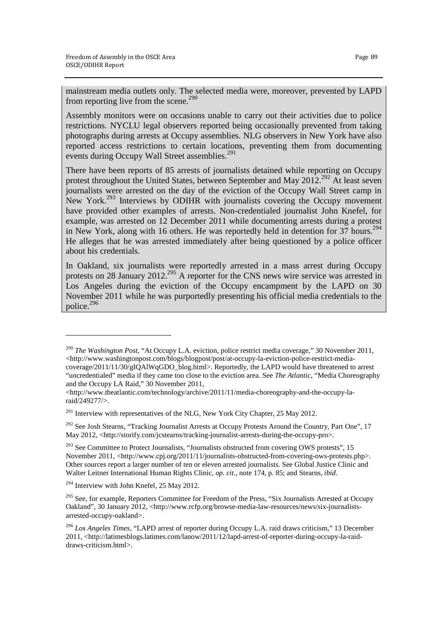mainstream media outlets only. The selected media were, moreover, prevented by LAPD from reporting live from the scene.<sup>290</sup>

Assembly monitors were on occasions unable to carry out their activities due to police restrictions. NYCLU legal observers reported being occasionally prevented from taking photographs during arrests at Occupy assemblies. NLG observers in New York have also reported access restrictions to certain locations, preventing them from documenting events during Occupy Wall Street assemblies.<sup>291</sup>

There have been reports of 85 arrests of journalists detained while reporting on Occupy protest throughout the United States, between September and May  $2012^{292}$  At least seven journalists were arrested on the day of the eviction of the Occupy Wall Street camp in New York.<sup>293</sup> Interviews by ODIHR with journalists covering the Occupy movement have provided other examples of arrests. Non-credentialed journalist John Knefel, for example, was arrested on 12 December 2011 while documenting arrests during a protest in New York, along with 16 others. He was reportedly held in detention for 37 hours.<sup>294</sup> He alleges that he was arrested immediately after being questioned by a police officer about his credentials.

In Oakland, six journalists were reportedly arrested in a mass arrest during Occupy protests on 28 January 2012.<sup>295</sup> A reporter for the CNS news wire service was arrested in Los Angeles during the eviction of the Occupy encampment by the LAPD on 30 November 2011 while he was purportedly presenting his official media credentials to the police.<sup>296</sup>

<u>.</u>

<sup>290</sup> *The Washington Post*, "At Occupy L.A. eviction, police restrict media coverage," 30 November 2011, <http://www.washingtonpost.com/blogs/blogpost/post/at-occupy-la-eviction-police-restrict-mediacoverage/2011/11/30/gIQAlWqGDO\_blog.html>. Reportedly, the LAPD would have threatened to arrest "uncredentialed" media if they came too close to the eviction area. See *The Atlantic*, "Media Choreography and the Occupy LA Raid," 30 November 2011,

 $\langle$ http://www.theatlantic.com/technology/archive/2011/11/media-choreography-and-the-occupy-laraid/249277/>.

<sup>&</sup>lt;sup>291</sup> Interview with representatives of the NLG, New York City Chapter, 25 May 2012.

<sup>&</sup>lt;sup>292</sup> See Josh Stearns, "Tracking Journalist Arrests at Occupy Protests Around the Country, Part One", 17 May 2012, <http://storify.com/jcstearns/tracking-journalist-arrests-during-the-occupy-pro>.

 $293$  See Committee to Protect Journalists, "Journalists obstructed from covering OWS protests", 15 November 2011, <http://www.cpj.org/2011/11/journalists-obstructed-from-covering-ows-protests.php>. Other sources report a larger number of ten or eleven arrested journalists. See Global Justice Clinic and Walter Leitner International Human Rights Clinic, *op. cit.*, note 174, p. 85; and Stearns, *ibid*.

<sup>&</sup>lt;sup>294</sup> Interview with John Knefel, 25 May 2012.

<sup>&</sup>lt;sup>295</sup> See, for example, Reporters Committee for Freedom of the Press, "Six Journalists Arrested at Occupy Oakland", 30 January 2012, <http://www.rcfp.org/browse-media-law-resources/news/six-journalistsarrested-occupy-oakland>.

<sup>296</sup> *Los Angeles Times*, "LAPD arrest of reporter during Occupy L.A. raid draws criticism," 13 December 2011, <http://latimesblogs.latimes.com/lanow/2011/12/lapd-arrest-of-reporter-during-occupy-la-raiddraws-criticism.html>.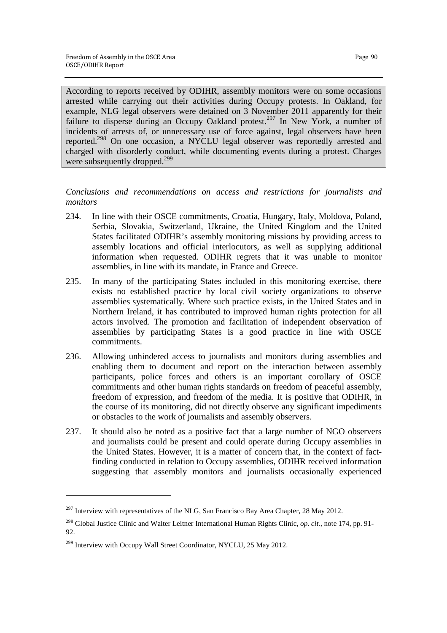According to reports received by ODIHR, assembly monitors were on some occasions arrested while carrying out their activities during Occupy protests. In Oakland, for example, NLG legal observers were detained on 3 November 2011 apparently for their failure to disperse during an Occupy Oakland protest.<sup>297</sup> In New York, a number of incidents of arrests of, or unnecessary use of force against, legal observers have been reported.<sup>298</sup> On one occasion, a NYCLU legal observer was reportedly arrested and charged with disorderly conduct, while documenting events during a protest. Charges were subsequently dropped.<sup>299</sup>

*Conclusions and recommendations on access and restrictions for journalists and monitors* 

- 234. In line with their OSCE commitments, Croatia, Hungary, Italy, Moldova, Poland, Serbia, Slovakia, Switzerland, Ukraine, the United Kingdom and the United States facilitated ODIHR's assembly monitoring missions by providing access to assembly locations and official interlocutors, as well as supplying additional information when requested. ODIHR regrets that it was unable to monitor assemblies, in line with its mandate, in France and Greece.
- 235. In many of the participating States included in this monitoring exercise, there exists no established practice by local civil society organizations to observe assemblies systematically. Where such practice exists, in the United States and in Northern Ireland, it has contributed to improved human rights protection for all actors involved. The promotion and facilitation of independent observation of assemblies by participating States is a good practice in line with OSCE commitments.
- 236. Allowing unhindered access to journalists and monitors during assemblies and enabling them to document and report on the interaction between assembly participants, police forces and others is an important corollary of OSCE commitments and other human rights standards on freedom of peaceful assembly, freedom of expression, and freedom of the media. It is positive that ODIHR, in the course of its monitoring, did not directly observe any significant impediments or obstacles to the work of journalists and assembly observers.
- 237. It should also be noted as a positive fact that a large number of NGO observers and journalists could be present and could operate during Occupy assemblies in the United States. However, it is a matter of concern that, in the context of factfinding conducted in relation to Occupy assemblies, ODIHR received information suggesting that assembly monitors and journalists occasionally experienced

 $\overline{a}$ 

 $^{297}$  Interview with representatives of the NLG, San Francisco Bay Area Chapter, 28 May 2012.

<sup>298</sup> Global Justice Clinic and Walter Leitner International Human Rights Clinic, *op. cit.*, note 174, pp. 91- 92.

<sup>&</sup>lt;sup>299</sup> Interview with Occupy Wall Street Coordinator, NYCLU, 25 May 2012.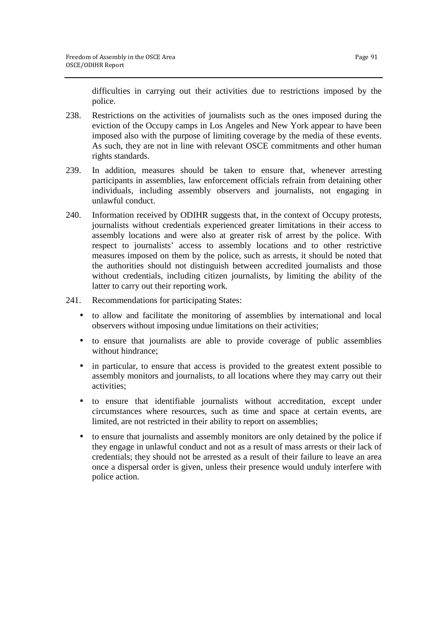difficulties in carrying out their activities due to restrictions imposed by the police.

- 238. Restrictions on the activities of journalists such as the ones imposed during the eviction of the Occupy camps in Los Angeles and New York appear to have been imposed also with the purpose of limiting coverage by the media of these events. As such, they are not in line with relevant OSCE commitments and other human rights standards.
- 239. In addition, measures should be taken to ensure that, whenever arresting participants in assemblies, law enforcement officials refrain from detaining other individuals, including assembly observers and journalists, not engaging in unlawful conduct.
- 240. Information received by ODIHR suggests that, in the context of Occupy protests, journalists without credentials experienced greater limitations in their access to assembly locations and were also at greater risk of arrest by the police. With respect to journalists' access to assembly locations and to other restrictive measures imposed on them by the police, such as arrests, it should be noted that the authorities should not distinguish between accredited journalists and those without credentials, including citizen journalists, by limiting the ability of the latter to carry out their reporting work.
- 241. Recommendations for participating States:
	- to allow and facilitate the monitoring of assemblies by international and local observers without imposing undue limitations on their activities;
	- to ensure that journalists are able to provide coverage of public assemblies without hindrance;
	- in particular, to ensure that access is provided to the greatest extent possible to assembly monitors and journalists, to all locations where they may carry out their activities;
	- to ensure that identifiable journalists without accreditation, except under circumstances where resources, such as time and space at certain events, are limited, are not restricted in their ability to report on assemblies;
	- to ensure that journalists and assembly monitors are only detained by the police if they engage in unlawful conduct and not as a result of mass arrests or their lack of credentials; they should not be arrested as a result of their failure to leave an area once a dispersal order is given, unless their presence would unduly interfere with police action.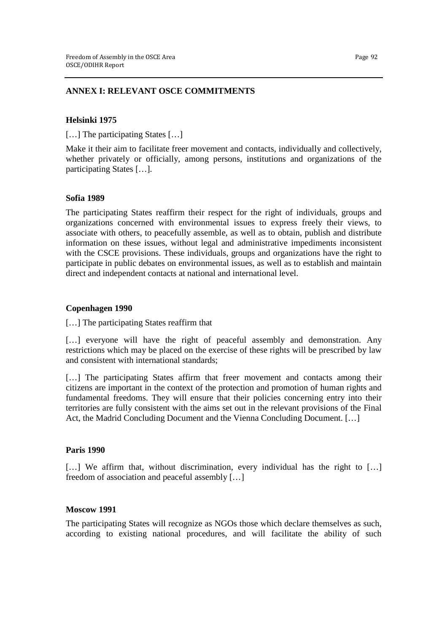## **ANNEX I: RELEVANT OSCE COMMITMENTS**

### **Helsinki 1975**

[...] The participating States [...]

Make it their aim to facilitate freer movement and contacts, individually and collectively, whether privately or officially, among persons, institutions and organizations of the participating States […].

### **Sofia 1989**

The participating States reaffirm their respect for the right of individuals, groups and organizations concerned with environmental issues to express freely their views, to associate with others, to peacefully assemble, as well as to obtain, publish and distribute information on these issues, without legal and administrative impediments inconsistent with the CSCE provisions. These individuals, groups and organizations have the right to participate in public debates on environmental issues, as well as to establish and maintain direct and independent contacts at national and international level.

### **Copenhagen 1990**

[...] The participating States reaffirm that

[...] everyone will have the right of peaceful assembly and demonstration. Any restrictions which may be placed on the exercise of these rights will be prescribed by law and consistent with international standards;

[...] The participating States affirm that freer movement and contacts among their citizens are important in the context of the protection and promotion of human rights and fundamental freedoms. They will ensure that their policies concerning entry into their territories are fully consistent with the aims set out in the relevant provisions of the Final Act, the Madrid Concluding Document and the Vienna Concluding Document. […]

### **Paris 1990**

[...] We affirm that, without discrimination, every individual has the right to [...] freedom of association and peaceful assembly […]

### **Moscow 1991**

The participating States will recognize as NGOs those which declare themselves as such, according to existing national procedures, and will facilitate the ability of such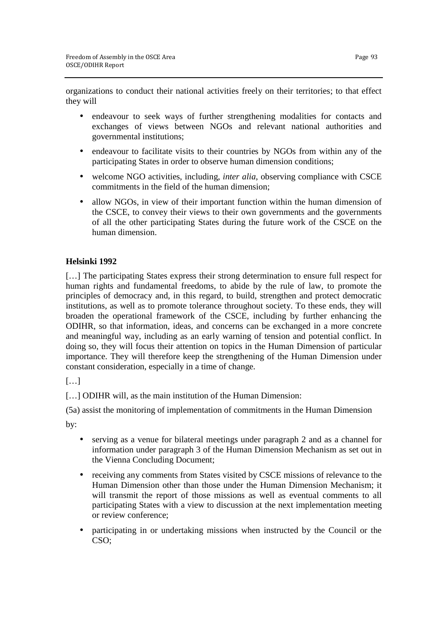organizations to conduct their national activities freely on their territories; to that effect they will

- endeavour to seek ways of further strengthening modalities for contacts and exchanges of views between NGOs and relevant national authorities and governmental institutions;
- endeavour to facilitate visits to their countries by NGOs from within any of the participating States in order to observe human dimension conditions;
- welcome NGO activities, including, *inter alia*, observing compliance with CSCE commitments in the field of the human dimension;
- allow NGOs, in view of their important function within the human dimension of the CSCE, to convey their views to their own governments and the governments of all the other participating States during the future work of the CSCE on the human dimension.

# **Helsinki 1992**

[...] The participating States express their strong determination to ensure full respect for human rights and fundamental freedoms, to abide by the rule of law, to promote the principles of democracy and, in this regard, to build, strengthen and protect democratic institutions, as well as to promote tolerance throughout society. To these ends, they will broaden the operational framework of the CSCE, including by further enhancing the ODIHR, so that information, ideas, and concerns can be exchanged in a more concrete and meaningful way, including as an early warning of tension and potential conflict. In doing so, they will focus their attention on topics in the Human Dimension of particular importance. They will therefore keep the strengthening of the Human Dimension under constant consideration, especially in a time of change.

[…]

[...] ODIHR will, as the main institution of the Human Dimension:

(5a) assist the monitoring of implementation of commitments in the Human Dimension

by:

- serving as a venue for bilateral meetings under paragraph 2 and as a channel for information under paragraph 3 of the Human Dimension Mechanism as set out in the Vienna Concluding Document;
- receiving any comments from States visited by CSCE missions of relevance to the Human Dimension other than those under the Human Dimension Mechanism; it will transmit the report of those missions as well as eventual comments to all participating States with a view to discussion at the next implementation meeting or review conference;
- participating in or undertaking missions when instructed by the Council or the CSO;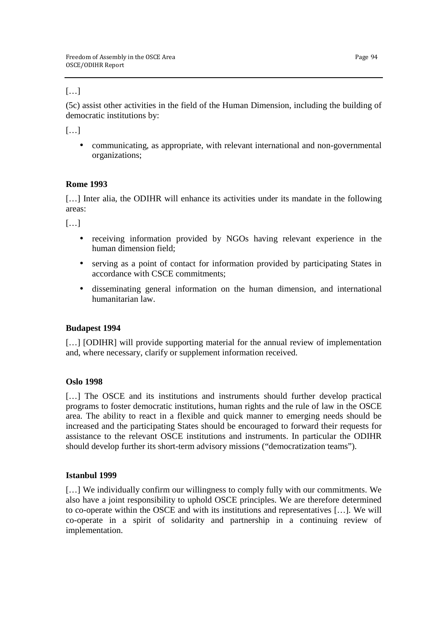# $[\ldots]$

(5c) assist other activities in the field of the Human Dimension, including the building of democratic institutions by:

 $[\ldots]$ 

• communicating, as appropriate, with relevant international and non-governmental organizations;

# **Rome 1993**

[...] Inter alia, the ODIHR will enhance its activities under its mandate in the following areas:

 $[\ldots]$ 

- receiving information provided by NGOs having relevant experience in the human dimension field;
- serving as a point of contact for information provided by participating States in accordance with CSCE commitments;
- disseminating general information on the human dimension, and international humanitarian law.

# **Budapest 1994**

[...] [ODIHR] will provide supporting material for the annual review of implementation and, where necessary, clarify or supplement information received.

# **Oslo 1998**

[...] The OSCE and its institutions and instruments should further develop practical programs to foster democratic institutions, human rights and the rule of law in the OSCE area. The ability to react in a flexible and quick manner to emerging needs should be increased and the participating States should be encouraged to forward their requests for assistance to the relevant OSCE institutions and instruments. In particular the ODIHR should develop further its short-term advisory missions ("democratization teams").

# **Istanbul 1999**

[…] We individually confirm our willingness to comply fully with our commitments. We also have a joint responsibility to uphold OSCE principles. We are therefore determined to co-operate within the OSCE and with its institutions and representatives […]. We will co-operate in a spirit of solidarity and partnership in a continuing review of implementation.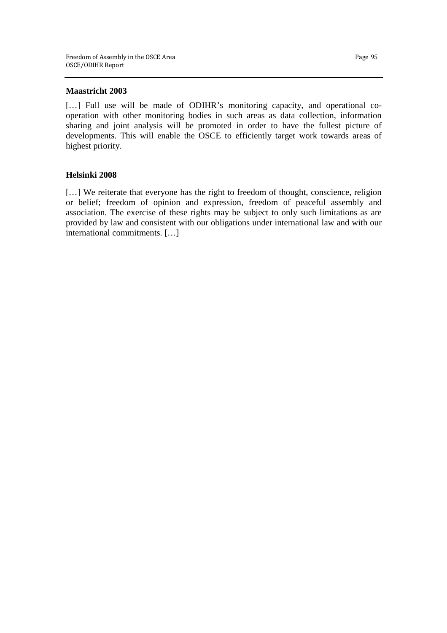### **Maastricht 2003**

[...] Full use will be made of ODIHR's monitoring capacity, and operational cooperation with other monitoring bodies in such areas as data collection, information sharing and joint analysis will be promoted in order to have the fullest picture of developments. This will enable the OSCE to efficiently target work towards areas of highest priority.

# **Helsinki 2008**

[...] We reiterate that everyone has the right to freedom of thought, conscience, religion or belief; freedom of opinion and expression, freedom of peaceful assembly and association. The exercise of these rights may be subject to only such limitations as are provided by law and consistent with our obligations under international law and with our international commitments. […]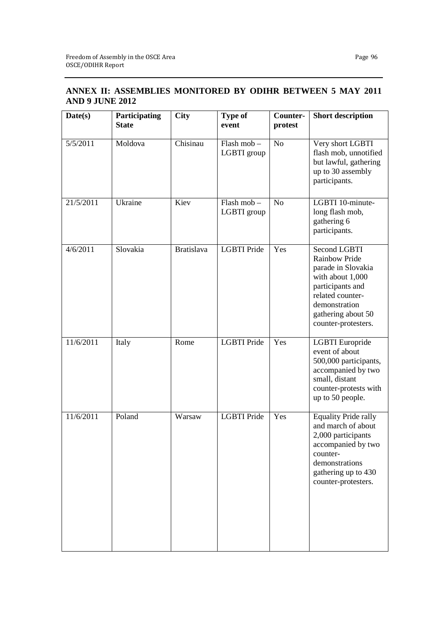# **ANNEX II: ASSEMBLIES MONITORED BY ODIHR BETWEEN 5 MAY 2011 AND 9 JUNE 2012**

| Date(s)                      | Participating<br><b>State</b> | <b>City</b>       | <b>Type of</b><br>event                | Counter-<br>protest | <b>Short description</b>                                                                                                                                                                    |
|------------------------------|-------------------------------|-------------------|----------------------------------------|---------------------|---------------------------------------------------------------------------------------------------------------------------------------------------------------------------------------------|
| $\frac{1}{5}{\sqrt{5}}/2011$ | Moldova                       | Chisinau          | Flash mob-<br>LGBTI group              | N <sub>o</sub>      | Very short LGBTI<br>flash mob, unnotified<br>but lawful, gathering<br>up to 30 assembly<br>participants.                                                                                    |
| 21/5/2011                    | Ukraine                       | Kiev              | $Flash \, \text{mob} -$<br>LGBTI group | N <sub>o</sub>      | LGBTI 10-minute-<br>long flash mob,<br>gathering 6<br>participants.                                                                                                                         |
| 4/6/2011                     | Slovakia                      | <b>Bratislava</b> | <b>LGBTI</b> Pride                     | Yes                 | <b>Second LGBTI</b><br><b>Rainbow Pride</b><br>parade in Slovakia<br>with about 1,000<br>participants and<br>related counter-<br>demonstration<br>gathering about 50<br>counter-protesters. |
| 11/6/2011                    | Italy                         | Rome              | <b>LGBTI</b> Pride                     | Yes                 | LGBTI Europride<br>event of about<br>500,000 participants,<br>accompanied by two<br>small, distant<br>counter-protests with<br>up to 50 people.                                             |
| 11/6/2011                    | Poland                        | Warsaw            | <b>LGBTI</b> Pride                     | Yes                 | <b>Equality Pride rally</b><br>and march of about<br>2,000 participants<br>accompanied by two<br>counter-<br>demonstrations<br>gathering up to 430<br>counter-protesters.                   |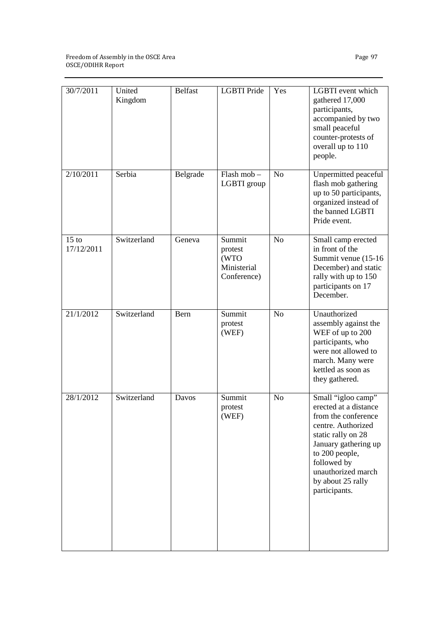| 30/7/2011             | United<br>Kingdom | <b>Belfast</b> | <b>LGBTI</b> Pride                                      | Yes            | LGBTI event which<br>gathered 17,000<br>participants,<br>accompanied by two<br>small peaceful<br>counter-protests of<br>overall up to 110<br>people.                                                                                |
|-----------------------|-------------------|----------------|---------------------------------------------------------|----------------|-------------------------------------------------------------------------------------------------------------------------------------------------------------------------------------------------------------------------------------|
| 2/10/2011             | Serbia            | Belgrade       | Flash mob-<br>LGBTI group                               | N <sub>o</sub> | Unpermitted peaceful<br>flash mob gathering<br>up to 50 participants,<br>organized instead of<br>the banned LGBTI<br>Pride event.                                                                                                   |
| $15$ to<br>17/12/2011 | Switzerland       | Geneva         | Summit<br>protest<br>(WTO<br>Ministerial<br>Conference) | N <sub>o</sub> | Small camp erected<br>in front of the<br>Summit venue (15-16)<br>December) and static<br>rally with up to 150<br>participants on 17<br>December.                                                                                    |
| 21/1/2012             | Switzerland       | Bern           | Summit<br>protest<br>(WEF)                              | N <sub>o</sub> | Unauthorized<br>assembly against the<br>WEF of up to 200<br>participants, who<br>were not allowed to<br>march. Many were<br>kettled as soon as<br>they gathered.                                                                    |
| 28/1/2012             | Switzerland       | Davos          | Summit<br>protest<br>(WEF)                              | No             | Small "igloo camp"<br>erected at a distance<br>from the conference<br>centre. Authorized<br>static rally on 28<br>January gathering up<br>to 200 people,<br>followed by<br>unauthorized march<br>by about 25 rally<br>participants. |

Page 97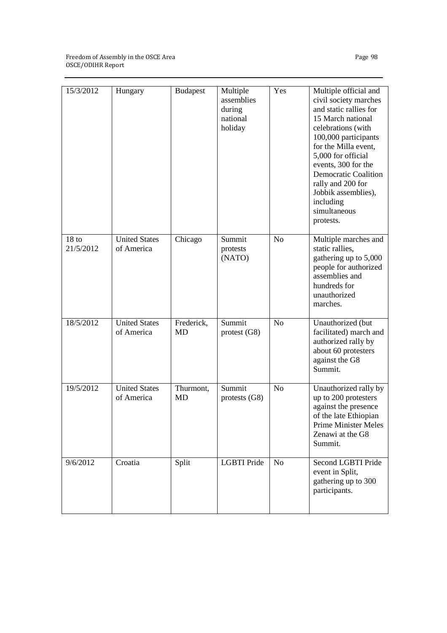#### Freedom of Assembly in the OSCE Area OSCE/ODIHR Report

| 15/3/2012                     | Hungary                            | <b>Budapest</b>  | Multiple<br>assemblies<br>during<br>national<br>holiday | Yes            | Multiple official and<br>civil society marches<br>and static rallies for<br>15 March national<br>celebrations (with<br>100,000 participants<br>for the Milla event,<br>5,000 for official<br>events, 300 for the<br><b>Democratic Coalition</b><br>rally and 200 for<br>Jobbik assemblies),<br>including<br>simultaneous<br>protests. |
|-------------------------------|------------------------------------|------------------|---------------------------------------------------------|----------------|---------------------------------------------------------------------------------------------------------------------------------------------------------------------------------------------------------------------------------------------------------------------------------------------------------------------------------------|
| 18 <sub>to</sub><br>21/5/2012 | <b>United States</b><br>of America | Chicago          | Summit<br>protests<br>(NATO)                            | N <sub>o</sub> | Multiple marches and<br>static rallies,<br>gathering up to 5,000<br>people for authorized<br>assemblies and<br>hundreds for<br>unauthorized<br>marches.                                                                                                                                                                               |
| 18/5/2012                     | <b>United States</b><br>of America | Frederick,<br>MD | Summit<br>protest(G8)                                   | N <sub>o</sub> | Unauthorized (but<br>facilitated) march and<br>authorized rally by<br>about 60 protesters<br>against the G8<br>Summit.                                                                                                                                                                                                                |
| 19/5/2012                     | <b>United States</b><br>of America | Thurmont,<br>MD  | Summit<br>protests (G8)                                 | N <sub>o</sub> | Unauthorized rally by<br>up to 200 protesters<br>against the presence<br>of the late Ethiopian<br><b>Prime Minister Meles</b><br>Zenawi at the G8<br>Summit.                                                                                                                                                                          |
| 9/6/2012                      | Croatia                            | Split            | <b>LGBTI</b> Pride                                      | N <sub>o</sub> | Second LGBTI Pride<br>event in Split,<br>gathering up to 300<br>participants.                                                                                                                                                                                                                                                         |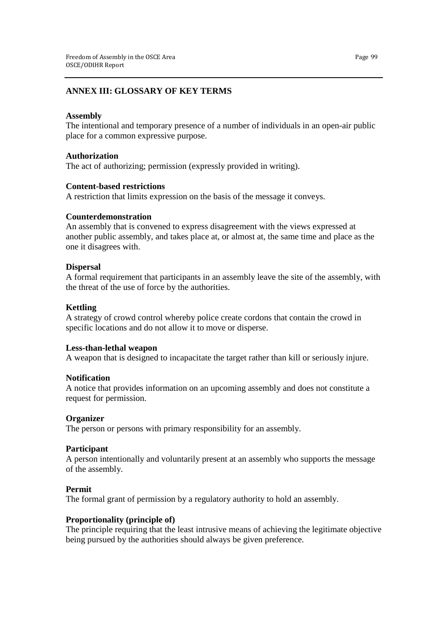# **ANNEX III: GLOSSARY OF KEY TERMS**

## **Assembly**

The intentional and temporary presence of a number of individuals in an open-air public place for a common expressive purpose.

### **Authorization**

The act of authorizing; permission (expressly provided in writing).

### **Content-based restrictions**

A restriction that limits expression on the basis of the message it conveys.

### **Counterdemonstration**

An assembly that is convened to express disagreement with the views expressed at another public assembly, and takes place at, or almost at, the same time and place as the one it disagrees with.

### **Dispersal**

A formal requirement that participants in an assembly leave the site of the assembly, with the threat of the use of force by the authorities.

### **Kettling**

A strategy of crowd control whereby police create cordons that contain the crowd in specific locations and do not allow it to move or disperse.

### **Less-than-lethal weapon**

A weapon that is designed to incapacitate the target rather than kill or seriously injure.

# **Notification**

A notice that provides information on an upcoming assembly and does not constitute a request for permission.

# **Organizer**

The person or persons with primary responsibility for an assembly.

### **Participant**

A person intentionally and voluntarily present at an assembly who supports the message of the assembly.

### **Permit**

The formal grant of permission by a regulatory authority to hold an assembly.

# **Proportionality (principle of)**

The principle requiring that the least intrusive means of achieving the legitimate objective being pursued by the authorities should always be given preference.